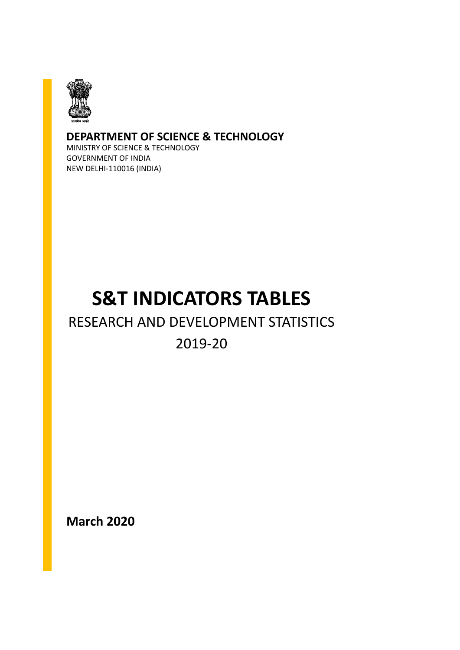

#### **DEPARTMENT OF SCIENCE & TECHNOLOGY**

MINISTRY OF SCIENCE & TECHNOLOGY GOVERNMENT OF INDIA NEW DELHI-110016 (INDIA)

#### **S&T INDICATORS TABLES**

#### RESEARCH AND DEVELOPMENT STATISTICS

#### 2019-20

**March 2020**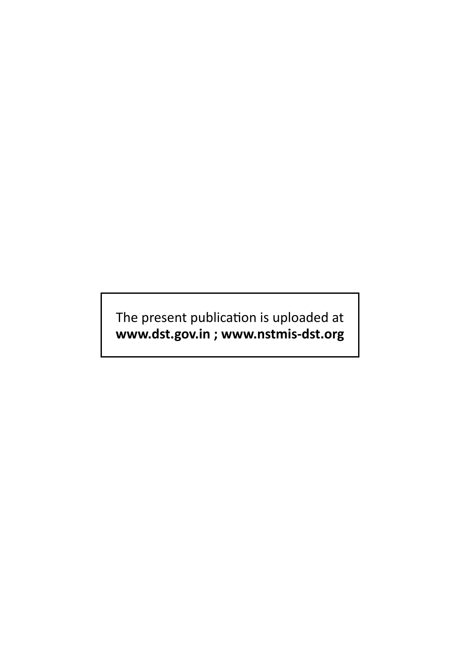The present publication is uploaded at **www.dst.gov.in ; www.nstmis-dst.org**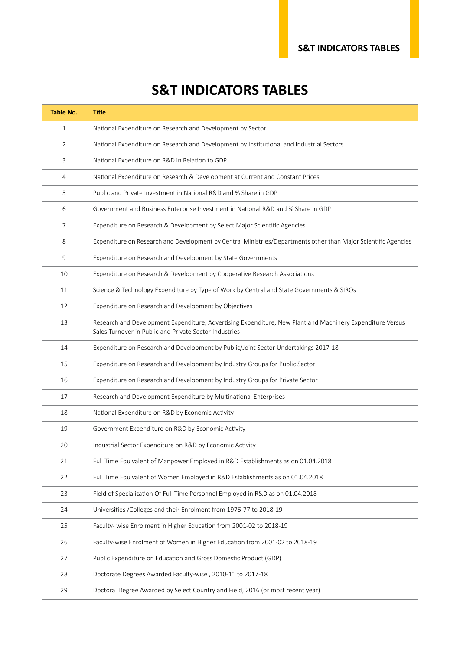#### **S&T INDICATORS TABLES**

| <b>Table No.</b> | <b>Title</b>                                                                                                                                                        |
|------------------|---------------------------------------------------------------------------------------------------------------------------------------------------------------------|
| $\mathbf{1}$     | National Expenditure on Research and Development by Sector                                                                                                          |
| 2                | National Expenditure on Research and Development by Institutional and Industrial Sectors                                                                            |
| 3                | National Expenditure on R&D in Relation to GDP                                                                                                                      |
| 4                | National Expenditure on Research & Development at Current and Constant Prices                                                                                       |
| 5                | Public and Private Investment in National R&D and % Share in GDP                                                                                                    |
| 6                | Government and Business Enterprise Investment in National R&D and % Share in GDP                                                                                    |
| 7                | Expenditure on Research & Development by Select Major Scientific Agencies                                                                                           |
| 8                | Expenditure on Research and Development by Central Ministries/Departments other than Major Scientific Agencies                                                      |
| 9                | Expenditure on Research and Development by State Governments                                                                                                        |
| 10               | Expenditure on Research & Development by Cooperative Research Associations                                                                                          |
| 11               | Science & Technology Expenditure by Type of Work by Central and State Governments & SIROs                                                                           |
| 12               | Expenditure on Research and Development by Objectives                                                                                                               |
| 13               | Research and Development Expenditure, Advertising Expenditure, New Plant and Machinery Expenditure Versus<br>Sales Turnover in Public and Private Sector Industries |
| 14               | Expenditure on Research and Development by Public/Joint Sector Undertakings 2017-18                                                                                 |
| 15               | Expenditure on Research and Development by Industry Groups for Public Sector                                                                                        |
| 16               | Expenditure on Research and Development by Industry Groups for Private Sector                                                                                       |
| 17               | Research and Development Expenditure by Multinational Enterprises                                                                                                   |
| 18               | National Expenditure on R&D by Economic Activity                                                                                                                    |
| 19               | Government Expenditure on R&D by Economic Activity                                                                                                                  |
| 20               | Industrial Sector Expenditure on R&D by Economic Activity                                                                                                           |
| 21               | Full Time Equivalent of Manpower Employed in R&D Establishments as on 01.04.2018                                                                                    |
| 22               | Full Time Equivalent of Women Employed in R&D Establishments as on 01.04.2018                                                                                       |
| 23               | Field of Specialization Of Full Time Personnel Employed in R&D as on 01.04.2018                                                                                     |
| 24               | Universities / Colleges and their Enrolment from 1976-77 to 2018-19                                                                                                 |
| 25               | Faculty- wise Enrolment in Higher Education from 2001-02 to 2018-19                                                                                                 |
| 26               | Faculty-wise Enrolment of Women in Higher Education from 2001-02 to 2018-19                                                                                         |
| 27               | Public Expenditure on Education and Gross Domestic Product (GDP)                                                                                                    |
| 28               | Doctorate Degrees Awarded Faculty-wise, 2010-11 to 2017-18                                                                                                          |
| 29               | Doctoral Degree Awarded by Select Country and Field, 2016 (or most recent year)                                                                                     |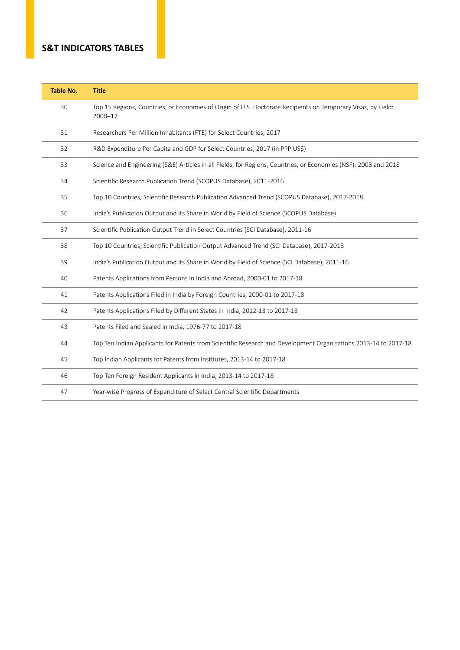#### **S&T INDICATORS TABLES**

| <b>Table No.</b> | <b>Title</b>                                                                                                            |
|------------------|-------------------------------------------------------------------------------------------------------------------------|
| 30               | Top 15 Regions, Countries, or Economies of Origin of U.S. Doctorate Recipients on Temporary Visas, by Field:<br>2000-17 |
| 31               | Researchers Per Million Inhabitants (FTE) for Select Countries, 2017                                                    |
| 32               | R&D Expenditure Per Capita and GDP for Select Countries, 2017 (in PPP US\$)                                             |
| 33               | Science and Engineering (S&E) Articles in all Fields, for Regions, Countries, or Economies (NSF): 2008 and 2018         |
| 34               | Scientific Research Publication Trend (SCOPUS Database), 2011-2016                                                      |
| 35               | Top 10 Countries, Scientific Research Publication Advanced Trend (SCOPUS Database), 2017-2018                           |
| 36               | India's Publication Output and its Share in World by Field of Science (SCOPUS Database)                                 |
| 37               | Scientific Publication Output Trend in Select Countries (SCI Database), 2011-16                                         |
| 38               | Top 10 Countries, Scientific Publication Output Advanced Trend (SCI Database), 2017-2018                                |
| 39               | India's Publication Output and its Share in World by Field of Science (SCI Database), 2011-16                           |
| 40               | Patents Applications from Persons in India and Abroad, 2000-01 to 2017-18                                               |
| 41               | Patents Applications Filed in India by Foreign Countries, 2000-01 to 2017-18                                            |
| 42               | Patents Applications Filed by Different States in India, 2012-13 to 2017-18                                             |
| 43               | Patents Filed and Sealed in India, 1976-77 to 2017-18                                                                   |
| 44               | Top Ten Indian Applicants for Patents from Scientific Research and Development Organisations 2013-14 to 2017-18         |
| 45               | Top Indian Applicants for Patents from Institutes, 2013-14 to 2017-18                                                   |
| 46               | Top Ten Foreign Resident Applicants in India, 2013-14 to 2017-18                                                        |
| 47               | Year-wise Progress of Expenditure of Select Central Scientific Departments                                              |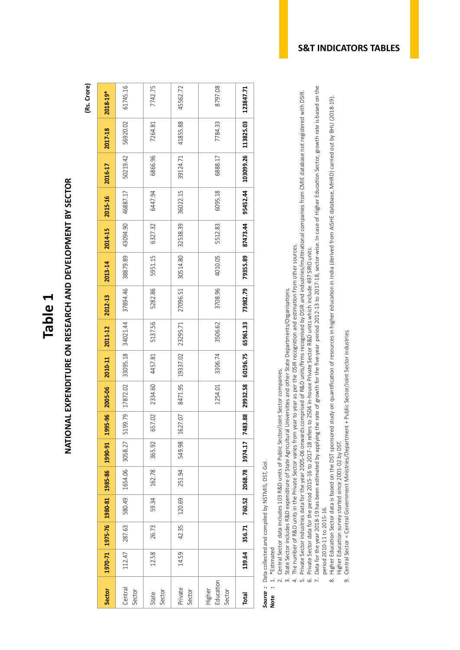## NATIONAL EXPENDITURE ON RESEARCH AND DEVELOPMENT BY SECTOR **NATIONAL EXPENDITURE ON RESEARCH AND DEVELOPMENT BY SECTOR**

**(Rs. Crore)**

| Sector                        | 1970-71 | 1975-76 1980-81 |        | 1985-86 | 1990-91 | 1995-96                | 2005-06             | 2010-11  | 2011-12  | 2012-13  | 2013-14  | 2014-15  | 2015-16  | 2016-17   | 2017-18   | 2018-19*  |
|-------------------------------|---------|-----------------|--------|---------|---------|------------------------|---------------------|----------|----------|----------|----------|----------|----------|-----------|-----------|-----------|
| Central<br>Sector             | 112.47  | 287.63          | 580.49 | 1654.06 | 3058.27 | 5199.79                | $17872.02$ 33095.18 |          | 34021.44 | 37894.46 | 38879.89 | 43094.90 | 46887.17 | 50219.42  | 56920.02  | 61745.16  |
| Sector<br>State               | 12.58   | 26.73           | 59.34  | 162.78  | 365.92  | 657.02                 | 2334.60             | 4457.81  | 5137.56  | 5282.86  | 5951.15  | 6327.32  | 6447.94  | 6866.96   | 7264.81   | 7742.75   |
| Private<br>Sector             | 14.59   | 42.35           | 120.69 | 251.94  | 549.98  | 1627.07                | 8471.95             | 19337.02 | 23295.71 | 27096.51 | 30514.80 | 32538.39 | 36022.15 | 39124.71  | 41855.88  | 45562.72  |
| Education<br>Higher<br>Sector |         |                 |        |         |         |                        | 1254.01             | 3306.74  | 3506.62  | 3708.96  | 4010.05  | 5512.83  | 6095.18  | 6888.17   | 7784.33   | 8797.08   |
| Total                         | 139.64  | 356.71          | 760.52 | 2068.78 | 3974.17 | $\frac{8}{3}$<br>7483. | 29932.58            | 60196.75 | 65961.33 | 73982.79 | 79355.89 | 87473.44 | 95452.44 | 103099.26 | 113825.03 | 123847.71 |

**Source**: Data collected and compiled by NSTMIS, DST, Gol.<br>**Note** : 1. \*Estimated *Source :* Data collected and compiled by NSTMIS, DST, GoI.

**Note :** 1. \*Estimated

- 2. Central Sector data includes 103 R&D units of Public Sector/Joint Sector companies. 2. Central Sector data includes 103 R&D units of Public Sector/Joint Sector companies.
- 3. State Sector includes R&D expenditure of State Agricultural Universities and other State Departments/Organisations. 3. State Sector includes R&D expenditure of State Agricultural Universities and other State Departments/Organisations.
- 4. The number of R&D units in the Private Sector varies from year to year as per the DSIR recognition and estimation from other sources. 4. The number of R&D units in the Private Sector varies from year to year as per the DSIR recognition and estimation from other sources.
- 5. Private Sector industries data for the year 2005-06 onwards comprised of R&D units/firms recognised by DSIR and industries/multinational companies from CMIE database not registered with DSIR. 5. Private Sector industries data for the year 2005-06 onwards comprised of R&D units/firms recognised by DSIR and industries/multinational companies from CMIE database not registered with DSIR. Private Sector data for the period 2015-16 to 2017-18 refers to 2504 in house Private Sector R&D units which include 497 SIRO units. 6. Private Sector data for the period 2015-16 to 2017-18 refers to 2504 in-house Private Sector R&D units which include 497 SIRO units. .<br>ف
- Data for the year 2018-19 has been estimated by applying the rate of growth for the five-year period 2012-13 to 2017-18, sector-wise. In case of Higher Education Sector, growth rate is based on the 7. Data for the year 2018-19 has been estimated by applying the rate of growth for the five-year period 2012-13 to 2017-18, sector-wise. In case of Higher Education Sector, growth rate is based on the period 2010-11 to 2015-16. period 2010-11 to 2015-16.  $\overline{7}$ .
	- 8. Higher Education Sector data is based on the DST sponsored study on quantification of resources in higher education in India (derived from AISHE database, MHRD) carried out by BHU (2018-19). Higher Education Sector data is based on the DST sponsored study on quantification of resources in higher education in India (derived from AISHE database, MHRD) carried out by BHU (2018-19). Higher Education survey started since 2001-02 by DST. Higher Education survey started since 2001-02 by DST.  $\infty$
- Central Sector = Central Government Ministries/Department + Public Sector/Joint Sector industries. 9. Central Sector = Central Government Ministries/Department + Public Sector/Joint Sector industries.  $\sigma$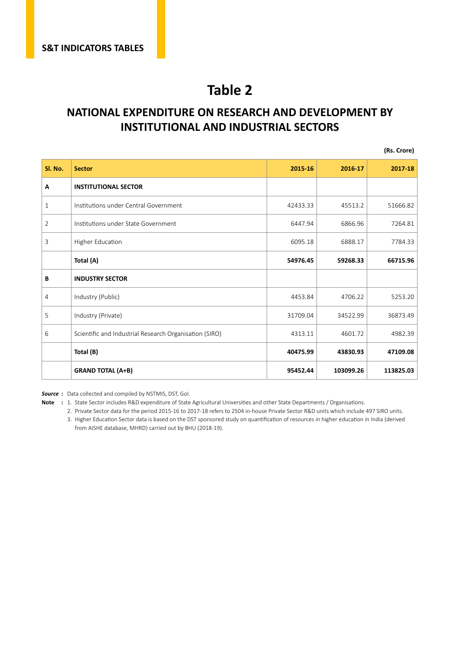#### **NATIONAL EXPENDITURE ON RESEARCH AND DEVELOPMENT BY INSTITUTIONAL AND INDUSTRIAL SECTORS**

**(Rs. Crore)**

| Sl. No.        | <b>Sector</b>                                          | 2015-16  | 2016-17   | 2017-18   |
|----------------|--------------------------------------------------------|----------|-----------|-----------|
| Α              | <b>INSTITUTIONAL SECTOR</b>                            |          |           |           |
| $\mathbf{1}$   | Institutions under Central Government                  | 42433.33 | 45513.2   | 51666.82  |
| $\overline{2}$ | Institutions under State Government                    | 6447.94  | 6866.96   | 7264.81   |
| 3              | Higher Education                                       | 6095.18  | 6888.17   | 7784.33   |
|                | Total (A)                                              | 54976.45 | 59268.33  | 66715.96  |
| В              | <b>INDUSTRY SECTOR</b>                                 |          |           |           |
| 4              | Industry (Public)                                      | 4453.84  | 4706.22   | 5253.20   |
| 5              | Industry (Private)                                     | 31709.04 | 34522.99  | 36873.49  |
| 6              | Scientific and Industrial Research Organisation (SIRO) | 4313.11  | 4601.72   | 4982.39   |
|                | Total (B)                                              | 40475.99 | 43830.93  | 47109.08  |
|                | <b>GRAND TOTAL (A+B)</b>                               | 95452.44 | 103099.26 | 113825.03 |

*Source* **:** Data collected and compiled by NSTMIS, DST, GoI.

- **Note :** 1. State Sector includes R&D expenditure of State Agricultural Universities and other State Departments / Organisations.
	- 2. Private Sector data for the period 2015-16 to 2017-18 refers to 2504 in-house Private Sector R&D units which include 497 SIRO units. 3. Higher Education Sector data is based on the DST sponsored study on quantification of resources in higher education in India (derived from AISHE database, MHRD) carried out by BHU (2018-19).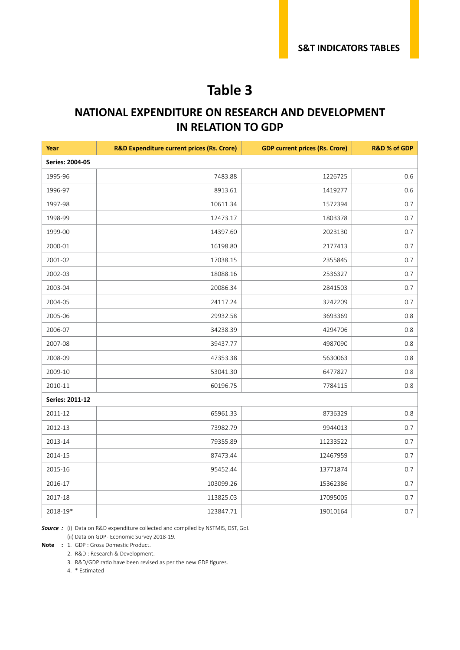#### **NATIONAL EXPENDITURE ON RESEARCH AND DEVELOPMENT IN RELATION TO GDP**

| Year                   | <b>R&amp;D Expenditure current prices (Rs. Crore)</b> | <b>GDP current prices (Rs. Crore)</b> | <b>R&amp;D % of GDP</b> |
|------------------------|-------------------------------------------------------|---------------------------------------|-------------------------|
| <b>Series: 2004-05</b> |                                                       |                                       |                         |
| 1995-96                | 7483.88                                               | 1226725                               | 0.6                     |
| 1996-97                | 8913.61                                               | 1419277                               | 0.6                     |
| 1997-98                | 10611.34                                              | 1572394                               | 0.7                     |
| 1998-99                | 12473.17                                              | 1803378                               | 0.7                     |
| 1999-00                | 14397.60                                              | 2023130                               | 0.7                     |
| 2000-01                | 16198.80                                              | 2177413                               | 0.7                     |
| 2001-02                | 17038.15                                              | 2355845                               | 0.7                     |
| 2002-03                | 18088.16                                              | 2536327                               | 0.7                     |
| 2003-04                | 20086.34                                              | 2841503                               | 0.7                     |
| 2004-05                | 24117.24                                              | 3242209                               | 0.7                     |
| 2005-06                | 29932.58                                              | 3693369                               | 0.8                     |
| 2006-07                | 34238.39                                              | 4294706                               | 0.8                     |
| 2007-08                | 39437.77                                              | 4987090                               | 0.8                     |
| 2008-09                | 47353.38                                              | 5630063                               | 0.8                     |
| 2009-10                | 53041.30                                              | 6477827                               | 0.8                     |
| 2010-11                | 60196.75                                              | 7784115                               | 0.8                     |
| Series: 2011-12        |                                                       |                                       |                         |
| 2011-12                | 65961.33                                              | 8736329                               | $0.8\,$                 |
| 2012-13                | 73982.79                                              | 9944013                               | 0.7                     |
| 2013-14                | 79355.89                                              | 11233522                              | 0.7                     |
| 2014-15                | 87473.44                                              | 12467959                              | 0.7                     |
| 2015-16                | 95452.44                                              | 13771874                              | 0.7                     |
| 2016-17                | 103099.26                                             | 15362386                              | 0.7                     |
| 2017-18                | 113825.03                                             | 17095005                              | 0.7                     |
| 2018-19*               | 123847.71                                             | 19010164                              | 0.7                     |

*Source :* (i) Data on R&D expenditure collected and compiled by NSTMIS, DST, GoI.

(ii) Data on GDP- Economic Survey 2018-19.

**Note :** 1. GDP : Gross Domestic Product.

2. R&D : Research & Development.

3. R&D/GDP ratio have been revised as per the new GDP figures.

4. \* Estimated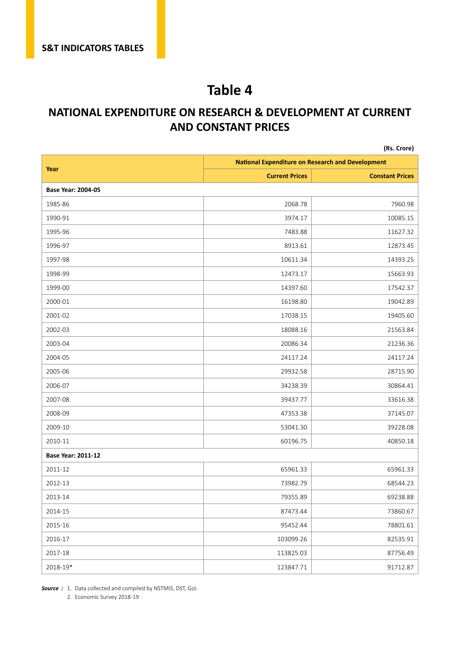#### **NATIONAL EXPENDITURE ON RESEARCH & DEVELOPMENT AT CURRENT AND CONSTANT PRICES**

|                    |                                                         | (Rs. Crore)            |
|--------------------|---------------------------------------------------------|------------------------|
|                    | <b>National Expenditure on Research and Development</b> |                        |
| Year               | <b>Current Prices</b>                                   | <b>Constant Prices</b> |
| Base Year: 2004-05 |                                                         |                        |
| 1985-86            | 2068.78                                                 | 7960.98                |
| 1990-91            | 3974.17                                                 | 10085.15               |
| 1995-96            | 7483.88                                                 | 11627.32               |
| 1996-97            | 8913.61                                                 | 12873.45               |
| 1997-98            | 10611.34                                                | 14393.25               |
| 1998-99            | 12473.17                                                | 15663.93               |
| 1999-00            | 14397.60                                                | 17542.37               |
| 2000-01            | 16198.80                                                | 19042.89               |
| 2001-02            | 17038.15                                                | 19405.60               |
| 2002-03            | 18088.16                                                | 21563.84               |
| 2003-04            | 20086.34                                                | 21236.36               |
| 2004-05            | 24117.24                                                | 24117.24               |
| 2005-06            | 29932.58                                                | 28715.90               |
| 2006-07            | 34238.39                                                | 30864.41               |
| 2007-08            | 39437.77                                                | 33616.38               |
| 2008-09            | 47353.38                                                | 37145.07               |
| 2009-10            | 53041.30                                                | 39228.08               |
| 2010-11            | 60196.75                                                | 40850.18               |
| Base Year: 2011-12 |                                                         |                        |
| 2011-12            | 65961.33                                                | 65961.33               |
| 2012-13            | 73982.79                                                | 68544.23               |
| 2013-14            | 79355.89                                                | 69238.88               |
| 2014-15            | 87473.44                                                | 73860.67               |
| 2015-16            | 95452.44                                                | 78801.61               |
| 2016-17            | 103099.26                                               | 82535.91               |
| 2017-18            | 113825.03                                               | 87756.49               |
| 2018-19*           | 123847.71                                               | 91712.87               |

*Source :* 1. Data collected and compiled by NSTMIS, DST, GoI.

2. Economic Survey 2018-19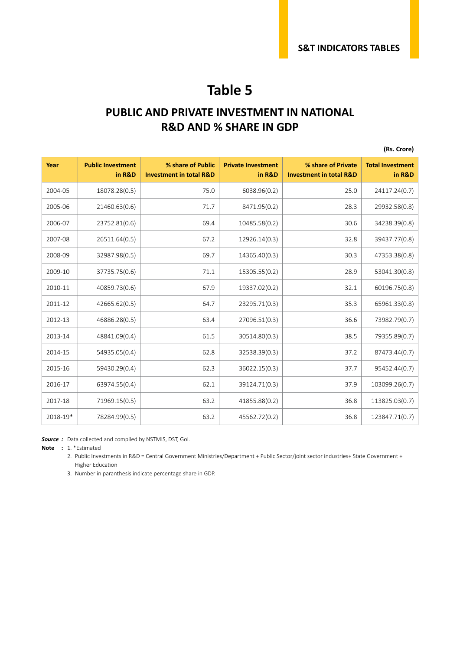#### **PUBLIC AND PRIVATE INVESTMENT IN NATIONAL R&D AND % SHARE IN GDP**

**(Rs. Crore)**

| Year     | <b>Public Investment</b><br>in R&D | % share of Public<br><b>Investment in total R&amp;D</b> | <b>Private Investment</b><br>in R&D | % share of Private<br><b>Investment in total R&amp;D</b> | <b>Total Investment</b><br>in R&D |
|----------|------------------------------------|---------------------------------------------------------|-------------------------------------|----------------------------------------------------------|-----------------------------------|
| 2004-05  | 18078.28(0.5)                      | 75.0                                                    | 6038.96(0.2)                        | 25.0                                                     | 24117.24(0.7)                     |
| 2005-06  | 21460.63(0.6)                      | 71.7                                                    | 8471.95(0.2)                        | 28.3                                                     | 29932.58(0.8)                     |
| 2006-07  | 23752.81(0.6)                      | 69.4                                                    | 10485.58(0.2)                       | 30.6                                                     | 34238.39(0.8)                     |
| 2007-08  | 26511.64(0.5)                      | 67.2                                                    | 12926.14(0.3)                       | 32.8                                                     | 39437.77(0.8)                     |
| 2008-09  | 32987.98(0.5)                      | 69.7                                                    | 14365.40(0.3)                       | 30.3                                                     | 47353.38(0.8)                     |
| 2009-10  | 37735.75(0.6)                      | 71.1                                                    | 15305.55(0.2)                       | 28.9                                                     | 53041.30(0.8)                     |
| 2010-11  | 40859.73(0.6)                      | 67.9                                                    | 19337.02(0.2)                       | 32.1                                                     | 60196.75(0.8)                     |
| 2011-12  | 42665.62(0.5)                      | 64.7                                                    | 23295.71(0.3)                       | 35.3                                                     | 65961.33(0.8)                     |
| 2012-13  | 46886.28(0.5)                      | 63.4                                                    | 27096.51(0.3)                       | 36.6                                                     | 73982.79(0.7)                     |
| 2013-14  | 48841.09(0.4)                      | 61.5                                                    | 30514.80(0.3)                       | 38.5                                                     | 79355.89(0.7)                     |
| 2014-15  | 54935.05(0.4)                      | 62.8                                                    | 32538.39(0.3)                       | 37.2                                                     | 87473.44(0.7)                     |
| 2015-16  | 59430.29(0.4)                      | 62.3                                                    | 36022.15(0.3)                       | 37.7                                                     | 95452.44(0.7)                     |
| 2016-17  | 63974.55(0.4)                      | 62.1                                                    | 39124.71(0.3)                       | 37.9                                                     | 103099.26(0.7)                    |
| 2017-18  | 71969.15(0.5)                      | 63.2                                                    | 41855.88(0.2)                       | 36.8                                                     | 113825.03(0.7)                    |
| 2018-19* | 78284.99(0.5)                      | 63.2                                                    | 45562.72(0.2)                       | 36.8                                                     | 123847.71(0.7)                    |

*Source :* Data collected and compiled by NSTMIS, DST, GoI.

**Note :** 1. \*Estimated

2. Public Investments in R&D = Central Government Ministries/Department + Public Sector/joint sector industries+ State Government + Higher Education

3. Number in paranthesis indicate percentage share in GDP.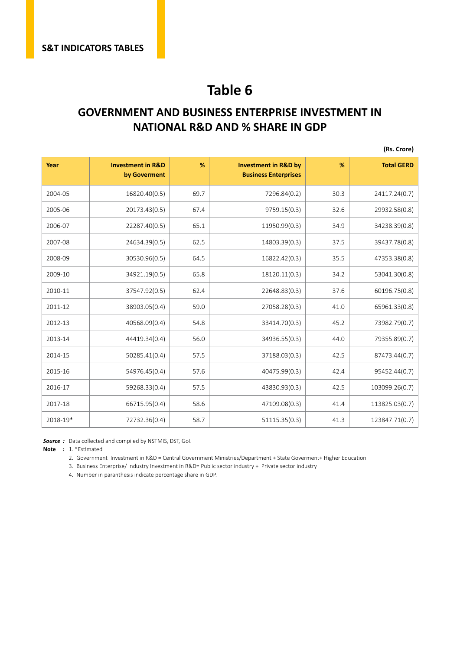#### **GOVERNMENT AND BUSINESS ENTERPRISE INVESTMENT IN NATIONAL R&D AND % SHARE IN GDP**

**(Rs. Crore)**

| Year     | <b>Investment in R&amp;D</b><br>by Goverment | %    | <b>Investment in R&amp;D by</b><br><b>Business Enterprises</b> | %    | <b>Total GERD</b> |
|----------|----------------------------------------------|------|----------------------------------------------------------------|------|-------------------|
| 2004-05  | 16820.40(0.5)                                | 69.7 | 7296.84(0.2)                                                   | 30.3 | 24117.24(0.7)     |
| 2005-06  | 20173.43(0.5)                                | 67.4 | 9759.15(0.3)                                                   | 32.6 | 29932.58(0.8)     |
| 2006-07  | 22287.40(0.5)                                | 65.1 | 11950.99(0.3)                                                  | 34.9 | 34238.39(0.8)     |
| 2007-08  | 24634.39(0.5)                                | 62.5 | 14803.39(0.3)                                                  | 37.5 | 39437.78(0.8)     |
| 2008-09  | 30530.96(0.5)                                | 64.5 | 16822.42(0.3)                                                  | 35.5 | 47353.38(0.8)     |
| 2009-10  | 34921.19(0.5)                                | 65.8 | 18120.11(0.3)                                                  | 34.2 | 53041.30(0.8)     |
| 2010-11  | 37547.92(0.5)                                | 62.4 | 22648.83(0.3)                                                  | 37.6 | 60196.75(0.8)     |
| 2011-12  | 38903.05(0.4)                                | 59.0 | 27058.28(0.3)                                                  | 41.0 | 65961.33(0.8)     |
| 2012-13  | 40568.09(0.4)                                | 54.8 | 33414.70(0.3)                                                  | 45.2 | 73982.79(0.7)     |
| 2013-14  | 44419.34(0.4)                                | 56.0 | 34936.55(0.3)                                                  | 44.0 | 79355.89(0.7)     |
| 2014-15  | 50285.41(0.4)                                | 57.5 | 37188.03(0.3)                                                  | 42.5 | 87473.44(0.7)     |
| 2015-16  | 54976.45(0.4)                                | 57.6 | 40475.99(0.3)                                                  | 42.4 | 95452.44(0.7)     |
| 2016-17  | 59268.33(0.4)                                | 57.5 | 43830.93(0.3)                                                  | 42.5 | 103099.26(0.7)    |
| 2017-18  | 66715.95(0.4)                                | 58.6 | 47109.08(0.3)                                                  | 41.4 | 113825.03(0.7)    |
| 2018-19* | 72732.36(0.4)                                | 58.7 | 51115.35(0.3)                                                  | 41.3 | 123847.71(0.7)    |

*Source :* Data collected and compiled by NSTMIS, DST, GoI.

**Note :** 1. \*Estimated

2. Government Investment in R&D = Central Government Ministries/Department + State Goverment+ Higher Education

3. Business Enterprise/ Industry Investment in R&D= Public sector industry + Private sector industry

4. Number in paranthesis indicate percentage share in GDP.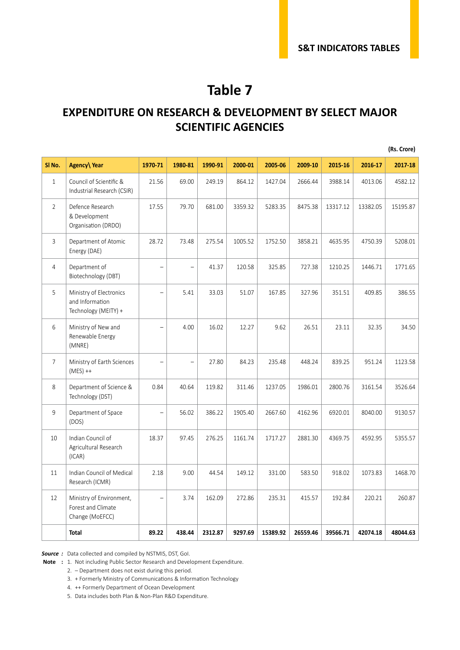#### **EXPENDITURE ON RESEARCH & DEVELOPMENT BY SELECT MAJOR SCIENTIFIC AGENCIES**

|                |                                                                    |         |         |         |         |          |          |          |          | (Rs. Crore) |
|----------------|--------------------------------------------------------------------|---------|---------|---------|---------|----------|----------|----------|----------|-------------|
| SI No.         | Agency\Year                                                        | 1970-71 | 1980-81 | 1990-91 | 2000-01 | 2005-06  | 2009-10  | 2015-16  | 2016-17  | 2017-18     |
| $\mathbf{1}$   | Council of Scientific &<br>Industrial Research (CSIR)              | 21.56   | 69.00   | 249.19  | 864.12  | 1427.04  | 2666.44  | 3988.14  | 4013.06  | 4582.12     |
| $\overline{2}$ | Defence Research<br>& Development<br>Organisation (DRDO)           | 17.55   | 79.70   | 681.00  | 3359.32 | 5283.35  | 8475.38  | 13317.12 | 13382.05 | 15195.87    |
| 3              | Department of Atomic<br>Energy (DAE)                               | 28.72   | 73.48   | 275.54  | 1005.52 | 1752.50  | 3858.21  | 4635.95  | 4750.39  | 5208.01     |
| $\overline{4}$ | Department of<br>Biotechnology (DBT)                               |         |         | 41.37   | 120.58  | 325.85   | 727.38   | 1210.25  | 1446.71  | 1771.65     |
| 5              | Ministry of Electronics<br>and Information<br>Technology (MEITY) + |         | 5.41    | 33.03   | 51.07   | 167.85   | 327.96   | 351.51   | 409.85   | 386.55      |
| 6              | Ministry of New and<br>Renewable Energy<br>(MNRE)                  |         | 4.00    | 16.02   | 12.27   | 9.62     | 26.51    | 23.11    | 32.35    | 34.50       |
| $\overline{7}$ | Ministry of Earth Sciences<br>$(MES)$ ++                           |         |         | 27.80   | 84.23   | 235.48   | 448.24   | 839.25   | 951.24   | 1123.58     |
| 8              | Department of Science &<br>Technology (DST)                        | 0.84    | 40.64   | 119.82  | 311.46  | 1237.05  | 1986.01  | 2800.76  | 3161.54  | 3526.64     |
| 9              | Department of Space<br>(DOS)                                       |         | 56.02   | 386.22  | 1905.40 | 2667.60  | 4162.96  | 6920.01  | 8040.00  | 9130.57     |
| 10             | Indian Council of<br>Agricultural Research<br>(ICAR)               | 18.37   | 97.45   | 276.25  | 1161.74 | 1717.27  | 2881.30  | 4369.75  | 4592.95  | 5355.57     |
| 11             | Indian Council of Medical<br>Research (ICMR)                       | 2.18    | 9.00    | 44.54   | 149.12  | 331.00   | 583.50   | 918.02   | 1073.83  | 1468.70     |
| 12             | Ministry of Environment,<br>Forest and Climate<br>Change (MoEFCC)  |         | 3.74    | 162.09  | 272.86  | 235.31   | 415.57   | 192.84   | 220.21   | 260.87      |
|                | Total                                                              | 89.22   | 438.44  | 2312.87 | 9297.69 | 15389.92 | 26559.46 | 39566.71 | 42074.18 | 48044.63    |

*Source :* Data collected and compiled by NSTMIS, DST, GoI.

 **Note :** 1. Not including Public Sector Research and Development Expenditure.

2. – Department does not exist during this period.

3. + Formerly Ministry of Communications & Information Technology

4. ++ Formerly Department of Ocean Development

5. Data includes both Plan & Non-Plan R&D Expenditure.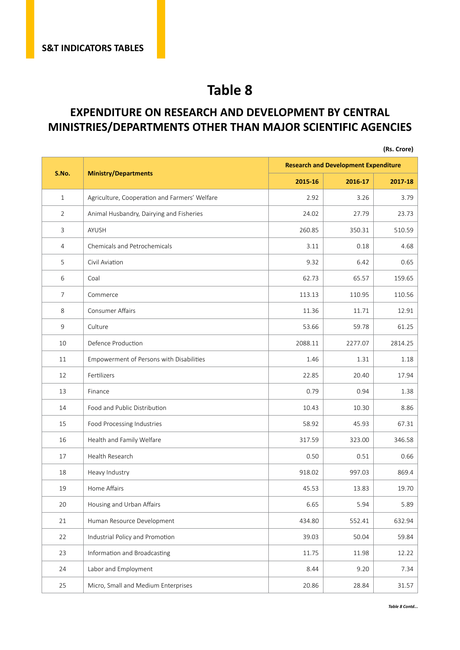#### **EXPENDITURE ON RESEARCH AND DEVELOPMENT BY CENTRAL MINISTRIES/DEPARTMENTS OTHER THAN MAJOR SCIENTIFIC AGENCIES**

|                |                                               |         |                                             | (Rs. Crore) |
|----------------|-----------------------------------------------|---------|---------------------------------------------|-------------|
|                |                                               |         | <b>Research and Development Expenditure</b> |             |
| S.No.          | <b>Ministry/Departments</b>                   | 2015-16 | 2016-17                                     | 2017-18     |
| $\mathbf{1}$   | Agriculture, Cooperation and Farmers' Welfare | 2.92    | 3.26                                        | 3.79        |
| $\overline{2}$ | Animal Husbandry, Dairying and Fisheries      | 24.02   | 27.79                                       | 23.73       |
| 3              | <b>AYUSH</b>                                  | 260.85  | 350.31                                      | 510.59      |
| $\overline{4}$ | Chemicals and Petrochemicals                  | 3.11    | 0.18                                        | 4.68        |
| 5              | Civil Aviation                                | 9.32    | 6.42                                        | 0.65        |
| 6              | Coal                                          | 62.73   | 65.57                                       | 159.65      |
| $\overline{7}$ | Commerce                                      | 113.13  | 110.95                                      | 110.56      |
| 8              | <b>Consumer Affairs</b>                       | 11.36   | 11.71                                       | 12.91       |
| 9              | Culture                                       | 53.66   | 59.78                                       | 61.25       |
| 10             | Defence Production                            | 2088.11 | 2277.07                                     | 2814.25     |
| 11             | Empowerment of Persons with Disabilities      | 1.46    | 1.31                                        | 1.18        |
| 12             | Fertilizers                                   | 22.85   | 20.40                                       | 17.94       |
| 13             | Finance                                       | 0.79    | 0.94                                        | 1.38        |
| 14             | Food and Public Distribution                  | 10.43   | 10.30                                       | 8.86        |
| 15             | Food Processing Industries                    | 58.92   | 45.93                                       | 67.31       |
| 16             | Health and Family Welfare                     | 317.59  | 323.00                                      | 346.58      |
| 17             | Health Research                               | 0.50    | 0.51                                        | 0.66        |
| 18             | Heavy Industry                                | 918.02  | 997.03                                      | 869.4       |
| 19             | Home Affairs                                  | 45.53   | 13.83                                       | 19.70       |
| 20             | Housing and Urban Affairs                     | 6.65    | 5.94                                        | 5.89        |
| 21             | Human Resource Development                    | 434.80  | 552.41                                      | 632.94      |
| 22             | Industrial Policy and Promotion               | 39.03   | 50.04                                       | 59.84       |
| 23             | Information and Broadcasting                  | 11.75   | 11.98                                       | 12.22       |
| 24             | Labor and Employment                          | 8.44    | 9.20                                        | 7.34        |
| 25             | Micro, Small and Medium Enterprises           | 20.86   | 28.84                                       | 31.57       |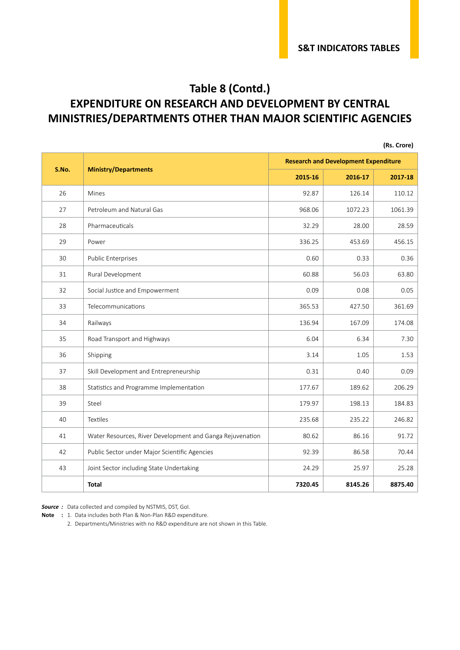#### **Table 8 (Contd.) EXPENDITURE ON RESEARCH AND DEVELOPMENT BY CENTRAL MINISTRIES/DEPARTMENTS OTHER THAN MAJOR SCIENTIFIC AGENCIES**

|       |                                                           |         |                                             | (Rs. Crore) |
|-------|-----------------------------------------------------------|---------|---------------------------------------------|-------------|
| S.No. |                                                           |         | <b>Research and Development Expenditure</b> |             |
|       | <b>Ministry/Departments</b>                               | 2015-16 | 2016-17                                     | 2017-18     |
| 26    | Mines                                                     | 92.87   | 126.14                                      | 110.12      |
| 27    | Petroleum and Natural Gas                                 | 968.06  | 1072.23                                     | 1061.39     |
| 28    | Pharmaceuticals                                           | 32.29   | 28.00                                       | 28.59       |
| 29    | Power                                                     | 336.25  | 453.69                                      | 456.15      |
| 30    | <b>Public Enterprises</b>                                 | 0.60    | 0.33                                        | 0.36        |
| 31    | Rural Development                                         | 60.88   | 56.03                                       | 63.80       |
| 32    | Social Justice and Empowerment                            | 0.09    | 0.08                                        | 0.05        |
| 33    | Telecommunications                                        | 365.53  | 427.50                                      | 361.69      |
| 34    | Railways                                                  | 136.94  | 167.09                                      | 174.08      |
| 35    | Road Transport and Highways                               | 6.04    | 6.34                                        | 7.30        |
| 36    | Shipping                                                  | 3.14    | 1.05                                        | 1.53        |
| 37    | Skill Development and Entrepreneurship                    | 0.31    | 0.40                                        | 0.09        |
| 38    | Statistics and Programme Implementation                   | 177.67  | 189.62                                      | 206.29      |
| 39    | Steel                                                     | 179.97  | 198.13                                      | 184.83      |
| 40    | Textiles                                                  | 235.68  | 235.22                                      | 246.82      |
| 41    | Water Resources, River Development and Ganga Rejuvenation | 80.62   | 86.16                                       | 91.72       |
| 42    | Public Sector under Major Scientific Agencies             | 92.39   | 86.58                                       | 70.44       |
| 43    | Joint Sector including State Undertaking                  | 24.29   | 25.97                                       | 25.28       |
|       | <b>Total</b>                                              | 7320.45 | 8145.26                                     | 8875.40     |

*Source :* Data collected and compiled by NSTMIS, DST, GoI.

**Note :** 1. Data includes both Plan & Non-Plan R&D expenditure.

2. Departments/Ministries with no R&D expenditure are not shown in this Table.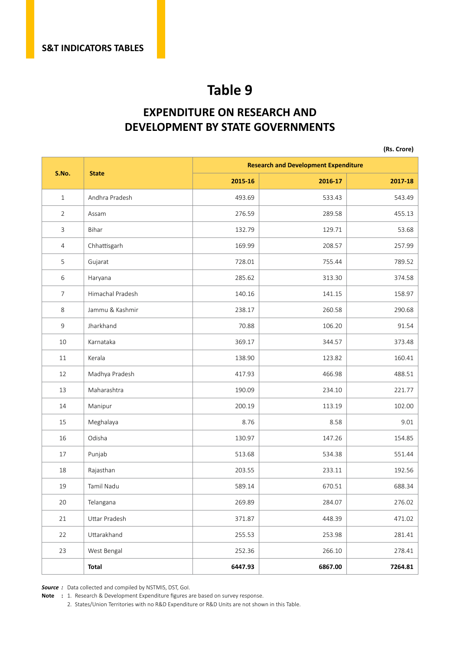#### **EXPENDITURE ON RESEARCH AND DEVELOPMENT BY STATE GOVERNMENTS**

**(Rs. Crore)**

|                |                  |         | <b>Research and Development Expenditure</b> |         |  |  |  |  |
|----------------|------------------|---------|---------------------------------------------|---------|--|--|--|--|
| S.No.          | <b>State</b>     | 2015-16 | 2016-17                                     | 2017-18 |  |  |  |  |
| $\mathbf{1}$   | Andhra Pradesh   | 493.69  | 533.43                                      | 543.49  |  |  |  |  |
| $\overline{2}$ | Assam            | 276.59  | 289.58                                      | 455.13  |  |  |  |  |
| 3              | Bihar            | 132.79  | 129.71                                      | 53.68   |  |  |  |  |
| $\overline{4}$ | Chhattisgarh     | 169.99  | 208.57                                      | 257.99  |  |  |  |  |
| 5              | Gujarat          | 728.01  | 755.44                                      | 789.52  |  |  |  |  |
| 6              | Haryana          | 285.62  | 313.30                                      | 374.58  |  |  |  |  |
| $\overline{7}$ | Himachal Pradesh | 140.16  | 141.15                                      | 158.97  |  |  |  |  |
| 8              | Jammu & Kashmir  | 238.17  | 260.58                                      | 290.68  |  |  |  |  |
| $\mathsf 9$    | Jharkhand        | 70.88   | 106.20                                      | 91.54   |  |  |  |  |
| 10             | Karnataka        | 369.17  | 344.57                                      | 373.48  |  |  |  |  |
| 11             | Kerala           | 138.90  | 123.82                                      | 160.41  |  |  |  |  |
| 12             | Madhya Pradesh   | 417.93  | 466.98                                      | 488.51  |  |  |  |  |
| 13             | Maharashtra      | 190.09  | 234.10                                      | 221.77  |  |  |  |  |
| 14             | Manipur          | 200.19  | 113.19                                      | 102.00  |  |  |  |  |
| 15             | Meghalaya        | 8.76    | 8.58                                        | 9.01    |  |  |  |  |
| 16             | Odisha           | 130.97  | 147.26                                      | 154.85  |  |  |  |  |
| 17             | Punjab           | 513.68  | 534.38                                      | 551.44  |  |  |  |  |
| 18             | Rajasthan        | 203.55  | 233.11                                      | 192.56  |  |  |  |  |
| 19             | Tamil Nadu       | 589.14  | 670.51                                      | 688.34  |  |  |  |  |
| $20\,$         | Telangana        | 269.89  | 284.07                                      | 276.02  |  |  |  |  |
| 21             | Uttar Pradesh    | 371.87  | 448.39                                      | 471.02  |  |  |  |  |
| 22             | Uttarakhand      | 255.53  | 253.98                                      | 281.41  |  |  |  |  |
| 23             | West Bengal      | 252.36  | 266.10                                      | 278.41  |  |  |  |  |
|                | <b>Total</b>     | 6447.93 | 6867.00                                     | 7264.81 |  |  |  |  |

*Source :* Data collected and compiled by NSTMIS, DST, GoI.

**Note :** 1. Research & Development Expenditure figures are based on survey response.

2. States/Union Territories with no R&D Expenditure or R&D Units are not shown in this Table.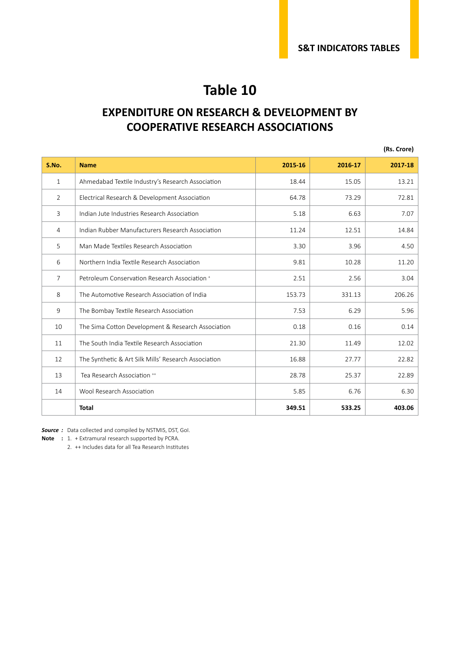#### **EXPENDITURE ON RESEARCH & DEVELOPMENT BY COOPERATIVE RESEARCH ASSOCIATIONS**

|                |                                                      |         |         | (Rs. Crore) |
|----------------|------------------------------------------------------|---------|---------|-------------|
| S.No.          | <b>Name</b>                                          | 2015-16 | 2016-17 | 2017-18     |
| $\mathbf{1}$   | Ahmedabad Textile Industry's Research Association    | 18.44   | 15.05   | 13.21       |
| 2              | Electrical Research & Development Association        | 64.78   | 73.29   | 72.81       |
| $\overline{3}$ | Indian Jute Industries Research Association          | 5.18    | 6.63    | 7.07        |
| $\overline{4}$ | Indian Rubber Manufacturers Research Association     | 11.24   | 12.51   | 14.84       |
| 5              | Man Made Textiles Research Association               | 3.30    | 3.96    | 4.50        |
| 6              | Northern India Textile Research Association          | 9.81    | 10.28   | 11.20       |
| $\overline{7}$ | Petroleum Conservation Research Association +        | 2.51    | 2.56    | 3.04        |
| 8              | The Automotive Research Association of India         | 153.73  | 331.13  | 206.26      |
| 9              | The Bombay Textile Research Association              | 7.53    | 6.29    | 5.96        |
| 10             | The Sima Cotton Development & Research Association   | 0.18    | 0.16    | 0.14        |
| 11             | The South India Textile Research Association         | 21.30   | 11.49   | 12.02       |
| 12             | The Synthetic & Art Silk Mills' Research Association | 16.88   | 27.77   | 22.82       |
| 13             | Tea Research Association **                          | 28.78   | 25.37   | 22.89       |
| 14             | Wool Research Association                            | 5.85    | 6.76    | 6.30        |
|                | <b>Total</b>                                         | 349.51  | 533.25  | 403.06      |

*Source :* Data collected and compiled by NSTMIS, DST, GoI.

**Note :** 1. + Extramural research supported by PCRA.

2. ++ Includes data for all Tea Research Institutes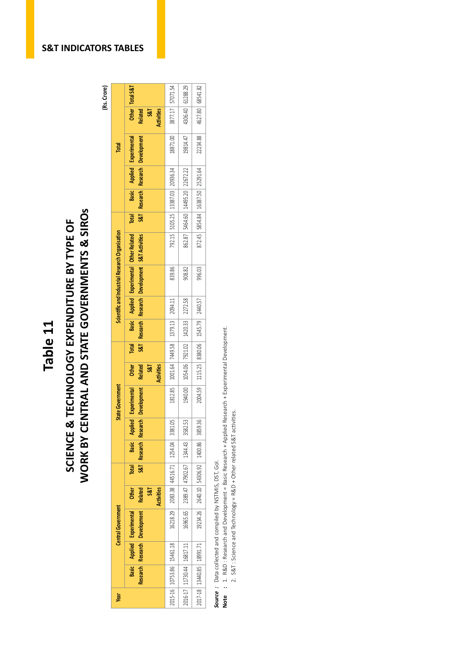## Table 11<br>
SCIENCE & TECHNOLOGY EXPENDITURE BY TYPE OF<br>
WORK BY CENTRAL AND STATE GOVERNMENTS & SIROs WORK BY CENTRAL AND STATE GOVERNMENTS & SIROS SCIENCE & TECHNOLOGY EXPENDITURE BY TYPE OF

(Rs. Crore)

|                                                        | Total S&T                                                                                |                                         |                                         |                                       |
|--------------------------------------------------------|------------------------------------------------------------------------------------------|-----------------------------------------|-----------------------------------------|---------------------------------------|
|                                                        | $\frac{1}{2}$<br><b>Related</b><br>S&T<br><b>Activities</b>                              | 3877.17 57071.54                        | 4306.40 61288.29                        | 4627.80 68541.82                      |
| Total                                                  | Research Research Development<br>Applied Experimental                                    | 18871.00                                | 19814.47                                | 22234.88                              |
|                                                        |                                                                                          | 792.15   5105.25   13387.03   20936.34  |                                         |                                       |
|                                                        | <b>Basic</b>                                                                             |                                         | 862.87   5464.60   14495.20   22672.22  | 872.45 5854.84 16387.50 25291.64      |
|                                                        | 387 <br><b>Total</b>                                                                     |                                         |                                         |                                       |
| <b>Scientific and Industrial Research Organisation</b> | Research Research Development S&T Activities<br>Basic Applied Experimental Other Related |                                         |                                         |                                       |
|                                                        |                                                                                          | 839.86                                  | 908.82                                  | 996.03                                |
|                                                        |                                                                                          |                                         |                                         |                                       |
|                                                        |                                                                                          | 1812.85 1001.64 7449.58 1379.13 2094.11 | 1054.06 7921.02 1420.33 2272.58         | 1115.25   8380.06   1545.79   2440.57 |
|                                                        | S87<br>Total                                                                             |                                         |                                         |                                       |
|                                                        | <b>Other</b><br>Related<br><b>Activities</b><br><b>S&amp;T</b>                           |                                         |                                         |                                       |
| <b>State Government</b>                                | <b>Development</b><br>Experimental                                                       |                                         | 1940.001                                | 2004.59                               |
|                                                        | Basic Applied                                                                            | 3381.05                                 | 3582.53                                 | 3859.36                               |
|                                                        | Research Research                                                                        |                                         |                                         |                                       |
|                                                        | S8T<br>Total                                                                             | 16218.29 2083.38 44516.71 1254.04       | 16965.65   2389.47   47902.67   1344.43 | 2640.10 54306.92 1400.86              |
|                                                        | <b>Related</b><br>Other<br><b>Activities</b><br><b>S&amp;T</b>                           |                                         |                                         |                                       |
| <b>Central Government</b>                              | lesearch Research Development<br>Applied Experimental                                    |                                         |                                         | 19234.26                              |
|                                                        |                                                                                          |                                         |                                         |                                       |
|                                                        | Basic                                                                                    | 2015-16 10753.86 15461.18               | 2016-17 11730.44 16817.11               | 2017-18 13440.85 18991.71             |
| Year                                                   |                                                                                          |                                         |                                         |                                       |

*Source :* Data collected and compiled by NSTMIS, DST, GoI.

**Source**: Data collected and compiled by NSTMIS, DST, GoI.<br>Note : 1. R&D: Research and Development = Basic Research + Applied Research + Experimental Development. **Note :** 1. R&D : Research and Development = Basic Research + Applied Research + Experimental Development.

2. S&T: Science and Technology = R&D + Other related S&T activities. 2. S&T : Science and Technology = R&D + Other related S&T activities.

#### **S&T INDICATORS TABLES**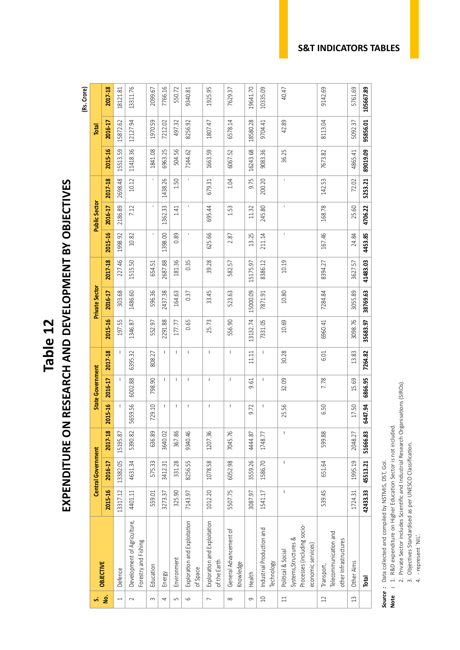EXPENDITURE ON RESEARCH AND DEVELOPMENT BY OBJECTIVES **EXPENDITURE ON RESEARCH AND DEVELOPMENT BY OBJECTIVES Table 12**

**(Rs. Crore)**

| ú                        | <b>OBJECTIVE</b>                                                                                 |             | <b>Central Government</b> |          |                                                                                                                                                                                                                                                                                                                                                                                  | <b>State Government</b>                                                                                                                                                                                                                                                                                                                                                          |                                                                                                                                                                                                                                                                                                                                                                                  |          | <b>Private Sector</b> |          |         | <b>Public Sector</b> |                          |          | Total    |           |
|--------------------------|--------------------------------------------------------------------------------------------------|-------------|---------------------------|----------|----------------------------------------------------------------------------------------------------------------------------------------------------------------------------------------------------------------------------------------------------------------------------------------------------------------------------------------------------------------------------------|----------------------------------------------------------------------------------------------------------------------------------------------------------------------------------------------------------------------------------------------------------------------------------------------------------------------------------------------------------------------------------|----------------------------------------------------------------------------------------------------------------------------------------------------------------------------------------------------------------------------------------------------------------------------------------------------------------------------------------------------------------------------------|----------|-----------------------|----------|---------|----------------------|--------------------------|----------|----------|-----------|
| <u>ş</u>                 |                                                                                                  | 2015-16     | 2016-17                   | 2017-18  | 2015-16                                                                                                                                                                                                                                                                                                                                                                          | 2016-17                                                                                                                                                                                                                                                                                                                                                                          | 2017-18                                                                                                                                                                                                                                                                                                                                                                          | 2015-16  | 2016-17               | 2017-18  | 2015-16 | 2016-17              | 2017-18                  | 2015-16  | 2016-17  | 2017-18   |
| $\overline{\phantom{0}}$ | Defence                                                                                          | 13317.12    | 13382.05                  | 15195.87 | $\overline{\phantom{a}}$                                                                                                                                                                                                                                                                                                                                                         | $\overline{\phantom{a}}$                                                                                                                                                                                                                                                                                                                                                         | $\overline{\phantom{a}}$                                                                                                                                                                                                                                                                                                                                                         | 197.55   | 303.68                | 227.46   | 1998.92 | 2186.89              | 2698.48                  | 15513.59 | 15872.62 | 18121.81  |
| $\sim$                   | Development of Agriculture,<br>Forestry and Fishing                                              | 4401.11     | 4631.34                   | 5390.82  | 5659.56                                                                                                                                                                                                                                                                                                                                                                          | 6002.88                                                                                                                                                                                                                                                                                                                                                                          | 6395.32                                                                                                                                                                                                                                                                                                                                                                          | 1346.87  | 1486.60               | 1515.50  | 10.82   | 7.12                 | 10.12                    | 11418.36 | 12127.94 | 13311.76  |
| $\sim$                   | Education                                                                                        | 559.01      | 575.33                    | 636.89   | 729.10                                                                                                                                                                                                                                                                                                                                                                           | 798.90                                                                                                                                                                                                                                                                                                                                                                           | 808.27                                                                                                                                                                                                                                                                                                                                                                           | 552.97   | 596.36                | 654.51   | ï       | $\mathbf{I}$         | $\overline{\phantom{a}}$ | 1841.08  | 1970.59  | 2099.67   |
| 4                        | Energy                                                                                           | 3273.37     | 3412.31                   | 3640.02  | $\mathbf{I}$                                                                                                                                                                                                                                                                                                                                                                     | $\mathbf{I}$                                                                                                                                                                                                                                                                                                                                                                     | $\mathbf{I}$                                                                                                                                                                                                                                                                                                                                                                     | 2291.88  | 2437.38               | 2687.88  | 1398.00 | 1362.33              | 1438.26                  | 6963.25  | 7212.02  | 7766.16   |
| $\sqrt{2}$               | Environment                                                                                      | 325.90      | 331.28                    | 367.86   | $\begin{array}{c} \hline \end{array}$                                                                                                                                                                                                                                                                                                                                            | $\mathsf I$                                                                                                                                                                                                                                                                                                                                                                      | $\mathsf I$                                                                                                                                                                                                                                                                                                                                                                      | 177.77   | 164.63                | 181.36   | 0.89    | 1.41                 | 1.50                     | 504.56   | 497.32   | 550.72    |
| 6                        | Exploration and Exploitation<br>of Space                                                         | 7143.97     | 8256.55                   | 9340.46  | $\begin{array}{c} \rule{0pt}{2.5ex} \rule{0pt}{2.5ex} \rule{0pt}{2.5ex} \rule{0pt}{2.5ex} \rule{0pt}{2.5ex} \rule{0pt}{2.5ex} \rule{0pt}{2.5ex} \rule{0pt}{2.5ex} \rule{0pt}{2.5ex} \rule{0pt}{2.5ex} \rule{0pt}{2.5ex} \rule{0pt}{2.5ex} \rule{0pt}{2.5ex} \rule{0pt}{2.5ex} \rule{0pt}{2.5ex} \rule{0pt}{2.5ex} \rule{0pt}{2.5ex} \rule{0pt}{2.5ex} \rule{0pt}{2.5ex} \rule{0$ | L                                                                                                                                                                                                                                                                                                                                                                                | L                                                                                                                                                                                                                                                                                                                                                                                | 0.65     | 0.37                  | 0.35     |         |                      | $\mathbf{I}$             | 7144.62  | 8256.92  | 9340.81   |
| $\overline{ }$           | Exploration and Exploitation<br>of the Earth                                                     | 1012.20     | 1078.58                   | 1207.36  | $\begin{array}{c} \hline \end{array}$                                                                                                                                                                                                                                                                                                                                            | $\mathbf{I}$                                                                                                                                                                                                                                                                                                                                                                     | $\begin{array}{c} \hline \end{array}$                                                                                                                                                                                                                                                                                                                                            | 25.73    | 33.45                 | 39.28    | 625.66  | 695.44               | 679.31                   | 1663.59  | 1807.47  | 1925.95   |
| $\infty$                 | General Advancement of<br>Knowledge                                                              | 5507.75     | 6052.98                   | 7045.76  | $\begin{array}{c} \hline \end{array}$                                                                                                                                                                                                                                                                                                                                            | $\begin{array}{c} \rule{0pt}{2.5ex} \rule{0pt}{2.5ex} \rule{0pt}{2.5ex} \rule{0pt}{2.5ex} \rule{0pt}{2.5ex} \rule{0pt}{2.5ex} \rule{0pt}{2.5ex} \rule{0pt}{2.5ex} \rule{0pt}{2.5ex} \rule{0pt}{2.5ex} \rule{0pt}{2.5ex} \rule{0pt}{2.5ex} \rule{0pt}{2.5ex} \rule{0pt}{2.5ex} \rule{0pt}{2.5ex} \rule{0pt}{2.5ex} \rule{0pt}{2.5ex} \rule{0pt}{2.5ex} \rule{0pt}{2.5ex} \rule{0$ | $\begin{array}{c} \hline \end{array}$                                                                                                                                                                                                                                                                                                                                            | 556.90   | 523.63                | 582.57   | 2.87    | 1.53                 | 1.04                     | 6067.52  | 6578.14  | 7629.37   |
| 9                        | Health                                                                                           | 3087.97     | 3559.26                   | 4444.87  | 9.72                                                                                                                                                                                                                                                                                                                                                                             | 9.61                                                                                                                                                                                                                                                                                                                                                                             | 11.11                                                                                                                                                                                                                                                                                                                                                                            | 13132.74 | 15000.09              | 15175.97 | 13.25   | 11.32                | 9.75                     | 16243.68 | 18580.28 | 19641.70  |
| $\Box$                   | Industrial Production and<br><b>Technology</b>                                                   | 1541.17     | 1586.70                   | 1748.77  | ı                                                                                                                                                                                                                                                                                                                                                                                | I                                                                                                                                                                                                                                                                                                                                                                                | $\begin{array}{c} \rule{0pt}{2.5ex} \rule{0pt}{2.5ex} \rule{0pt}{2.5ex} \rule{0pt}{2.5ex} \rule{0pt}{2.5ex} \rule{0pt}{2.5ex} \rule{0pt}{2.5ex} \rule{0pt}{2.5ex} \rule{0pt}{2.5ex} \rule{0pt}{2.5ex} \rule{0pt}{2.5ex} \rule{0pt}{2.5ex} \rule{0pt}{2.5ex} \rule{0pt}{2.5ex} \rule{0pt}{2.5ex} \rule{0pt}{2.5ex} \rule{0pt}{2.5ex} \rule{0pt}{2.5ex} \rule{0pt}{2.5ex} \rule{0$ | 7331.05  | 7871.91               | 8386.12  | 211.14  | 245.80               | 200.20                   | 9083.36  | 9704.41  | 10335.09  |
| $\Box$                   | Processes (including socio-<br>Systems, Structures &<br>economic services)<br>Political & Social | $\mathsf I$ | $\mathsf I$               | $\sf I$  | 25.56                                                                                                                                                                                                                                                                                                                                                                            | 32.09                                                                                                                                                                                                                                                                                                                                                                            | 30.28                                                                                                                                                                                                                                                                                                                                                                            | 10.69    | 10.80                 | 10.19    | ı       | ı                    | ï                        | 36.25    | 42.89    | 40.47     |
| $\overline{12}$          | Telecommunication and<br>other Infrastructures<br>Transport,                                     | 539.45      | 651.64                    | 599.88   | 6.50                                                                                                                                                                                                                                                                                                                                                                             | 7.78                                                                                                                                                                                                                                                                                                                                                                             | 6.01                                                                                                                                                                                                                                                                                                                                                                             | 6960.41  | 7284.84               | 8394.27  | 167.46  | 168.78               | 142.53                   | 7673.82  | 8113.04  | 9142.69   |
| $\Xi$                    | Other Aims                                                                                       | 1724.31     | 1995.19                   | 2048.27  | 17.50                                                                                                                                                                                                                                                                                                                                                                            | 15.69                                                                                                                                                                                                                                                                                                                                                                            | 13.83                                                                                                                                                                                                                                                                                                                                                                            | 3098.76  | 3055.89               | 3627.57  | 24.84   | 25.60                | 72.02                    | 4865.41  | 5092.37  | 5761.69   |
|                          | Total                                                                                            | 42433.33    | 45513.21                  | 51666.83 | 6447.94                                                                                                                                                                                                                                                                                                                                                                          | 6866.95                                                                                                                                                                                                                                                                                                                                                                          | 7264.82                                                                                                                                                                                                                                                                                                                                                                          | 35683.97 | 38769.63              | 41483.03 | 4453.85 | 4706.22              | 5253.21                  | 89019.09 | 95856.01 | 105667.89 |

*Source :* Data collected and compiled by NSTMIS, DST, GoI.

**Source**: Data collected and compiled by NSTMIS, DST, GoI.<br>Note : 1. R&D expenditure on Higher Education Sector is not included. **Note :** 1. R&D expenditure on Higher Education Sector is not included.

- 2. Private Sector includes Scientific and Industrial Research Organisations (SIROs).
- 2. Private Sector includes Scientific and Industrial Research Organisations (SIROs).<br>3. Objectives Standardised as per UNESCO Classification. 3. Objectives Standardised as per UNESCO Classification.
	- 4. represent `NIL'. 4. - represent `NIL'.

#### **S&T INDICATORS TABLES**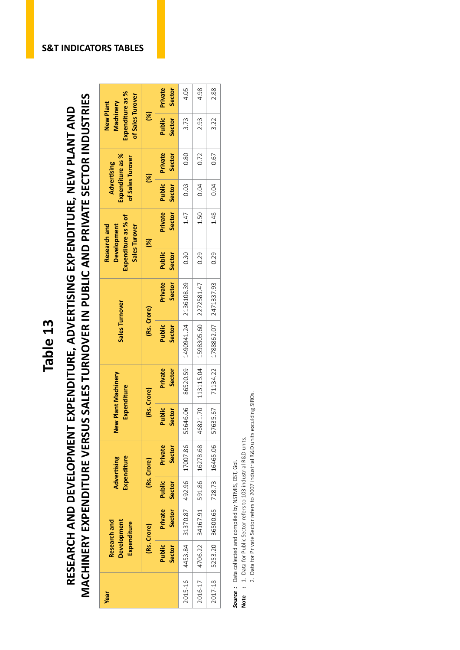# MACHINERY EXPENDITURE VERSUS SALES TURNOVER IN PUBLIC AND PRIVATE SECTOR INDUSTRIES RESEARCH AND DEVELOPMENT EXPENDITURE, ADVERTISING EXPENDITURE, NEW PLANT AND

|                 |                                                                                                                                            |                                                                         |               | Private<br>Sector | 4.05          | 4.98          | 2.88       |
|-----------------|--------------------------------------------------------------------------------------------------------------------------------------------|-------------------------------------------------------------------------|---------------|-------------------|---------------|---------------|------------|
|                 |                                                                                                                                            | Expenditure as %<br>of Sales Turover<br>Machinery<br>New Plant          | $\mathcal{E}$ | Public<br>Sector  | 3.73          | 2.93          | 3.22       |
|                 |                                                                                                                                            | Expenditure as %<br>of Sales Turover<br>Advertising                     | 8             | Private<br>Sector | 0.80          | 0.72          | 0.67       |
|                 |                                                                                                                                            |                                                                         |               | Public<br>Sector  | 0.03          | 0.04          | 0.04       |
|                 |                                                                                                                                            | Expenditure as % of<br>Research and<br>Development<br>Sales Turover     | $\mathcal{S}$ | Private<br>Sector | 1.47          | 1.50          | 1.48       |
|                 |                                                                                                                                            |                                                                         |               | Public<br>Sector  | 0.30          | 0.29          | 0.29       |
|                 |                                                                                                                                            | <b>Sales Turnover</b>                                                   |               | Private<br>Sector | 2136108.39    | 2272581.47    | 2471337.93 |
| <b>Table 13</b> |                                                                                                                                            |                                                                         | (Rs. Crore)   | Public<br>Sector  | 1490941.24    | 1598305.60    | 1788862.07 |
|                 | MACHINERY EXPENDITURE VERSUS SALES TURNOVER IN PUBLIC AND PRIVATE SECTOR INDUSTRIES<br>EXPENDITURE, ADVERTISING EXPENDITURE, NEW PLANT AND | New Plant Machinery<br>Expenditure<br>Expenditure<br><b>Advertising</b> |               | Private<br>Sector | 86520.59      | 113115.04     | 71134.22   |
|                 |                                                                                                                                            |                                                                         | (Rs. Crore)   | Public<br>Sector  | 16.06<br>5564 | 21.70<br>4682 | 57635.67   |
|                 |                                                                                                                                            |                                                                         | (Rs. Crore)   | Private<br>Sector | 17007.86      | 16278.68      | 16465.06   |
|                 |                                                                                                                                            |                                                                         |               | Public<br>Sector  | 492.96        | 591.86        | 728.73     |
|                 | RESEARCH AND DEVELOPMENT                                                                                                                   | Research and<br><b>Development</b><br>Expenditure                       | (Rs. Crore)   | Sector<br>Private | 31370.87      | 34167.91      | 36500.65   |
|                 |                                                                                                                                            |                                                                         |               | Public<br>Sector  | 4453.84       | 4706.22       | 5253.20    |
|                 |                                                                                                                                            | Year                                                                    |               |                   | 2015-16       | 2016-17       | 2017-18    |

**Source**: Data collected and compiled by NSTMIS, DST, GoI.<br>Note : 1. Data for Public Sector refers to 103 industrial R&D units. *Source :* Data collected and compiled by NSTMIS, DST, GoI.

**Note :** 1. Data for Public Sector refers to 103 industrial R&D units.

2. Data for Private Sector refers to 2007 industrial R&D units exculding SIROs. 2. Data for Private Sector refers to 2007 industrial R&D units exculding SIROs.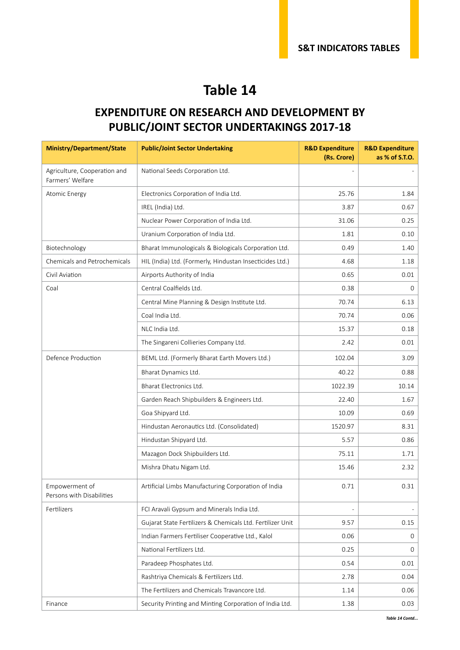#### **EXPENDITURE ON RESEARCH AND DEVELOPMENT BY PUBLIC/JOINT SECTOR UNDERTAKINGS 2017-18**

| <b>Ministry/Department/State</b>                 | <b>Public/Joint Sector Undertaking</b>                     | <b>R&amp;D Expenditure</b><br>(Rs. Crore) | <b>R&amp;D Expenditure</b><br>as % of S.T.O. |
|--------------------------------------------------|------------------------------------------------------------|-------------------------------------------|----------------------------------------------|
| Agriculture, Cooperation and<br>Farmers' Welfare | National Seeds Corporation Ltd.                            |                                           |                                              |
| Atomic Energy                                    | Electronics Corporation of India Ltd.                      | 25.76                                     | 1.84                                         |
|                                                  | IREL (India) Ltd.                                          | 3.87                                      | 0.67                                         |
|                                                  | Nuclear Power Corporation of India Ltd.                    | 31.06                                     | 0.25                                         |
|                                                  | Uranium Corporation of India Ltd.                          | 1.81                                      | 0.10                                         |
| Biotechnology                                    | Bharat Immunologicals & Biologicals Corporation Ltd.       | 0.49                                      | 1.40                                         |
| Chemicals and Petrochemicals                     | HIL (India) Ltd. (Formerly, Hindustan Insecticides Ltd.)   | 4.68                                      | 1.18                                         |
| Civil Aviation                                   | Airports Authority of India                                | 0.65                                      | 0.01                                         |
| Coal                                             | Central Coalfields Ltd.                                    | 0.38                                      | 0                                            |
|                                                  | Central Mine Planning & Design Institute Ltd.              | 70.74                                     | 6.13                                         |
|                                                  | Coal India Ltd.                                            | 70.74                                     | 0.06                                         |
|                                                  | NLC India Ltd.                                             | 15.37                                     | 0.18                                         |
|                                                  | The Singareni Collieries Company Ltd.                      | 2.42                                      | 0.01                                         |
| Defence Production                               | BEML Ltd. (Formerly Bharat Earth Movers Ltd.)              | 102.04                                    | 3.09                                         |
|                                                  | Bharat Dynamics Ltd.                                       | 40.22                                     | 0.88                                         |
|                                                  | Bharat Electronics Ltd.                                    | 1022.39                                   | 10.14                                        |
|                                                  | Garden Reach Shipbuilders & Engineers Ltd.                 | 22.40                                     | 1.67                                         |
|                                                  | Goa Shipyard Ltd.                                          | 10.09                                     | 0.69                                         |
|                                                  | Hindustan Aeronautics Ltd. (Consolidated)                  | 1520.97                                   | 8.31                                         |
|                                                  | Hindustan Shipyard Ltd.                                    | 5.57                                      | 0.86                                         |
|                                                  | Mazagon Dock Shipbuilders Ltd.                             | 75.11                                     | 1.71                                         |
|                                                  | Mishra Dhatu Nigam Ltd.                                    | 15.46                                     | 2.32                                         |
| Empowerment of<br>Persons with Disabilities      | Artificial Limbs Manufacturing Corporation of India        | 0.71                                      | 0.31                                         |
| Fertilizers                                      | FCI Aravali Gypsum and Minerals India Ltd.                 |                                           |                                              |
|                                                  | Gujarat State Fertilizers & Chemicals Ltd. Fertilizer Unit | 9.57                                      | 0.15                                         |
|                                                  | Indian Farmers Fertiliser Cooperative Ltd., Kalol          | 0.06                                      | 0                                            |
|                                                  | National Fertilizers Ltd.                                  | 0.25                                      | 0                                            |
|                                                  | Paradeep Phosphates Ltd.                                   | 0.54                                      | 0.01                                         |
|                                                  | Rashtriya Chemicals & Fertilizers Ltd.                     | 2.78                                      | 0.04                                         |
|                                                  | The Fertilizers and Chemicals Travancore Ltd.              | 1.14                                      | 0.06                                         |
| Finance                                          | Security Printing and Minting Corporation of India Ltd.    | 1.38                                      | 0.03                                         |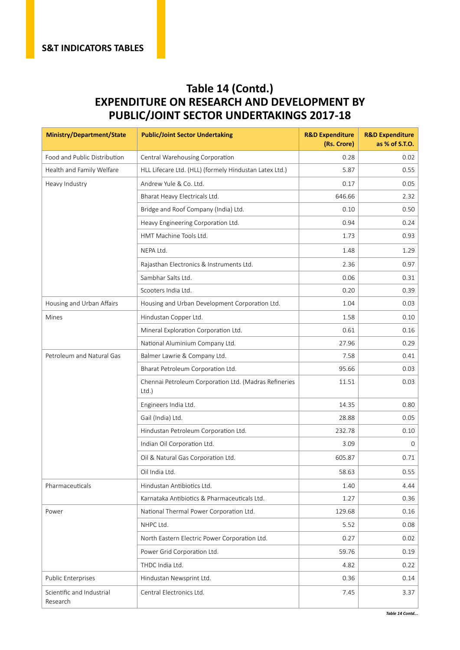#### **Table 14 (Contd.) EXPENDITURE ON RESEARCH AND DEVELOPMENT BY PUBLIC/JOINT SECTOR UNDERTAKINGS 2017-18**

| <b>Ministry/Department/State</b>      | <b>Public/Joint Sector Undertaking</b>                         | <b>R&amp;D Expenditure</b><br>(Rs. Crore) | <b>R&amp;D Expenditure</b><br>as % of S.T.O. |
|---------------------------------------|----------------------------------------------------------------|-------------------------------------------|----------------------------------------------|
| Food and Public Distribution          | Central Warehousing Corporation                                | 0.28                                      | 0.02                                         |
| Health and Family Welfare             | HLL Lifecare Ltd. (HLL) (formely Hindustan Latex Ltd.)         | 5.87                                      | 0.55                                         |
| Heavy Industry                        | Andrew Yule & Co. Ltd.                                         | 0.17                                      | 0.05                                         |
|                                       | Bharat Heavy Electricals Ltd.                                  | 646.66                                    | 2.32                                         |
|                                       | Bridge and Roof Company (India) Ltd.                           | 0.10                                      | 0.50                                         |
|                                       | Heavy Engineering Corporation Ltd.                             | 0.94                                      | 0.24                                         |
|                                       | HMT Machine Tools Ltd.                                         | 1.73                                      | 0.93                                         |
|                                       | NEPA Ltd.                                                      | 1.48                                      | 1.29                                         |
|                                       | Rajasthan Electronics & Instruments Ltd.                       | 2.36                                      | 0.97                                         |
|                                       | Sambhar Salts Ltd.                                             | 0.06                                      | 0.31                                         |
|                                       | Scooters India Ltd.                                            | 0.20                                      | 0.39                                         |
| Housing and Urban Affairs             | Housing and Urban Development Corporation Ltd.                 | 1.04                                      | 0.03                                         |
| Mines                                 | Hindustan Copper Ltd.                                          | 1.58                                      | 0.10                                         |
|                                       | Mineral Exploration Corporation Ltd.                           | 0.61                                      | 0.16                                         |
|                                       | National Aluminium Company Ltd.                                | 27.96                                     | 0.29                                         |
| Petroleum and Natural Gas             | Balmer Lawrie & Company Ltd.                                   | 7.58                                      | 0.41                                         |
|                                       | Bharat Petroleum Corporation Ltd.                              | 95.66                                     | 0.03                                         |
|                                       | Chennai Petroleum Corporation Ltd. (Madras Refineries<br>Ltd.) | 11.51                                     | 0.03                                         |
|                                       | Engineers India Ltd.                                           | 14.35                                     | 0.80                                         |
|                                       | Gail (India) Ltd.                                              | 28.88                                     | 0.05                                         |
|                                       | Hindustan Petroleum Corporation Ltd.                           | 232.78                                    | 0.10                                         |
|                                       | Indian Oil Corporation Ltd.                                    | 3.09                                      | 0                                            |
|                                       | Oil & Natural Gas Corporation Ltd.                             | 605.87                                    | 0.71                                         |
|                                       | Oil India Ltd.                                                 | 58.63                                     | 0.55                                         |
| Pharmaceuticals                       | Hindustan Antibiotics Ltd.                                     | 1.40                                      | 4.44                                         |
|                                       | Karnataka Antibiotics & Pharmaceuticals Ltd.                   | 1.27                                      | 0.36                                         |
| Power                                 | National Thermal Power Corporation Ltd.                        | 129.68                                    | 0.16                                         |
|                                       | NHPC Ltd.                                                      | 5.52                                      | 0.08                                         |
|                                       | North Eastern Electric Power Corporation Ltd.                  | 0.27                                      | 0.02                                         |
|                                       | Power Grid Corporation Ltd.                                    | 59.76                                     | 0.19                                         |
|                                       | THDC India Ltd.                                                | 4.82                                      | 0.22                                         |
| Public Enterprises                    | Hindustan Newsprint Ltd.                                       | 0.36                                      | 0.14                                         |
| Scientific and Industrial<br>Research | Central Electronics Ltd.                                       | 7.45                                      | 3.37                                         |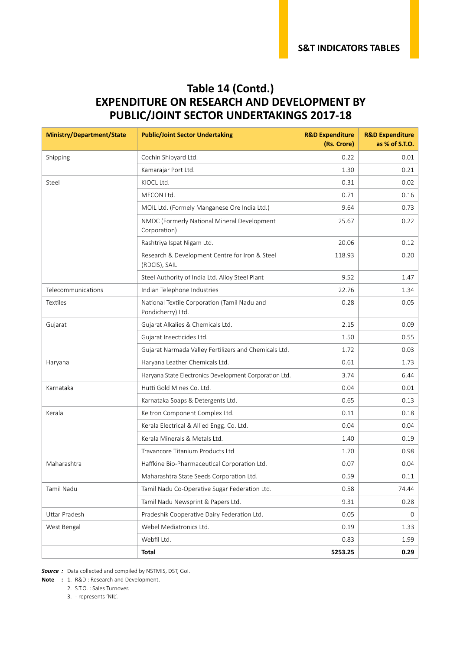#### **Table 14 (Contd.) EXPENDITURE ON RESEARCH AND DEVELOPMENT BY PUBLIC/JOINT SECTOR UNDERTAKINGS 2017-18**

| <b>Ministry/Department/State</b> | <b>Public/Joint Sector Undertaking</b>                            | <b>R&amp;D Expenditure</b><br>(Rs. Crore) | <b>R&amp;D Expenditure</b><br>as % of S.T.O. |
|----------------------------------|-------------------------------------------------------------------|-------------------------------------------|----------------------------------------------|
| Shipping                         | Cochin Shipyard Ltd.                                              | 0.22                                      | 0.01                                         |
|                                  | Kamarajar Port Ltd.                                               | 1.30                                      | 0.21                                         |
| Steel                            | KIOCL Ltd.                                                        | 0.31                                      | 0.02                                         |
|                                  | MECON Ltd.                                                        | 0.71                                      | 0.16                                         |
|                                  | MOIL Ltd. (Formely Manganese Ore India Ltd.)                      | 9.64                                      | 0.73                                         |
|                                  | NMDC (Formerly National Mineral Development<br>Corporation)       | 25.67                                     | 0.22                                         |
|                                  | Rashtriya Ispat Nigam Ltd.                                        | 20.06                                     | 0.12                                         |
|                                  | Research & Development Centre for Iron & Steel<br>(RDCIS), SAIL   | 118.93                                    | 0.20                                         |
|                                  | Steel Authority of India Ltd. Alloy Steel Plant                   | 9.52                                      | 1.47                                         |
| Telecommunications               | Indian Telephone Industries                                       | 22.76                                     | 1.34                                         |
| Textiles                         | National Textile Corporation (Tamil Nadu and<br>Pondicherry) Ltd. | 0.28                                      | 0.05                                         |
| Gujarat                          | Gujarat Alkalies & Chemicals Ltd.                                 | 2.15                                      | 0.09                                         |
|                                  | Gujarat Insecticides Ltd.                                         | 1.50                                      | 0.55                                         |
|                                  | Gujarat Narmada Valley Fertilizers and Chemicals Ltd.             | 1.72                                      | 0.03                                         |
| Haryana                          | Haryana Leather Chemicals Ltd.                                    | 0.61                                      | 1.73                                         |
|                                  | Haryana State Electronics Development Corporation Ltd.            | 3.74                                      | 6.44                                         |
| Karnataka                        | Hutti Gold Mines Co. Ltd.                                         | 0.04                                      | 0.01                                         |
|                                  | Karnataka Soaps & Detergents Ltd.                                 | 0.65                                      | 0.13                                         |
| Kerala                           | Keltron Component Complex Ltd.                                    | 0.11                                      | 0.18                                         |
|                                  | Kerala Electrical & Allied Engg. Co. Ltd.                         | 0.04                                      | 0.04                                         |
|                                  | Kerala Minerals & Metals Ltd.                                     | 1.40                                      | 0.19                                         |
|                                  | Travancore Titanium Products Ltd                                  | 1.70                                      | 0.98                                         |
| Maharashtra                      | Haffkine Bio-Pharmaceutical Corporation Ltd.                      | 0.07                                      | 0.04                                         |
|                                  | Maharashtra State Seeds Corporation Ltd.                          | 0.59                                      | 0.11                                         |
| Tamil Nadu                       | Tamil Nadu Co-Operative Sugar Federation Ltd.                     | 0.58                                      | 74.44                                        |
|                                  | Tamil Nadu Newsprint & Papers Ltd.                                | 9.31                                      | 0.28                                         |
| Uttar Pradesh                    | Pradeshik Cooperative Dairy Federation Ltd.                       | 0.05                                      | 0                                            |
| West Bengal                      | Webel Mediatronics Ltd.                                           | 0.19                                      | 1.33                                         |
|                                  | Webfil Ltd.                                                       | 0.83                                      | 1.99                                         |
|                                  | Total                                                             | 5253.25                                   | 0.29                                         |

*Source :* Data collected and compiled by NSTMIS, DST, GoI.

**Note :** 1. R&D : Research and Development.

2. S.T.O. : Sales Turnover.

3. - represents 'NIL'.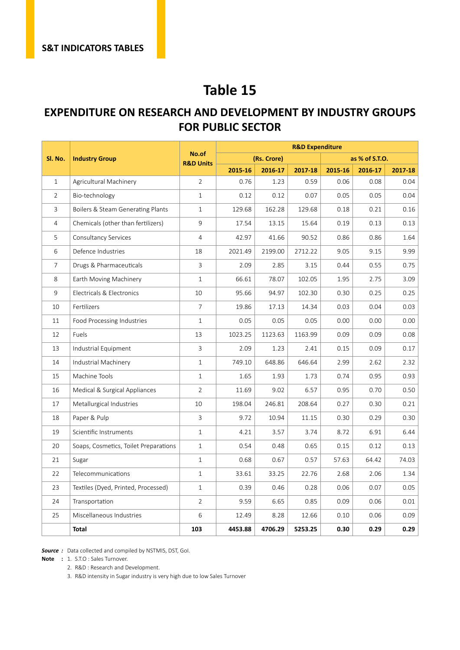#### **EXPENDITURE ON RESEARCH AND DEVELOPMENT BY INDUSTRY GROUPS FOR PUBLIC SECTOR**

|                |                                       |                               |         |             | <b>R&amp;D Expenditure</b> |         |                |         |
|----------------|---------------------------------------|-------------------------------|---------|-------------|----------------------------|---------|----------------|---------|
| Sl. No.        | <b>Industry Group</b>                 | No.of<br><b>R&amp;D Units</b> |         | (Rs. Crore) |                            |         | as % of S.T.O. |         |
|                |                                       |                               | 2015-16 | 2016-17     | 2017-18                    | 2015-16 | 2016-17        | 2017-18 |
| $\mathbf{1}$   | Agricultural Machinery                | $\overline{2}$                | 0.76    | 1.23        | 0.59                       | 0.06    | 0.08           | 0.04    |
| $\overline{2}$ | Bio-technology                        | $\mathbf{1}$                  | 0.12    | 0.12        | 0.07                       | 0.05    | 0.05           | 0.04    |
| 3              | Boilers & Steam Generating Plants     | $\mathbf{1}$                  | 129.68  | 162.28      | 129.68                     | 0.18    | 0.21           | 0.16    |
| 4              | Chemicals (other than fertilizers)    | 9                             | 17.54   | 13.15       | 15.64                      | 0.19    | 0.13           | 0.13    |
| 5              | Consultancy Services                  | $\overline{4}$                | 42.97   | 41.66       | 90.52                      | 0.86    | 0.86           | 1.64    |
| 6              | Defence Industries                    | 18                            | 2021.49 | 2199.00     | 2712.22                    | 9.05    | 9.15           | 9.99    |
| $\overline{7}$ | Drugs & Pharmaceuticals               | 3                             | 2.09    | 2.85        | 3.15                       | 0.44    | 0.55           | 0.75    |
| 8              | Earth Moving Machinery                | $\mathbf{1}$                  | 66.61   | 78.07       | 102.05                     | 1.95    | 2.75           | 3.09    |
| 9              | Electricals & Electronics             | 10                            | 95.66   | 94.97       | 102.30                     | 0.30    | 0.25           | 0.25    |
| 10             | Fertilizers                           | $\overline{7}$                | 19.86   | 17.13       | 14.34                      | 0.03    | 0.04           | 0.03    |
| 11             | Food Processing Industries            | $\mathbf{1}$                  | 0.05    | 0.05        | 0.05                       | 0.00    | 0.00           | 0.00    |
| 12             | Fuels                                 | 13                            | 1023.25 | 1123.63     | 1163.99                    | 0.09    | 0.09           | 0.08    |
| 13             | Industrial Equipment                  | 3                             | 2.09    | 1.23        | 2.41                       | 0.15    | 0.09           | 0.17    |
| 14             | Industrial Machinery                  | $\mathbf{1}$                  | 749.10  | 648.86      | 646.64                     | 2.99    | 2.62           | 2.32    |
| 15             | Machine Tools                         | $\mathbf{1}$                  | 1.65    | 1.93        | 1.73                       | 0.74    | 0.95           | 0.93    |
| 16             | Medical & Surgical Appliances         | $\overline{2}$                | 11.69   | 9.02        | 6.57                       | 0.95    | 0.70           | 0.50    |
| 17             | Metallurgical Industries              | 10                            | 198.04  | 246.81      | 208.64                     | 0.27    | 0.30           | 0.21    |
| 18             | Paper & Pulp                          | 3                             | 9.72    | 10.94       | 11.15                      | 0.30    | 0.29           | 0.30    |
| 19             | Scientific Instruments                | $\mathbf{1}$                  | 4.21    | 3.57        | 3.74                       | 8.72    | 6.91           | 6.44    |
| 20             | Soaps, Cosmetics, Toilet Preparations | $\mathbf{1}$                  | 0.54    | 0.48        | 0.65                       | 0.15    | 0.12           | 0.13    |
| 21             | Sugar                                 | $\mathbf{1}$                  | 0.68    | 0.67        | 0.57                       | 57.63   | 64.42          | 74.03   |
| 22             | Telecommunications                    | $\mathbf{1}$                  | 33.61   | 33.25       | 22.76                      | 2.68    | 2.06           | 1.34    |
| 23             | Textiles (Dyed, Printed, Processed)   | $\mathbf{1}$                  | 0.39    | 0.46        | 0.28                       | 0.06    | 0.07           | 0.05    |
| 24             | Transportation                        | $\overline{2}$                | 9.59    | 6.65        | 0.85                       | 0.09    | 0.06           | 0.01    |
| 25             | Miscellaneous Industries              | 6                             | 12.49   | 8.28        | 12.66                      | 0.10    | 0.06           | 0.09    |
|                | Total                                 | 103                           | 4453.88 | 4706.29     | 5253.25                    | 0.30    | 0.29           | 0.29    |

*Source :* Data collected and compiled by NSTMIS, DST, GoI.

**Note :** 1. S.T.O : Sales Turnover.

2. R&D : Research and Development.

3. R&D intensity in Sugar industry is very high due to low Sales Turnover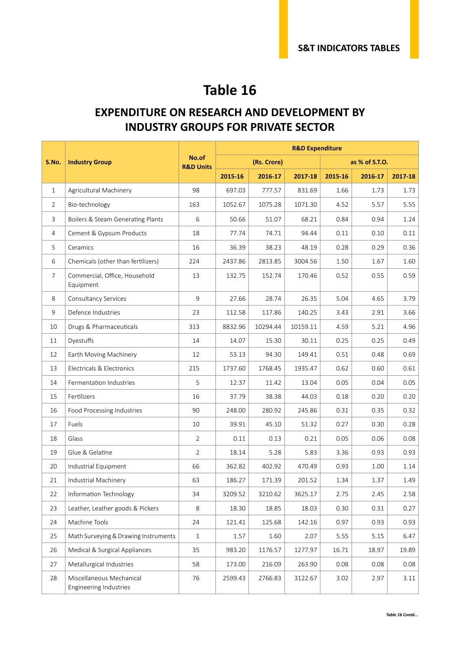#### **EXPENDITURE ON RESEARCH AND DEVELOPMENT BY INDUSTRY GROUPS FOR PRIVATE SECTOR**

|                |                                                           |                               |         |             | <b>R&amp;D Expenditure</b> |         |                |         |
|----------------|-----------------------------------------------------------|-------------------------------|---------|-------------|----------------------------|---------|----------------|---------|
| S.No.          | <b>Industry Group</b>                                     | No.of<br><b>R&amp;D Units</b> |         | (Rs. Crore) |                            |         | as % of S.T.O. |         |
|                |                                                           |                               | 2015-16 | 2016-17     | 2017-18                    | 2015-16 | 2016-17        | 2017-18 |
| $\mathbf{1}$   | Agricultural Machinery                                    | 98                            | 697.03  | 777.57      | 831.69                     | 1.66    | 1.73           | 1.73    |
| $\overline{2}$ | Bio-technology                                            | 163                           | 1052.67 | 1075.28     | 1071.30                    | 4.52    | 5.57           | 5.55    |
| 3              | Boilers & Steam Generating Plants                         | 6                             | 50.66   | 51.07       | 68.21                      | 0.84    | 0.94           | 1.24    |
| $\overline{4}$ | Cement & Gypsum Products                                  | 18                            | 77.74   | 74.71       | 94.44                      | 0.11    | 0.10           | 0.11    |
| 5              | Ceramics                                                  | 16                            | 36.39   | 38.23       | 48.19                      | 0.28    | 0.29           | 0.36    |
| 6              | Chemicals (other than fertilizers)                        | 224                           | 2437.86 | 2813.85     | 3004.56                    | 1.50    | 1.67           | 1.60    |
| $\overline{7}$ | Commercial, Office, Household<br>Equipment                | 13                            | 132.75  | 152.74      | 170.46                     | 0.52    | 0.55           | 0.59    |
| 8              | Consultancy Services                                      | 9                             | 27.66   | 28.74       | 26.35                      | 5.04    | 4.65           | 3.79    |
| 9              | Defence Industries                                        | 23                            | 112.58  | 117.86      | 140.25                     | 3.43    | 2.91           | 3.66    |
| 10             | Drugs & Pharmaceuticals                                   | 313                           | 8832.96 | 10294.44    | 10159.11                   | 4.59    | 5.21           | 4.96    |
| 11             | Dyestuffs                                                 | 14                            | 14.07   | 15.30       | 30.11                      | 0.25    | 0.25           | 0.49    |
| 12             | Earth Moving Machinery                                    | 12                            | 53.13   | 94.30       | 149.41                     | 0.51    | 0.48           | 0.69    |
| 13             | Electricals & Electronics                                 | 215                           | 1737.60 | 1768.45     | 1935.47                    | 0.62    | 0.60           | 0.61    |
| 14             | Fermentation Industries                                   | 5                             | 12.37   | 11.42       | 13.04                      | 0.05    | 0.04           | 0.05    |
| 15             | Fertilizers                                               | 16                            | 37.79   | 38.38       | 44.03                      | 0.18    | 0.20           | 0.20    |
| 16             | Food Processing Industries                                | 90                            | 248.00  | 280.92      | 245.86                     | 0.31    | 0.35           | 0.32    |
| 17             | Fuels                                                     | 10                            | 39.91   | 45.10       | 51.32                      | 0.27    | 0.30           | 0.28    |
| 18             | Glass                                                     | $\overline{2}$                | 0.11    | 0.13        | 0.21                       | 0.05    | 0.06           | 0.08    |
| 19             | Glue & Gelatine                                           | $\overline{2}$                | 18.14   | 5.28        | 5.83                       | 3.36    | 0.93           | 0.93    |
| 20             | Industrial Equipment                                      | 66                            | 362.82  | 402.92      | 470.49                     | 0.93    | 1.00           | 1.14    |
| 21             | Industrial Machinery                                      | 63                            | 186.27  | 171.39      | 201.52                     | 1.34    | 1.37           | 1.49    |
| 22             | Information Technology                                    | 34                            | 3209.52 | 3210.62     | 3625.17                    | 2.75    | 2.45           | 2.58    |
| 23             | Leather, Leather goods & Pickers                          | 8                             | 18.30   | 18.85       | 18.03                      | 0.30    | 0.31           | 0.27    |
| 24             | Machine Tools                                             | 24                            | 121.41  | 125.68      | 142.16                     | 0.97    | 0.93           | 0.93    |
| 25             | Math Surveying & Drawing Instruments                      | 1                             | 1.57    | 1.60        | 2.07                       | 5.55    | 5.15           | 6.47    |
| 26             | Medical & Surgical Appliances                             | 35                            | 983.20  | 1176.57     | 1277.97                    | 16.71   | 18.97          | 19.89   |
| 27             | Metallurgical Industries                                  | 58                            | 173.00  | 216.09      | 263.90                     | 0.08    | 0.08           | 0.08    |
| 28             | Miscellaneous Mechanical<br><b>Engineering Industries</b> | 76                            | 2599.43 | 2766.83     | 3122.67                    | 3.02    | 2.97           | 3.11    |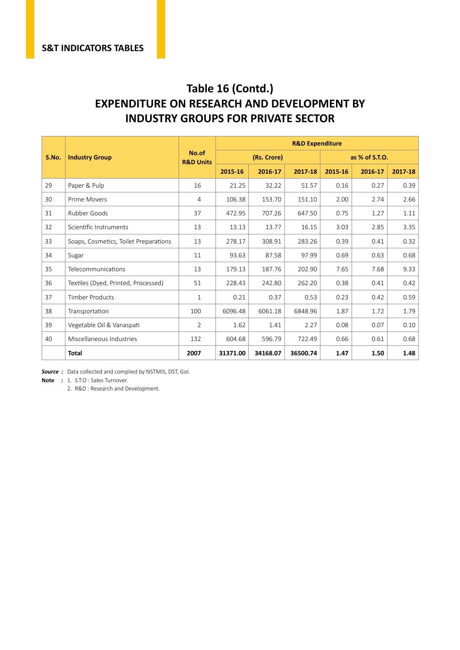#### **Table 16 (Contd.) EXPENDITURE ON RESEARCH AND DEVELOPMENT BY INDUSTRY GROUPS FOR PRIVATE SECTOR**

|       |                                       |                               |          |             | <b>R&amp;D Expenditure</b> |         |                |         |
|-------|---------------------------------------|-------------------------------|----------|-------------|----------------------------|---------|----------------|---------|
| S.No. | <b>Industry Group</b>                 | No.of<br><b>R&amp;D Units</b> |          | (Rs. Crore) |                            |         | as % of S.T.O. |         |
|       |                                       |                               | 2015-16  | 2016-17     | 2017-18                    | 2015-16 | 2016-17        | 2017-18 |
| 29    | Paper & Pulp                          | 16                            | 21.25    | 32.22       | 51.57                      | 0.16    | 0.27           | 0.39    |
| 30    | Prime Movers                          | 4                             | 106.38   | 153.70      | 151.10                     | 2.00    | 2.74           | 2.66    |
| 31    | Rubber Goods                          | 37                            | 472.95   | 707.26      | 647.50                     | 0.75    | 1.27           | 1.11    |
| 32    | Scientific Instruments                | 13                            | 13.13    | 13.77       | 16.15                      | 3.03    | 2.85           | 3.35    |
| 33    | Soaps, Cosmetics, Toilet Preparations | 13                            | 278.17   | 308.91      | 283.26                     | 0.39    | 0.41           | 0.32    |
| 34    | Sugar                                 | 11                            | 93.63    | 87.58       | 97.99                      | 0.69    | 0.63           | 0.68    |
| 35    | Telecommunications                    | 13                            | 179.13   | 187.76      | 202.90                     | 7.65    | 7.68           | 9.33    |
| 36    | Textiles (Dyed, Printed, Processed)   | 51                            | 228.43   | 242.80      | 262.20                     | 0.38    | 0.41           | 0.42    |
| 37    | <b>Timber Products</b>                | $\mathbf{1}$                  | 0.21     | 0.37        | 0.53                       | 0.23    | 0.42           | 0.59    |
| 38    | Transportation                        | 100                           | 6096.48  | 6061.18     | 6848.96                    | 1.87    | 1.72           | 1.79    |
| 39    | Vegetable Oil & Vanaspati             | $\overline{2}$                | 1.62     | 1.41        | 2.27                       | 0.08    | 0.07           | 0.10    |
| 40    | Miscellaneous Industries              | 132                           | 604.68   | 596.79      | 722.49                     | 0.66    | 0.61           | 0.68    |
|       | <b>Total</b>                          | 2007                          | 31371.00 | 34168.07    | 36500.74                   | 1.47    | 1.50           | 1.48    |

*Source :* Data collected and complied by NSTMIS, DST, GoI.

**Note :** 1. S.T.O : Sales Turnover.

2. R&D : Research and Development.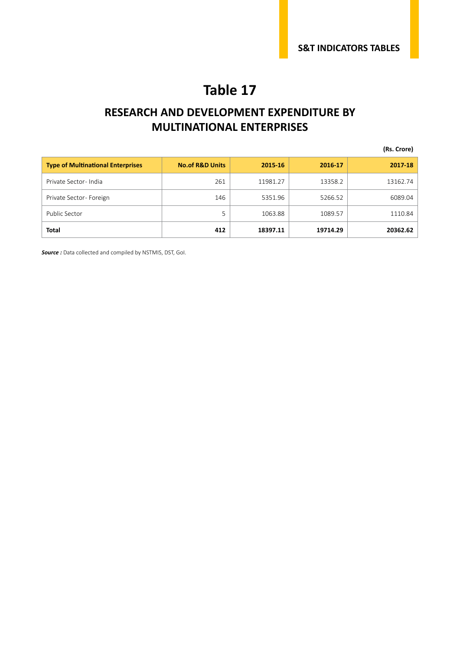#### **RESEARCH AND DEVELOPMENT EXPENDITURE BY MULTINATIONAL ENTERPRISES**

**(Rs. Crore)**

| <b>Type of Multinational Enterprises</b> | <b>No.of R&amp;D Units</b> | 2015-16  | 2016-17  | 2017-18  |
|------------------------------------------|----------------------------|----------|----------|----------|
| Private Sector-India                     | 261                        | 11981.27 | 13358.2  | 13162.74 |
| Private Sector-Foreign                   | 146                        | 5351.96  | 5266.52  | 6089.04  |
| Public Sector                            | 5                          | 1063.88  | 1089.57  | 1110.84  |
| <b>Total</b>                             | 412                        | 18397.11 | 19714.29 | 20362.62 |

*Source :* Data collected and compiled by NSTMIS, DST, GoI.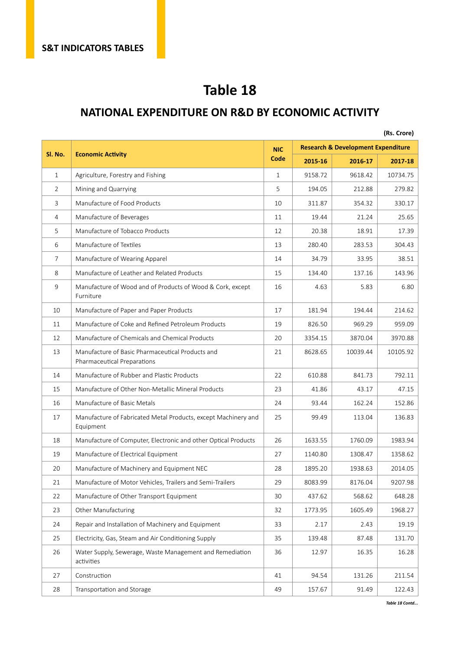#### **NATIONAL EXPENDITURE ON R&D BY ECONOMIC ACTIVITY**

|         |                                                                                 |              |         |                                               | (Rs. Crore) |
|---------|---------------------------------------------------------------------------------|--------------|---------|-----------------------------------------------|-------------|
|         |                                                                                 | <b>NIC</b>   |         | <b>Research &amp; Development Expenditure</b> |             |
| SI. No. | <b>Economic Activity</b>                                                        | Code         | 2015-16 | 2016-17                                       | 2017-18     |
| 1       | Agriculture, Forestry and Fishing                                               | $\mathbf{1}$ | 9158.72 | 9618.42                                       | 10734.75    |
| 2       | Mining and Quarrying                                                            | 5            | 194.05  | 212.88                                        | 279.82      |
| 3       | Manufacture of Food Products                                                    | 10           | 311.87  | 354.32                                        | 330.17      |
| 4       | Manufacture of Beverages                                                        | 11           | 19.44   | 21.24                                         | 25.65       |
| 5       | Manufacture of Tobacco Products                                                 | 12           | 20.38   | 18.91                                         | 17.39       |
| 6       | Manufacture of Textiles                                                         | 13           | 280.40  | 283.53                                        | 304.43      |
| 7       | Manufacture of Wearing Apparel                                                  | 14           | 34.79   | 33.95                                         | 38.51       |
| 8       | Manufacture of Leather and Related Products                                     | 15           | 134.40  | 137.16                                        | 143.96      |
| 9       | Manufacture of Wood and of Products of Wood & Cork, except<br>Furniture         | 16           | 4.63    | 5.83                                          | 6.80        |
| 10      | Manufacture of Paper and Paper Products                                         | 17           | 181.94  | 194.44                                        | 214.62      |
| 11      | Manufacture of Coke and Refined Petroleum Products                              | 19           | 826.50  | 969.29                                        | 959.09      |
| 12      | Manufacture of Chemicals and Chemical Products                                  | 20           | 3354.15 | 3870.04                                       | 3970.88     |
| 13      | Manufacture of Basic Pharmaceutical Products and<br>Pharmaceutical Preparations | 21           | 8628.65 | 10039.44                                      | 10105.92    |
| 14      | Manufacture of Rubber and Plastic Products                                      | 22           | 610.88  | 841.73                                        | 792.11      |
| 15      | Manufacture of Other Non-Metallic Mineral Products                              | 23           | 41.86   | 43.17                                         | 47.15       |
| 16      | Manufacture of Basic Metals                                                     | 24           | 93.44   | 162.24                                        | 152.86      |
| 17      | Manufacture of Fabricated Metal Products, except Machinery and<br>Equipment     | 25           | 99.49   | 113.04                                        | 136.83      |
| 18      | Manufacture of Computer, Electronic and other Optical Products                  | 26           | 1633.55 | 1760.09                                       | 1983.94     |
| 19      | Manufacture of Electrical Equipment                                             | 27           | 1140.80 | 1308.47                                       | 1358.62     |
| 20      | Manufacture of Machinery and Equipment NEC                                      | 28           | 1895.20 | 1938.63                                       | 2014.05     |
| 21      | Manufacture of Motor Vehicles, Trailers and Semi-Trailers                       | 29           | 8083.99 | 8176.04                                       | 9207.98     |
| 22      | Manufacture of Other Transport Equipment                                        | 30           | 437.62  | 568.62                                        | 648.28      |
| 23      | Other Manufacturing                                                             | 32           | 1773.95 | 1605.49                                       | 1968.27     |
| 24      | Repair and Installation of Machinery and Equipment                              | 33           | 2.17    | 2.43                                          | 19.19       |
| 25      | Electricity, Gas, Steam and Air Conditioning Supply                             | 35           | 139.48  | 87.48                                         | 131.70      |
| 26      | Water Supply, Sewerage, Waste Management and Remediation<br>activities          | 36           | 12.97   | 16.35                                         | 16.28       |
| 27      | Construction                                                                    | 41           | 94.54   | 131.26                                        | 211.54      |
| 28      | Transportation and Storage                                                      | 49           | 157.67  | 91.49                                         | 122.43      |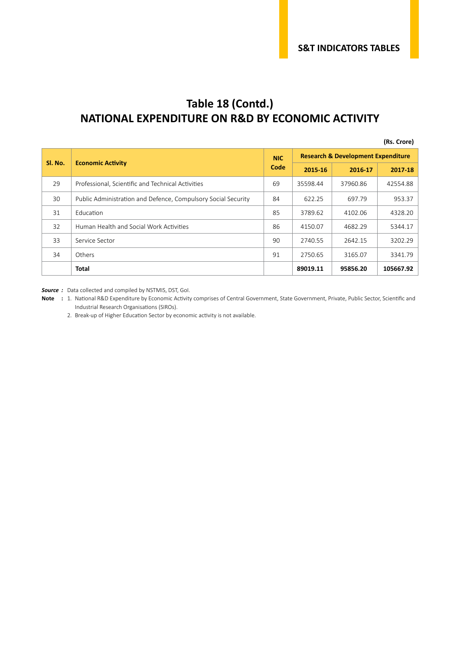#### **Table 18 (Contd.) NATIONAL EXPENDITURE ON R&D BY ECONOMIC ACTIVITY**

**(Rs. Crore)**

|         |                                                               |      |          | <b>Research &amp; Development Expenditure</b> |           |
|---------|---------------------------------------------------------------|------|----------|-----------------------------------------------|-----------|
| SI. No. | <b>Economic Activity</b>                                      | Code | 2015-16  | 2016-17                                       | 2017-18   |
| 29      | Professional, Scientific and Technical Activities             | 69   | 35598.44 | 37960.86                                      | 42554.88  |
| 30      | Public Administration and Defence, Compulsory Social Security | 84   | 622.25   | 697.79                                        | 953.37    |
| 31      | Education                                                     | 85   | 3789.62  | 4102.06                                       | 4328.20   |
| 32      | Human Health and Social Work Activities                       | 86   | 4150.07  | 4682.29                                       | 5344.17   |
| 33      | Service Sector                                                |      | 2740.55  | 2642.15                                       | 3202.29   |
| 34      | Others                                                        | 91   | 2750.65  | 3165.07                                       | 3341.79   |
|         | Total                                                         |      | 89019.11 | 95856.20                                      | 105667.92 |

*Source :* Data collected and compiled by NSTMIS, DST, GoI.

**Note :** 1. National R&D Expenditure by Economic Activity comprises of Central Government, State Government, Private, Public Sector, Scientific and Industrial Research Organisations (SIROs).

2. Break-up of Higher Education Sector by economic activity is not available.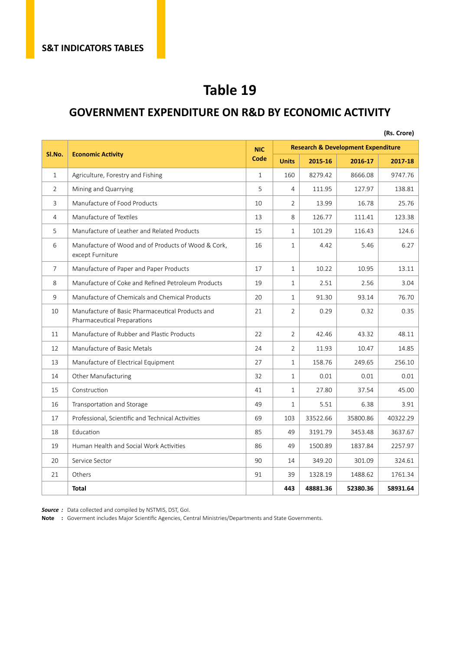#### **GOVERNMENT EXPENDITURE ON R&D BY ECONOMIC ACTIVITY**

|                |                                                                                 |              |                |                                               |          | (Rs. Crore) |  |  |
|----------------|---------------------------------------------------------------------------------|--------------|----------------|-----------------------------------------------|----------|-------------|--|--|
|                |                                                                                 | <b>NIC</b>   |                | <b>Research &amp; Development Expenditure</b> |          |             |  |  |
| SI.No.         | <b>Economic Activity</b>                                                        | Code         | <b>Units</b>   | 2015-16                                       | 2016-17  | 2017-18     |  |  |
| $\mathbf{1}$   | Agriculture, Forestry and Fishing                                               | $\mathbf{1}$ | 160            | 8279.42                                       | 8666.08  | 9747.76     |  |  |
| $\overline{2}$ | Mining and Quarrying                                                            | 5            | 4              | 111.95                                        | 127.97   | 138.81      |  |  |
| 3              | Manufacture of Food Products                                                    | 10           | $\overline{2}$ | 13.99                                         | 16.78    | 25.76       |  |  |
| 4              | Manufacture of Textiles                                                         | 13           | 8              | 126.77                                        | 111.41   | 123.38      |  |  |
| 5              | Manufacture of Leather and Related Products                                     | 15           | 1              | 101.29                                        | 116.43   | 124.6       |  |  |
| 6              | Manufacture of Wood and of Products of Wood & Cork,<br>except Furniture         | 16           | $\mathbf{1}$   | 4.42                                          | 5.46     | 6.27        |  |  |
| $\overline{7}$ | Manufacture of Paper and Paper Products                                         | 17           | $\mathbf{1}$   | 10.22                                         | 10.95    | 13.11       |  |  |
| 8              | Manufacture of Coke and Refined Petroleum Products                              | 19           | $\mathbf{1}$   | 2.51                                          | 2.56     | 3.04        |  |  |
| 9              | Manufacture of Chemicals and Chemical Products                                  | 20           | $\mathbf{1}$   | 91.30                                         | 93.14    | 76.70       |  |  |
| 10             | Manufacture of Basic Pharmaceutical Products and<br>Pharmaceutical Preparations | 21           | $\overline{2}$ | 0.29                                          | 0.32     | 0.35        |  |  |
| 11             | Manufacture of Rubber and Plastic Products                                      | 22           | $\overline{2}$ | 42.46                                         | 43.32    | 48.11       |  |  |
| 12             | Manufacture of Basic Metals                                                     | 24           | $\overline{2}$ | 11.93                                         | 10.47    | 14.85       |  |  |
| 13             | Manufacture of Electrical Equipment                                             | 27           | $\mathbf{1}$   | 158.76                                        | 249.65   | 256.10      |  |  |
| 14             | Other Manufacturing                                                             | 32           | $\mathbf{1}$   | 0.01                                          | 0.01     | 0.01        |  |  |
| 15             | Construction                                                                    | 41           | 1              | 27.80                                         | 37.54    | 45.00       |  |  |
| 16             | Transportation and Storage                                                      | 49           | $\mathbf{1}$   | 5.51                                          | 6.38     | 3.91        |  |  |
| 17             | Professional, Scientific and Technical Activities                               | 69           | 103            | 33522.66                                      | 35800.86 | 40322.29    |  |  |
| 18             | Education                                                                       | 85           | 49             | 3191.79                                       | 3453.48  | 3637.67     |  |  |
| 19             | Human Health and Social Work Activities                                         | 86           | 49             | 1500.89                                       | 1837.84  | 2257.97     |  |  |
| 20             | Service Sector                                                                  | 90           | 14             | 349.20                                        | 301.09   | 324.61      |  |  |
| 21             | Others                                                                          | 91           | 39             | 1328.19                                       | 1488.62  | 1761.34     |  |  |
|                | Total                                                                           |              | 443            | 48881.36                                      | 52380.36 | 58931.64    |  |  |

*Source :* Data collected and compiled by NSTMIS, DST, GoI.

**Note :** Goverment includes Major Scientific Agencies, Central Ministries/Departments and State Governments.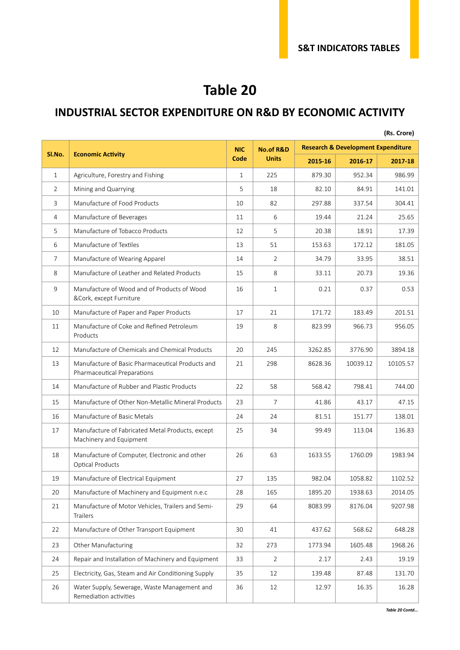#### **INDUSTRIAL SECTOR EXPENDITURE ON R&D BY ECONOMIC ACTIVITY**

|                |                                                                                 |              |                      |         |                                               | (Rs. Crore) |
|----------------|---------------------------------------------------------------------------------|--------------|----------------------|---------|-----------------------------------------------|-------------|
|                |                                                                                 | <b>NIC</b>   | <b>No.of R&amp;D</b> |         | <b>Research &amp; Development Expenditure</b> |             |
| SI.No.         | <b>Economic Activity</b>                                                        | Code         | <b>Units</b>         | 2015-16 | 2016-17                                       | 2017-18     |
| $\mathbf{1}$   | Agriculture, Forestry and Fishing                                               | $\mathbf{1}$ | 225                  | 879.30  | 952.34                                        | 986.99      |
| $\overline{2}$ | Mining and Quarrying                                                            |              | 18                   | 82.10   | 84.91                                         | 141.01      |
| 3              | Manufacture of Food Products                                                    |              | 82                   | 297.88  | 337.54                                        | 304.41      |
| 4              | Manufacture of Beverages                                                        |              | 6                    | 19.44   | 21.24                                         | 25.65       |
| 5              | Manufacture of Tobacco Products                                                 |              | 5                    | 20.38   | 18.91                                         | 17.39       |
| 6              | Manufacture of Textiles                                                         | 13           | 51                   | 153.63  | 172.12                                        | 181.05      |
| $\overline{7}$ | Manufacture of Wearing Apparel                                                  |              | $\overline{2}$       | 34.79   | 33.95                                         | 38.51       |
| 8              | Manufacture of Leather and Related Products                                     |              | 8                    | 33.11   | 20.73                                         | 19.36       |
| 9              | Manufacture of Wood and of Products of Wood<br>&Cork, except Furniture          |              | $\mathbf{1}$         | 0.21    | 0.37                                          | 0.53        |
| 10             | Manufacture of Paper and Paper Products                                         |              | 21                   | 171.72  | 183.49                                        | 201.51      |
| 11             | Manufacture of Coke and Refined Petroleum<br>Products                           |              | 8                    | 823.99  | 966.73                                        | 956.05      |
| 12             | Manufacture of Chemicals and Chemical Products                                  |              | 245                  | 3262.85 | 3776.90                                       | 3894.18     |
| 13             | Manufacture of Basic Pharmaceutical Products and<br>Pharmaceutical Preparations |              | 298                  | 8628.36 | 10039.12                                      | 10105.57    |
| 14             | Manufacture of Rubber and Plastic Products                                      |              | 58                   | 568.42  | 798.41                                        | 744.00      |
| 15             | Manufacture of Other Non-Metallic Mineral Products                              |              | 7                    | 41.86   | 43.17                                         | 47.15       |
| 16             | Manufacture of Basic Metals                                                     |              | 24                   | 81.51   | 151.77                                        | 138.01      |
| 17             | Manufacture of Fabricated Metal Products, except<br>Machinery and Equipment     |              | 34                   | 99.49   | 113.04                                        | 136.83      |
| 18             | Manufacture of Computer, Electronic and other<br><b>Optical Products</b>        |              | 63                   | 1633.55 | 1760.09                                       | 1983.94     |
| 19             | Manufacture of Electrical Equipment                                             | 27           | 135                  | 982.04  | 1058.82                                       | 1102.52     |
| 20             | Manufacture of Machinery and Equipment n.e.c                                    | 28           | 165                  | 1895.20 | 1938.63                                       | 2014.05     |
| 21             | Manufacture of Motor Vehicles, Trailers and Semi-<br><b>Trailers</b>            |              | 64                   | 8083.99 | 8176.04                                       | 9207.98     |
| 22             | Manufacture of Other Transport Equipment                                        | 30           | 41                   | 437.62  | 568.62                                        | 648.28      |
| 23             | Other Manufacturing                                                             | 32           | 273                  | 1773.94 | 1605.48                                       | 1968.26     |
| 24             | Repair and Installation of Machinery and Equipment                              | 33           | 2                    | 2.17    | 2.43                                          | 19.19       |
| 25             | Electricity, Gas, Steam and Air Conditioning Supply                             | 35           | 12                   | 139.48  | 87.48                                         | 131.70      |
| 26             | Water Supply, Sewerage, Waste Management and<br>Remediation activities          | 36           | 12                   | 12.97   | 16.35                                         | 16.28       |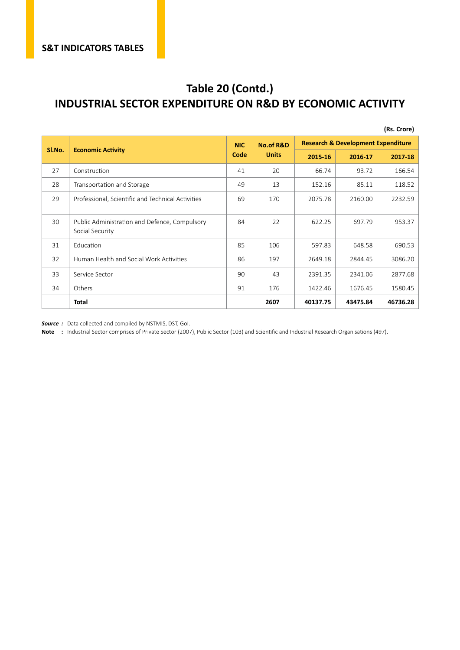#### **Table 20 (Contd.) INDUSTRIAL SECTOR EXPENDITURE ON R&D BY ECONOMIC ACTIVITY**

|        |                                                                  |            |                      |          |                                               | (Rs. Crore) |
|--------|------------------------------------------------------------------|------------|----------------------|----------|-----------------------------------------------|-------------|
|        |                                                                  | <b>NIC</b> | <b>No.of R&amp;D</b> |          | <b>Research &amp; Development Expenditure</b> |             |
| SI.No. | <b>Economic Activity</b>                                         | Code       | <b>Units</b>         | 2015-16  | 2016-17                                       | 2017-18     |
| 27     | Construction                                                     | 41         | 20                   | 66.74    | 93.72                                         | 166.54      |
| 28     | Transportation and Storage                                       | 49         | 13                   | 152.16   | 85.11                                         | 118.52      |
| 29     | Professional, Scientific and Technical Activities                |            | 170                  | 2075.78  | 2160.00                                       | 2232.59     |
| 30     | Public Administration and Defence, Compulsory<br>Social Security | 84         | 22                   | 622.25   | 697.79                                        | 953.37      |
| 31     | Education                                                        | 85         | 106                  | 597.83   | 648.58                                        | 690.53      |
| 32     | Human Health and Social Work Activities                          | 86         | 197                  | 2649.18  | 2844.45                                       | 3086.20     |
| 33     | Service Sector                                                   | 90         | 43                   | 2391.35  | 2341.06                                       | 2877.68     |
| 34     | Others                                                           | 91         | 176                  | 1422.46  | 1676.45                                       | 1580.45     |
|        | <b>Total</b>                                                     |            | 2607                 | 40137.75 | 43475.84                                      | 46736.28    |

*Source :* Data collected and compiled by NSTMIS, DST, GoI.

**Note :** Industrial Sector comprises of Private Sector (2007), Public Sector (103) and Scientific and Industrial Research Organisations (497).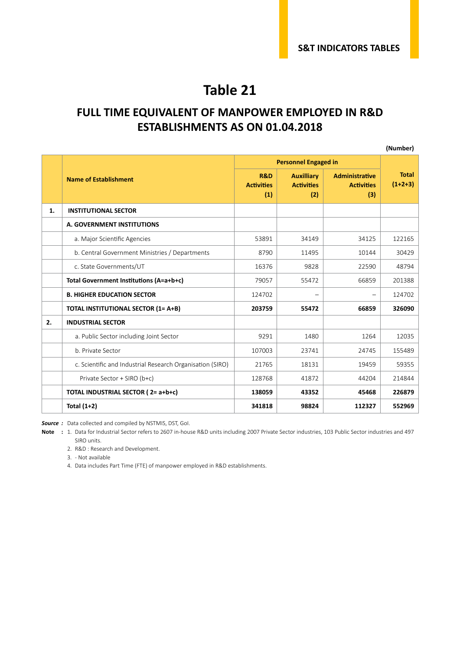#### **FULL TIME EQUIVALENT OF MANPOWER EMPLOYED IN R&D ESTABLISHMENTS AS ON 01.04.2018**

|    |                                                           |                                            |                                               |                                                   | (Number)                  |
|----|-----------------------------------------------------------|--------------------------------------------|-----------------------------------------------|---------------------------------------------------|---------------------------|
|    |                                                           |                                            | <b>Personnel Engaged in</b>                   |                                                   |                           |
|    | <b>Name of Establishment</b>                              | <b>R&amp;D</b><br><b>Activities</b><br>(1) | <b>Auxilliary</b><br><b>Activities</b><br>(2) | <b>Administrative</b><br><b>Activities</b><br>(3) | <b>Total</b><br>$(1+2+3)$ |
| 1. | <b>INSTITUTIONAL SECTOR</b>                               |                                            |                                               |                                                   |                           |
|    | A. GOVERNMENT INSTITUTIONS                                |                                            |                                               |                                                   |                           |
|    | a. Major Scientific Agencies                              | 53891                                      | 34149                                         | 34125                                             | 122165                    |
|    | b. Central Government Ministries / Departments            | 8790                                       | 11495                                         | 10144                                             | 30429                     |
|    | c. State Governments/UT                                   | 16376                                      | 9828                                          | 22590                                             | 48794                     |
|    | Total Government Institutions (A=a+b+c)                   | 79057                                      | 55472                                         | 66859                                             | 201388                    |
|    | <b>B. HIGHER EDUCATION SECTOR</b>                         | 124702                                     |                                               | $\qquad \qquad -$                                 | 124702                    |
|    | <b>TOTAL INSTITUTIONAL SECTOR (1= A+B)</b>                | 203759                                     | 55472                                         | 66859                                             | 326090                    |
| 2. | <b>INDUSTRIAL SECTOR</b>                                  |                                            |                                               |                                                   |                           |
|    | a. Public Sector including Joint Sector                   | 9291                                       | 1480                                          | 1264                                              | 12035                     |
|    | b. Private Sector                                         | 107003                                     | 23741                                         | 24745                                             | 155489                    |
|    | c. Scientific and Industrial Research Organisation (SIRO) | 21765                                      | 18131                                         | 19459                                             | 59355                     |
|    | Private Sector + SIRO (b+c)                               | 128768                                     | 41872                                         | 44204                                             | 214844                    |
|    | TOTAL INDUSTRIAL SECTOR (2= a+b+c)                        | 138059                                     | 43352                                         | 45468                                             | 226879                    |
|    | Total $(1+2)$                                             | 341818                                     | 98824                                         | 112327                                            | 552969                    |

*Source :* Data collected and compiled by NSTMIS, DST, GoI.

**Note :** 1. Data for Industrial Sector refers to 2607 in-house R&D units including 2007 Private Sector industries, 103 Public Sector industries and 497 SIRO units.

2. R&D : Research and Development.

3. - Not available

4. Data includes Part Time (FTE) of manpower employed in R&D establishments.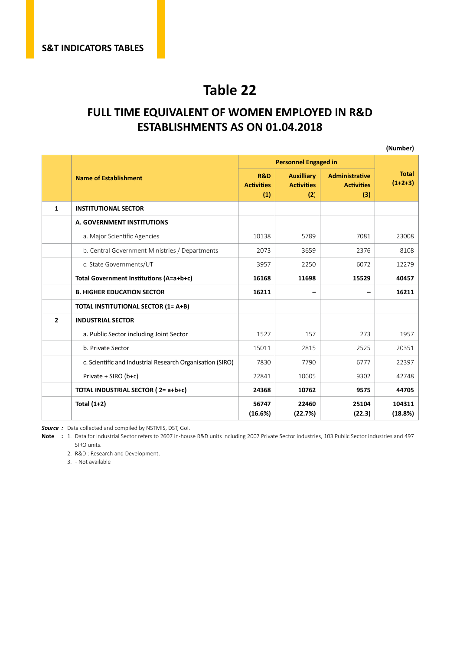#### **FULL TIME EQUIVALENT OF WOMEN EMPLOYED IN R&D ESTABLISHMENTS AS ON 01.04.2018**

|                |                                                           |                                 |                                               |                                                   | (Number)                  |
|----------------|-----------------------------------------------------------|---------------------------------|-----------------------------------------------|---------------------------------------------------|---------------------------|
|                |                                                           |                                 | <b>Personnel Engaged in</b>                   |                                                   |                           |
|                | <b>Name of Establishment</b>                              | R&D<br><b>Activities</b><br>(1) | <b>Auxilliary</b><br><b>Activities</b><br>(2) | <b>Administrative</b><br><b>Activities</b><br>(3) | <b>Total</b><br>$(1+2+3)$ |
| 1              | <b>INSTITUTIONAL SECTOR</b>                               |                                 |                                               |                                                   |                           |
|                | A. GOVERNMENT INSTITUTIONS                                |                                 |                                               |                                                   |                           |
|                | a. Major Scientific Agencies                              | 10138                           | 5789                                          | 7081                                              | 23008                     |
|                | b. Central Government Ministries / Departments            | 2073                            | 3659                                          | 2376                                              | 8108                      |
|                | c. State Governments/UT                                   | 3957                            | 2250                                          | 6072                                              | 12279                     |
|                | Total Government Institutions (A=a+b+c)                   |                                 | 11698                                         | 15529                                             | 40457                     |
|                | <b>B. HIGHER EDUCATION SECTOR</b>                         | 16211                           | -                                             |                                                   | 16211                     |
|                | <b>TOTAL INSTITUTIONAL SECTOR (1= A+B)</b>                |                                 |                                               |                                                   |                           |
| $\overline{2}$ | <b>INDUSTRIAL SECTOR</b>                                  |                                 |                                               |                                                   |                           |
|                | a. Public Sector including Joint Sector                   | 1527                            | 157                                           | 273                                               | 1957                      |
|                | b. Private Sector                                         | 15011                           | 2815                                          | 2525                                              | 20351                     |
|                | c. Scientific and Industrial Research Organisation (SIRO) |                                 | 7790                                          | 6777                                              | 22397                     |
|                | Private + SIRO (b+c)                                      | 22841                           | 10605                                         | 9302                                              | 42748                     |
|                | TOTAL INDUSTRIAL SECTOR (2= a+b+c)                        | 24368                           | 10762                                         | 9575                                              | 44705                     |
|                | Total $(1+2)$                                             | 56747<br>(16.6%)                | 22460<br>(22.7%)                              | 25104<br>(22.3)                                   | 104311<br>(18.8%)         |

*Source :* Data collected and compiled by NSTMIS, DST, GoI.

**Note :** 1. Data for Industrial Sector refers to 2607 in-house R&D units including 2007 Private Sector industries, 103 Public Sector industries and 497 SIRO units.

2. R&D : Research and Development.

3. - Not available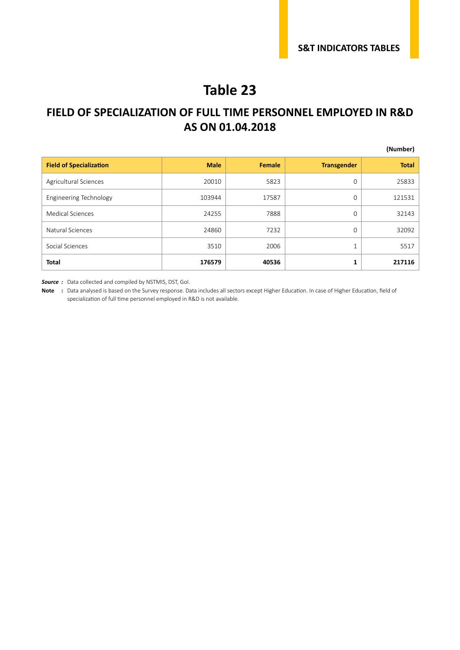#### **FIELD OF SPECIALIZATION OF FULL TIME PERSONNEL EMPLOYED IN R&D AS ON 01.04.2018**

|                                |             |        |                    | (Number)     |
|--------------------------------|-------------|--------|--------------------|--------------|
| <b>Field of Specialization</b> | <b>Male</b> | Female | <b>Transgender</b> | <b>Total</b> |
| Agricultural Sciences          | 20010       | 5823   | 0                  | 25833        |
| Engineering Technology         | 103944      | 17587  | 0                  | 121531       |
| <b>Medical Sciences</b>        | 24255       | 7888   | 0                  | 32143        |
| Natural Sciences               | 24860       | 7232   | $\Omega$           | 32092        |
| Social Sciences                | 3510        | 2006   | 1                  | 5517         |
| <b>Total</b>                   | 176579      | 40536  | 1                  | 217116       |

*Source :* Data collected and compiled by NSTMIS, DST, GoI.

**Note :** Data analysed is based on the Survey response. Data includes all sectors except Higher Education. In case of Higher Education, field of specialization of full time personnel employed in R&D is not available.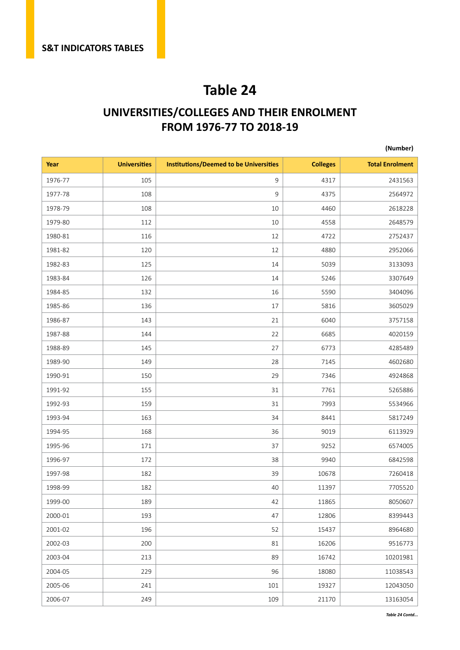#### **UNIVERSITIES/COLLEGES AND THEIR ENROLMENT FROM 1976-77 TO 2018-19**

#### **(Number)**

| Year    | <b>Universities</b> | <b>Institutions/Deemed to be Universities</b> | <b>Colleges</b> | <b>Total Enrolment</b> |
|---------|---------------------|-----------------------------------------------|-----------------|------------------------|
| 1976-77 | 105                 | $\mathsf 9$                                   | 4317            | 2431563                |
| 1977-78 | 108                 | 9                                             | 4375            | 2564972                |
| 1978-79 | 108                 | 10                                            | 4460            | 2618228                |
| 1979-80 | 112                 | 10                                            | 4558            | 2648579                |
| 1980-81 | 116                 | 12                                            | 4722            | 2752437                |
| 1981-82 | 120                 | 12                                            | 4880            | 2952066                |
| 1982-83 | 125                 | 14                                            | 5039            | 3133093                |
| 1983-84 | 126                 | 14                                            | 5246            | 3307649                |
| 1984-85 | 132                 | 16                                            | 5590            | 3404096                |
| 1985-86 | 136                 | 17                                            | 5816            | 3605029                |
| 1986-87 | 143                 | 21                                            | 6040            | 3757158                |
| 1987-88 | 144                 | 22                                            | 6685            | 4020159                |
| 1988-89 | 145                 | 27                                            | 6773            | 4285489                |
| 1989-90 | 149                 | 28                                            | 7145            | 4602680                |
| 1990-91 | 150                 | 29                                            | 7346            | 4924868                |
| 1991-92 | 155                 | 31                                            | 7761            | 5265886                |
| 1992-93 | 159                 | 31                                            | 7993            | 5534966                |
| 1993-94 | 163                 | 34                                            | 8441            | 5817249                |
| 1994-95 | 168                 | 36                                            | 9019            | 6113929                |
| 1995-96 | 171                 | 37                                            | 9252            | 6574005                |
| 1996-97 | 172                 | 38                                            | 9940            | 6842598                |
| 1997-98 | 182                 | 39                                            | 10678           | 7260418                |
| 1998-99 | 182                 | 40                                            | 11397           | 7705520                |
| 1999-00 | 189                 | 42                                            | 11865           | 8050607                |
| 2000-01 | 193                 | 47                                            | 12806           | 8399443                |
| 2001-02 | 196                 | 52                                            | 15437           | 8964680                |
| 2002-03 | 200                 | 81                                            | 16206           | 9516773                |
| 2003-04 | 213                 | 89                                            | 16742           | 10201981               |
| 2004-05 | 229                 | 96                                            | 18080           | 11038543               |
| 2005-06 | 241                 | 101                                           | 19327           | 12043050               |
| 2006-07 | 249                 | 109                                           | 21170           | 13163054               |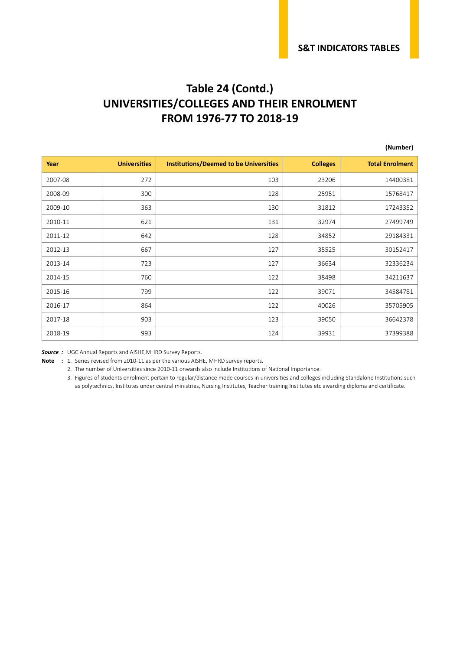#### **Table 24 (Contd.) UNIVERSITIES/COLLEGES AND THEIR ENROLMENT FROM 1976-77 TO 2018-19**

#### **(Number)**

| Year    | <b>Universities</b> | <b>Institutions/Deemed to be Universities</b> | <b>Colleges</b> | <b>Total Enrolment</b> |
|---------|---------------------|-----------------------------------------------|-----------------|------------------------|
| 2007-08 | 272                 | 103                                           | 23206           | 14400381               |
| 2008-09 | 300                 | 128                                           | 25951           | 15768417               |
| 2009-10 | 363                 | 130                                           | 31812           | 17243352               |
| 2010-11 | 621                 | 131                                           | 32974           | 27499749               |
| 2011-12 | 642                 | 128                                           | 34852           | 29184331               |
| 2012-13 | 667                 | 127                                           | 35525           | 30152417               |
| 2013-14 | 723                 | 127                                           | 36634           | 32336234               |
| 2014-15 | 760                 | 122                                           | 38498           | 34211637               |
| 2015-16 | 799                 | 122                                           | 39071           | 34584781               |
| 2016-17 | 864                 | 122                                           | 40026           | 35705905               |
| 2017-18 | 903                 | 123                                           | 39050           | 36642378               |
| 2018-19 | 993                 | 124                                           | 39931           | 37399388               |

*Source :* UGC Annual Reports and AISHE,MHRD Survey Reports.

**Note :** 1. Series revised from 2010-11 as per the various AISHE, MHRD survey reports.

2. The number of Universities since 2010-11 onwards also include Institutions of National Importance.

3. Figures of students enrolment pertain to regular/distance mode courses in universities and colleges including Standalone Institutions such as polytechnics, Institutes under central ministries, Nursing Institutes, Teacher training Institutes etc awarding diploma and certificate.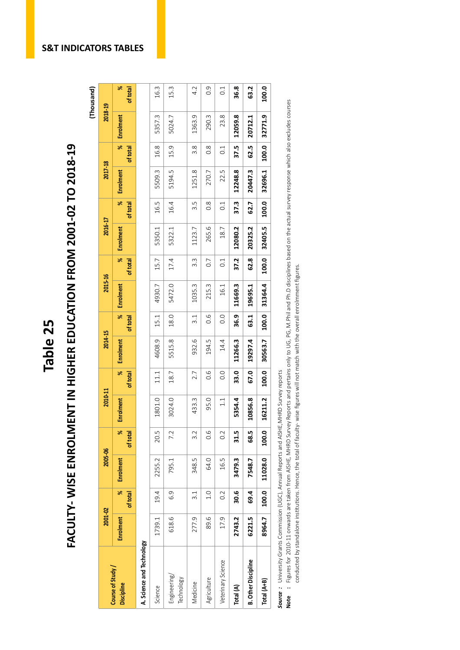# Table 25<br>FACULTY- WISE ENROLMENT IN HIGHER EDUCATION FROM 2001-02 TO 2018-19<br><sub>(Thousand)</sub> FACULTY- WISE ENROLMENT IN HIGHER EDUCATION FROM 2001-02 TO 2018-19

(Thousand) 2018-19

2017-18

2016-17

2015-16

2014-15

2010-11

2005-06

2001-02

| Course of Study            | 2001-02   |                  | 2005-06   |               | 2010-11       |               | 2014-15   |                  | 2015-16   |               | 2016-17          |                  | 2017-18   |                                  | 2018-19   |                           |
|----------------------------|-----------|------------------|-----------|---------------|---------------|---------------|-----------|------------------|-----------|---------------|------------------|------------------|-----------|----------------------------------|-----------|---------------------------|
| <b>Discipline</b>          | Enrolment | ৼ<br>of total    | Enrolment | æ<br>of total | Enrolment     | ×<br>of total | Enrolment | ৼ<br>of total    | Enrolment | ×<br>of total | <b>Enrolment</b> | old<br>of total  | Enrolment | $\frac{1}{\sqrt{2}}$<br>of total | Enrolment | $\frac{8}{5}$<br>of total |
| A. Science and Technology  |           |                  |           |               |               |               |           |                  |           |               |                  |                  |           |                                  |           |                           |
| Science                    | 1739.1    | 19.4             | 2255.2    | 20.5          | 1801.0        | 11.1          | 4608.9    | 15.1             | 4930.7    | 15.7          | 5350.1           | 16.5             | 5509.3    | 16.8                             | 5357.3    | 16.3                      |
| Engineering/<br>Technology | 618.6     | 6.9              | 795.1     | 7.2           | 3024.0        | 18.7          | 5515.8    | 18.0             | 5472.0    | 17.4          | 5322.1           | 16.4             | 5194.5    | 15.9                             | 5024.7    | 15.3                      |
| Medicine                   | 277.9     | $\overline{3}.1$ | 348.5     | 3.2           | 433.3         | 2.7           | 932.6     | $\overline{3}.1$ | 1035.3    | 3.3           | 1123.7           | 3.5              | 1251.8    | $\frac{8}{3}$ .                  | 1363.9    | 4.2                       |
| Agriculture                | 89.6      | 1.0              | 64.0      | 0.6           | 95.0          | 0.6           | 194.5     | 0.6              | 215.3     | 0.7           | 265.6            | $0.\overline{8}$ | 270.7     | $\frac{8}{2}$                    | 290.3     | 0.9                       |
| Veterinary Science         | 17.9      | $0.\overline{2}$ | 16.5      | 0.2           | $\frac{1}{1}$ | 0.0           | 14.4      | 0.0              | 16.1      | 0.1           | 18.7             | 0.1              | 22.5      | 0.1                              | 23.8      | $\overline{0}$ :          |
| Total (A)                  | 2743.2    | 30.6             | 3479.3    | 31.5          | 5354.4        | 33.0          | 11266.3   | 36.9             | 11669.3   | 37.2          | 12080.2          | 37.3             | 12248.8   | 37.5                             | 12059.8   | 36.8                      |
| <b>B. Other Discipline</b> | 6221.5    | 69.4             | 7548.7    | 68.5          | 0856.8<br>٣   | 67.0          | 19297.4   | 63.1             | 19695.1   | 62.8          | 20325.2          | 62.7             | 20447.3   | 62.5                             | 20712.1   | 63.2                      |
| Total (A+B)                | 8964.7    | 100.0            | 11028.0   | 100.0         | 6211.2<br>⊣   | 100.0         | 30563.7   | 100.0            | 31364.4   | 100.0         | 32405.5          | 100.0            | 32696.1   | 100.0                            | 32771.9   | 100.0                     |
|                            |           |                  |           |               |               |               |           |                  |           |               |                  |                  |           |                                  |           |                           |

Source: University Grants Commission (UGC), Annual Reports and AISHE, MHRD Survey reports *Source :* University Grants Commission (UGC), Annual Reports and AISHE,MHRD Survey reports

Note : Figures for 2010-11 onwards are taken from AISHE, MHRD Survey Reports and pertains only to UG, PG, M.Phil and Ph.D disciplines based on the actual survey response which also excludes courses **Note :** Figures for 2010-11 onwards are taken from AISHE, MHRD Survey Reports and pertains only to UG, PG, M.Phil and Ph.D disciplines based on the actual survey response which also excludes courses conducted by standalone institutions. Hence, the total of faculty-wise figures will not match with the overall enrolmment figures. conducted by standalone institutions. Hence, the total of faculty- wise figures will not match with the overall enrolmment figures.

#### **S&T INDICATORS TABLES**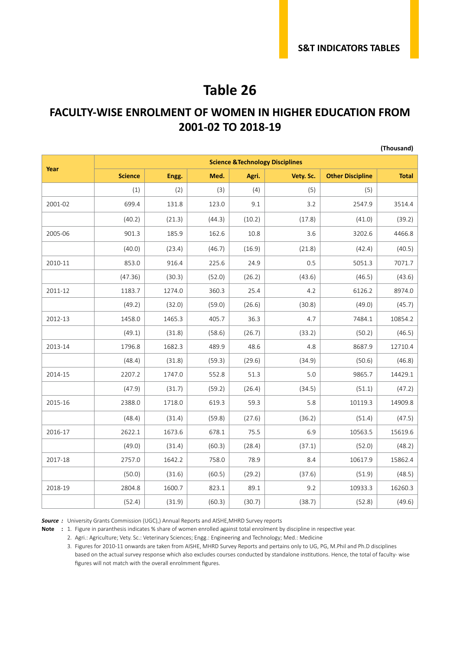**(Thousand)**

#### **Table 26**

#### **FACULTY-WISE ENROLMENT OF WOMEN IN HIGHER EDUCATION FROM 2001-02 TO 2018-19**

|         | <b>Science &amp;Technology Disciplines</b> |        |        |        |           |                         |              |  |  |  |
|---------|--------------------------------------------|--------|--------|--------|-----------|-------------------------|--------------|--|--|--|
| Year    | <b>Science</b>                             | Engg.  | Med.   | Agri.  | Vety. Sc. | <b>Other Discipline</b> | <b>Total</b> |  |  |  |
|         | (1)                                        | (2)    | (3)    | (4)    | (5)       | (5)                     |              |  |  |  |
| 2001-02 | 699.4                                      | 131.8  | 123.0  | 9.1    | 3.2       | 2547.9                  | 3514.4       |  |  |  |
|         | (40.2)                                     | (21.3) | (44.3) | (10.2) | (17.8)    | (41.0)                  | (39.2)       |  |  |  |
| 2005-06 | 901.3                                      | 185.9  | 162.6  | 10.8   | 3.6       | 3202.6                  | 4466.8       |  |  |  |
|         | (40.0)                                     | (23.4) | (46.7) | (16.9) | (21.8)    | (42.4)                  | (40.5)       |  |  |  |
| 2010-11 | 853.0                                      | 916.4  | 225.6  | 24.9   | 0.5       | 5051.3                  | 7071.7       |  |  |  |
|         | (47.36)                                    | (30.3) | (52.0) | (26.2) | (43.6)    | (46.5)                  | (43.6)       |  |  |  |
| 2011-12 | 1183.7                                     | 1274.0 | 360.3  | 25.4   | 4.2       | 6126.2                  | 8974.0       |  |  |  |
|         | (49.2)                                     | (32.0) | (59.0) | (26.6) | (30.8)    | (49.0)                  | (45.7)       |  |  |  |
| 2012-13 | 1458.0                                     | 1465.3 | 405.7  | 36.3   | 4.7       | 7484.1                  | 10854.2      |  |  |  |
|         | (49.1)                                     | (31.8) | (58.6) | (26.7) | (33.2)    | (50.2)                  | (46.5)       |  |  |  |
| 2013-14 | 1796.8                                     | 1682.3 | 489.9  | 48.6   | 4.8       | 8687.9                  | 12710.4      |  |  |  |
|         | (48.4)                                     | (31.8) | (59.3) | (29.6) | (34.9)    | (50.6)                  | (46.8)       |  |  |  |
| 2014-15 | 2207.2                                     | 1747.0 | 552.8  | 51.3   | 5.0       | 9865.7                  | 14429.1      |  |  |  |
|         | (47.9)                                     | (31.7) | (59.2) | (26.4) | (34.5)    | (51.1)                  | (47.2)       |  |  |  |
| 2015-16 | 2388.0                                     | 1718.0 | 619.3  | 59.3   | 5.8       | 10119.3                 | 14909.8      |  |  |  |
|         | (48.4)                                     | (31.4) | (59.8) | (27.6) | (36.2)    | (51.4)                  | (47.5)       |  |  |  |
| 2016-17 | 2622.1                                     | 1673.6 | 678.1  | 75.5   | 6.9       | 10563.5                 | 15619.6      |  |  |  |
|         | (49.0)                                     | (31.4) | (60.3) | (28.4) | (37.1)    | (52.0)                  | (48.2)       |  |  |  |
| 2017-18 | 2757.0                                     | 1642.2 | 758.0  | 78.9   | 8.4       | 10617.9                 | 15862.4      |  |  |  |
|         | (50.0)                                     | (31.6) | (60.5) | (29.2) | (37.6)    | (51.9)                  | (48.5)       |  |  |  |
| 2018-19 | 2804.8                                     | 1600.7 | 823.1  | 89.1   | 9.2       | 10933.3                 | 16260.3      |  |  |  |
|         | (52.4)                                     | (31.9) | (60.3) | (30.7) | (38.7)    | (52.8)                  | (49.6)       |  |  |  |

**Source** : University Grants Commission (UGC),) Annual Reports and AISHE, MHRD Survey reports

**Note :** 1. Figure in paranthesis indicates % share of women enrolled against total enrolment by discipline in respective year.

2. Agri.: Agriculture; Vety. Sc.: Veterinary Sciences; Engg.: Engineering and Technology; Med.: Medicine

3. Figures for 2010-11 onwards are taken from AISHE, MHRD Survey Reports and pertains only to UG, PG, M.Phil and Ph.D disciplines based on the actual survey response which also excludes courses conducted by standalone institutions. Hence, the total of faculty- wise figures will not match with the overall enrolmment figures.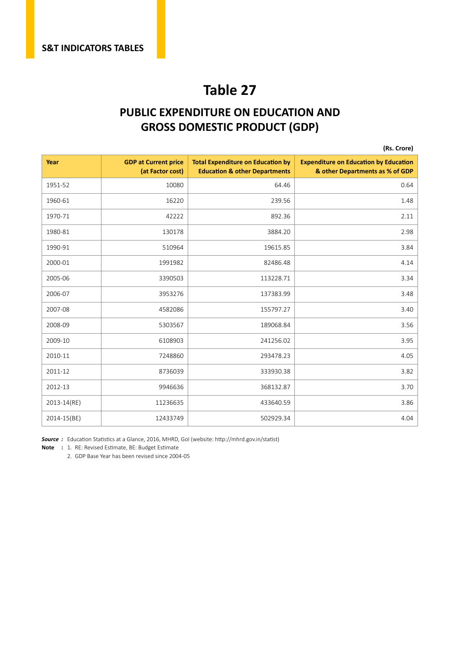#### **PUBLIC EXPENDITURE ON EDUCATION AND GROSS DOMESTIC PRODUCT (GDP)**

|             |                                                 |                                                                                      | (Rs. Crore)                                                                     |
|-------------|-------------------------------------------------|--------------------------------------------------------------------------------------|---------------------------------------------------------------------------------|
| Year        | <b>GDP at Current price</b><br>(at Factor cost) | <b>Total Expenditure on Education by</b><br><b>Education &amp; other Departments</b> | <b>Expenditure on Education by Education</b><br>& other Departments as % of GDP |
| 1951-52     | 10080                                           | 64.46                                                                                | 0.64                                                                            |
| 1960-61     | 16220                                           | 239.56                                                                               | 1.48                                                                            |
| 1970-71     | 42222                                           | 892.36                                                                               | 2.11                                                                            |
| 1980-81     | 130178                                          | 3884.20                                                                              | 2.98                                                                            |
| 1990-91     | 510964                                          | 19615.85                                                                             | 3.84                                                                            |
| 2000-01     | 1991982                                         | 82486.48                                                                             | 4.14                                                                            |
| 2005-06     | 3390503                                         | 113228.71                                                                            | 3.34                                                                            |
| 2006-07     | 3953276                                         | 137383.99                                                                            | 3.48                                                                            |
| 2007-08     | 4582086                                         | 155797.27                                                                            | 3.40                                                                            |
| 2008-09     | 5303567                                         | 189068.84                                                                            | 3.56                                                                            |
| 2009-10     | 6108903                                         | 241256.02                                                                            | 3.95                                                                            |
| 2010-11     | 7248860                                         | 293478.23                                                                            | 4.05                                                                            |
| 2011-12     | 8736039                                         | 333930.38                                                                            | 3.82                                                                            |
| 2012-13     | 9946636                                         | 368132.87                                                                            | 3.70                                                                            |
| 2013-14(RE) | 11236635                                        | 433640.59                                                                            | 3.86                                                                            |
| 2014-15(BE) | 12433749                                        | 502929.34                                                                            | 4.04                                                                            |

*Source :* Education Statistics at a Glance, 2016, MHRD, GoI (website: http://mhrd.gov.in/statist)

**Note :** 1. RE: Revised Estimate, BE: Budget Estimate

2. GDP Base Year has been revised since 2004-05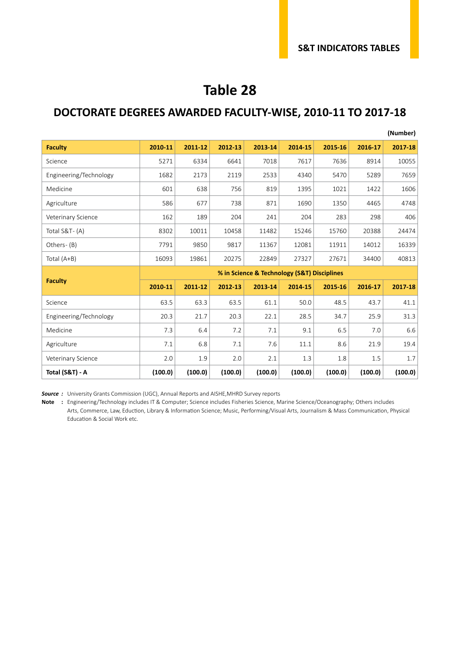#### **DOCTORATE DEGREES AWARDED FACULTY-WISE, 2010-11 TO 2017-18**

|                        |                                             |         |         |         |         |         |         | (Number) |  |
|------------------------|---------------------------------------------|---------|---------|---------|---------|---------|---------|----------|--|
| <b>Faculty</b>         | 2010-11                                     | 2011-12 | 2012-13 | 2013-14 | 2014-15 | 2015-16 | 2016-17 | 2017-18  |  |
| Science                | 5271                                        | 6334    | 6641    | 7018    | 7617    | 7636    | 8914    | 10055    |  |
| Engineering/Technology | 1682                                        | 2173    | 2119    | 2533    | 4340    | 5470    | 5289    | 7659     |  |
| Medicine               | 601                                         | 638     | 756     | 819     | 1395    | 1021    | 1422    | 1606     |  |
| Agriculture            | 586                                         | 677     | 738     | 871     | 1690    | 1350    | 4465    | 4748     |  |
| Veterinary Science     | 162                                         | 189     | 204     | 241     | 204     | 283     | 298     | 406      |  |
| Total S&T-(A)          | 8302                                        | 10011   | 10458   | 11482   | 15246   | 15760   | 20388   | 24474    |  |
| Others-(B)             | 7791                                        | 9850    | 9817    | 11367   | 12081   | 11911   | 14012   | 16339    |  |
| Total (A+B)            | 16093                                       | 19861   | 20275   | 22849   | 27327   | 27671   | 34400   | 40813    |  |
|                        | % in Science & Technology (S&T) Disciplines |         |         |         |         |         |         |          |  |
| <b>Faculty</b>         | 2010-11                                     | 2011-12 | 2012-13 | 2013-14 | 2014-15 | 2015-16 | 2016-17 | 2017-18  |  |
| Science                | 63.5                                        | 63.3    | 63.5    | 61.1    | 50.0    | 48.5    | 43.7    | 41.1     |  |
| Engineering/Technology | 20.3                                        | 21.7    | 20.3    | 22.1    | 28.5    | 34.7    | 25.9    | 31.3     |  |
| Medicine               | 7.3                                         | 6.4     | 7.2     | 7.1     | 9.1     | 6.5     | 7.0     | 6.6      |  |
| Agriculture            | 7.1                                         | 6.8     | 7.1     | 7.6     | 11.1    | 8.6     | 21.9    | 19.4     |  |
| Veterinary Science     | 2.0                                         | 1.9     | 2.0     | 2.1     | 1.3     | 1.8     | 1.5     | 1.7      |  |
| Total (S&T) - A        | (100.0)                                     | (100.0) | (100.0) | (100.0) | (100.0) | (100.0) | (100.0) | (100.0)  |  |

**Source** : University Grants Commission (UGC), Annual Reports and AISHE, MHRD Survey reports

**Note :** Engineering/Technology includes IT & Computer; Science includes Fisheries Science, Marine Science/Oceanography; Others includes Arts, Commerce, Law, Eduction, Library & Information Science; Music, Performing/Visual Arts, Journalism & Mass Communication, Physical Education & Social Work etc.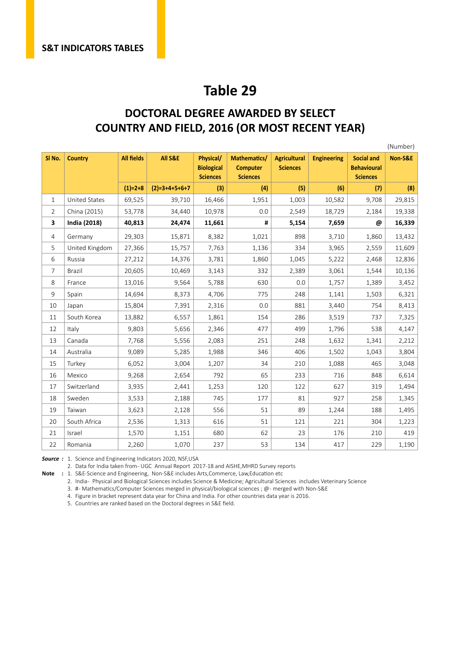#### **DOCTORAL DEGREE AWARDED BY SELECT COUNTRY AND FIELD, 2016 (OR MOST RECENT YEAR)**

|                   |                      |                   |                 |                                                   |                                                    |                                        |                    |                                                            | (Number) |
|-------------------|----------------------|-------------------|-----------------|---------------------------------------------------|----------------------------------------------------|----------------------------------------|--------------------|------------------------------------------------------------|----------|
| SI <sub>No.</sub> | <b>Country</b>       | <b>All fields</b> | All S&E         | Physical/<br><b>Biological</b><br><b>Sciences</b> | Mathematics/<br><b>Computer</b><br><b>Sciences</b> | <b>Agricultural</b><br><b>Sciences</b> | <b>Engineering</b> | <b>Social and</b><br><b>Behavioural</b><br><b>Sciences</b> | Non-S&E  |
|                   |                      | $(1)=2+8$         | $(2)=3+4+5+6+7$ | (3)                                               | (4)                                                | (5)                                    | (6)                | (7)                                                        | (8)      |
| $\mathbf{1}$      | <b>United States</b> | 69,525            | 39,710          | 16,466                                            | 1,951                                              | 1,003                                  | 10,582             | 9,708                                                      | 29,815   |
| $\overline{2}$    | China (2015)         | 53,778            | 34,440          | 10,978                                            | 0.0                                                | 2,549                                  | 18,729             | 2,184                                                      | 19,338   |
| 3                 | <b>India (2018)</b>  | 40,813            | 24,474          | 11,661                                            | #                                                  | 5,154                                  | 7,659              | @                                                          | 16,339   |
| 4                 | Germany              | 29,303            | 15,871          | 8,382                                             | 1,021                                              | 898                                    | 3,710              | 1,860                                                      | 13,432   |
| 5                 | United Kingdom       | 27,366            | 15,757          | 7,763                                             | 1,136                                              | 334                                    | 3,965              | 2,559                                                      | 11,609   |
| 6                 | Russia               | 27,212            | 14,376          | 3,781                                             | 1,860                                              | 1,045                                  | 5,222              | 2,468                                                      | 12,836   |
| 7                 | Brazil               | 20,605            | 10,469          | 3,143                                             | 332                                                | 2,389                                  | 3,061              | 1,544                                                      | 10,136   |
| 8                 | France               | 13,016            | 9,564           | 5,788                                             | 630                                                | 0.0                                    | 1,757              | 1,389                                                      | 3,452    |
| 9                 | Spain                | 14,694            | 8,373           | 4,706                                             | 775                                                | 248                                    | 1,141              | 1,503                                                      | 6,321    |
| 10                | Japan                | 15,804            | 7,391           | 2,316                                             | 0.0                                                | 881                                    | 3,440              | 754                                                        | 8,413    |
| 11                | South Korea          | 13,882            | 6,557           | 1,861                                             | 154                                                | 286                                    | 3,519              | 737                                                        | 7,325    |
| 12                | Italy                | 9,803             | 5,656           | 2,346                                             | 477                                                | 499                                    | 1,796              | 538                                                        | 4,147    |
| 13                | Canada               | 7,768             | 5,556           | 2,083                                             | 251                                                | 248                                    | 1,632              | 1,341                                                      | 2,212    |
| 14                | Australia            | 9,089             | 5,285           | 1,988                                             | 346                                                | 406                                    | 1,502              | 1,043                                                      | 3,804    |
| 15                | Turkey               | 6,052             | 3,004           | 1,207                                             | 34                                                 | 210                                    | 1,088              | 465                                                        | 3,048    |
| 16                | Mexico               | 9,268             | 2,654           | 792                                               | 65                                                 | 233                                    | 716                | 848                                                        | 6,614    |
| 17                | Switzerland          | 3,935             | 2,441           | 1,253                                             | 120                                                | 122                                    | 627                | 319                                                        | 1,494    |
| 18                | Sweden               | 3,533             | 2,188           | 745                                               | 177                                                | 81                                     | 927                | 258                                                        | 1,345    |
| 19                | Taiwan               | 3,623             | 2,128           | 556                                               | 51                                                 | 89                                     | 1,244              | 188                                                        | 1,495    |
| 20                | South Africa         | 2,536             | 1,313           | 616                                               | 51                                                 | 121                                    | 221                | 304                                                        | 1,223    |
| 21                | Israel               | 1,570             | 1,151           | 680                                               | 62                                                 | 23                                     | 176                | 210                                                        | 419      |
| 22                | Romania              | 2,260             | 1,070           | 237                                               | 53                                                 | 134                                    | 417                | 229                                                        | 1,190    |

*Source :* 1. Science and Engineering Indicators 2020, NSF,USA

2. Data for India taken from- UGC Annual Report 2017-18 and AISHE, MHRD Survey reports

**Note :** 1. S&E-Science and Engineering, Non-S&E includes Arts,Commerce, Law,Education etc

2. India - Physical and Biological Sciences includes Science & Medicine; Agricultural Sciences includes Veterinary Science

3. #- Mathematics/Computer Sciences merged in physical/biological sciences ; @- merged with Non-S&E

4. Figure in bracket represent data year for China and India. For other countries data year is 2016.

5. Countries are ranked based on the Doctoral degrees in S&E field.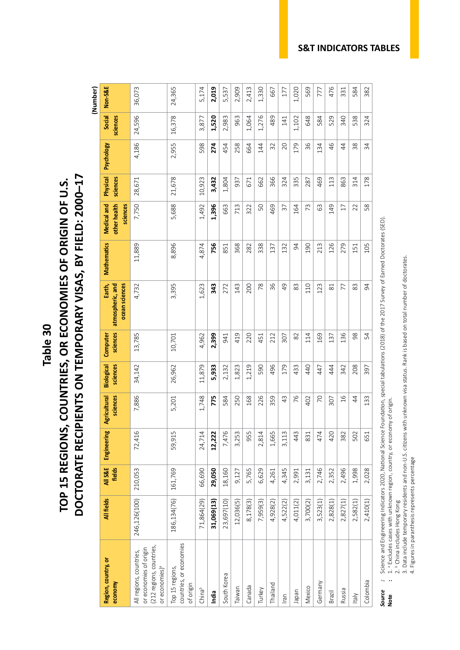## DOCTORATE RECIPIENTS ON TEMPORARY VISAS, BY FIELD: 2000-17 **DOCTORATE RECIPIENTS ON TEMPORARY VISAS, BY FIELD: 2000–17** TOP 15 REGIONS, COUNTRIES, OR ECONOMIES OF ORIGIN OF U.S. **TOP 15 REGIONS, COUNTRIES, OR ECONOMIES OF ORIGIN OF U.S.**

 **(Number)**

| 7,750<br>5,688<br>1,396<br>1,492<br>50<br>469<br>යි<br>149<br>663<br>713<br>322<br>57<br>73<br>$\Box$<br>22<br>164<br>8,896<br>756<br>11,889<br>4,874<br>368<br>338<br>213<br>126<br>279<br>282<br>132<br>54<br>190<br>851<br>137<br>151<br>36<br>3,395<br>1,623<br>343<br>143<br>78<br>$\overline{4}$<br>83<br>110<br>83<br>272<br>200<br>123<br>4,732<br>$\approx$<br>77<br>136<br>13,785<br>4,962<br>419<br>220<br>82<br>98<br>2,399<br>212<br>114<br>169<br>137<br>10,701<br>941<br>451<br>307<br>496<br>26,962<br>11,879<br>5,933<br>1,219<br>590<br>179<br>433<br>440<br>444<br>208<br>34,142<br>1,823<br>342<br>447<br>2,132<br>7,886<br>1,748<br>775<br>168<br>226<br>359<br>$\frac{3}{4}$<br>76<br>$\frac{6}{1}$<br>250<br>402<br>20<br>$\overline{4}$<br>584<br>5,201<br>307<br>7,476<br>72,416<br>420<br>59,915<br>24,714<br>12,222<br>3,253<br>955<br>2,814<br>1,665<br>3,113<br>443<br>474<br>382<br>502<br>831<br>29,050<br>2,746<br>2,496<br>1,998<br>210,053<br>161,769<br>66,690<br>5,765<br>2,352<br>18,160<br>6,629<br>4,345<br>3,131<br>4,261<br>2,991<br>9,127<br>186,134(76)<br>246,126(100)<br>71,864(29)<br>31,069(13)<br>4,928(2)<br>23,697(10)<br>8,178(3)<br>12,036(5)<br>7,959(3)<br>2,828(1)<br>4,522(2)<br>4,011(2)<br>3,700(2)<br>3,523(1)<br>2,582(1)<br>2,827(1)<br>countries, or economies<br>(212 regions, countries,<br>or economies of origin<br>All regions, countries,<br>or economies) <sup>a</sup><br>Top 15 regions,<br>South Korea<br>Germany<br>of origin<br>Thailand<br>Canada<br>Mexico<br>Taiwan<br>China <sup>b</sup><br>Turkey<br>Russia<br>Iapan<br>India<br>Brazil<br><b>Italy</b><br>lran | Region, country, or<br>economy | All fields | All S&E<br>fields | Engineering | sciences<br>Agricultural | sciences<br>Biological | sciences<br>Computer | atmospheric, and<br>ocean sciences<br>Earth, | <b>Mathematics</b> | other health<br>Medical and<br>sciences | Physical<br>sciences | Psychology                                | Social<br>sciences | Non-S&E |
|-----------------------------------------------------------------------------------------------------------------------------------------------------------------------------------------------------------------------------------------------------------------------------------------------------------------------------------------------------------------------------------------------------------------------------------------------------------------------------------------------------------------------------------------------------------------------------------------------------------------------------------------------------------------------------------------------------------------------------------------------------------------------------------------------------------------------------------------------------------------------------------------------------------------------------------------------------------------------------------------------------------------------------------------------------------------------------------------------------------------------------------------------------------------------------------------------------------------------------------------------------------------------------------------------------------------------------------------------------------------------------------------------------------------------------------------------------------------------------------------------------------------------------------------------------------------------------------------------------------------------------------------------|--------------------------------|------------|-------------------|-------------|--------------------------|------------------------|----------------------|----------------------------------------------|--------------------|-----------------------------------------|----------------------|-------------------------------------------|--------------------|---------|
|                                                                                                                                                                                                                                                                                                                                                                                                                                                                                                                                                                                                                                                                                                                                                                                                                                                                                                                                                                                                                                                                                                                                                                                                                                                                                                                                                                                                                                                                                                                                                                                                                                               |                                |            |                   |             |                          |                        |                      |                                              |                    |                                         | 28,671               | 4,186                                     | 24,596             | 36,073  |
|                                                                                                                                                                                                                                                                                                                                                                                                                                                                                                                                                                                                                                                                                                                                                                                                                                                                                                                                                                                                                                                                                                                                                                                                                                                                                                                                                                                                                                                                                                                                                                                                                                               |                                |            |                   |             |                          |                        |                      |                                              |                    |                                         | 21,678               | 2,955                                     | 16,378             | 24,365  |
|                                                                                                                                                                                                                                                                                                                                                                                                                                                                                                                                                                                                                                                                                                                                                                                                                                                                                                                                                                                                                                                                                                                                                                                                                                                                                                                                                                                                                                                                                                                                                                                                                                               |                                |            |                   |             |                          |                        |                      |                                              |                    |                                         | 10,923               | 598                                       | 3,877              | 5,174   |
|                                                                                                                                                                                                                                                                                                                                                                                                                                                                                                                                                                                                                                                                                                                                                                                                                                                                                                                                                                                                                                                                                                                                                                                                                                                                                                                                                                                                                                                                                                                                                                                                                                               |                                |            |                   |             |                          |                        |                      |                                              |                    |                                         | 3,432                | 274                                       | 1,520              | 2,019   |
|                                                                                                                                                                                                                                                                                                                                                                                                                                                                                                                                                                                                                                                                                                                                                                                                                                                                                                                                                                                                                                                                                                                                                                                                                                                                                                                                                                                                                                                                                                                                                                                                                                               |                                |            |                   |             |                          |                        |                      |                                              |                    |                                         | 1,804                | 454                                       | 2,983              | 5,537   |
|                                                                                                                                                                                                                                                                                                                                                                                                                                                                                                                                                                                                                                                                                                                                                                                                                                                                                                                                                                                                                                                                                                                                                                                                                                                                                                                                                                                                                                                                                                                                                                                                                                               |                                |            |                   |             |                          |                        |                      |                                              |                    |                                         | 937                  | 58<br>$\sim$                              | 963                | 2,909   |
|                                                                                                                                                                                                                                                                                                                                                                                                                                                                                                                                                                                                                                                                                                                                                                                                                                                                                                                                                                                                                                                                                                                                                                                                                                                                                                                                                                                                                                                                                                                                                                                                                                               |                                |            |                   |             |                          |                        |                      |                                              |                    |                                         | 671                  | 664                                       | 1,064              | 2,413   |
|                                                                                                                                                                                                                                                                                                                                                                                                                                                                                                                                                                                                                                                                                                                                                                                                                                                                                                                                                                                                                                                                                                                                                                                                                                                                                                                                                                                                                                                                                                                                                                                                                                               |                                |            |                   |             |                          |                        |                      |                                              |                    |                                         | 662                  | 144                                       | 1,276              | 1,330   |
|                                                                                                                                                                                                                                                                                                                                                                                                                                                                                                                                                                                                                                                                                                                                                                                                                                                                                                                                                                                                                                                                                                                                                                                                                                                                                                                                                                                                                                                                                                                                                                                                                                               |                                |            |                   |             |                          |                        |                      |                                              |                    |                                         | 366                  | 32                                        | 489                | 667     |
|                                                                                                                                                                                                                                                                                                                                                                                                                                                                                                                                                                                                                                                                                                                                                                                                                                                                                                                                                                                                                                                                                                                                                                                                                                                                                                                                                                                                                                                                                                                                                                                                                                               |                                |            |                   |             |                          |                        |                      |                                              |                    |                                         | 324                  | 20                                        | 141                | 177     |
|                                                                                                                                                                                                                                                                                                                                                                                                                                                                                                                                                                                                                                                                                                                                                                                                                                                                                                                                                                                                                                                                                                                                                                                                                                                                                                                                                                                                                                                                                                                                                                                                                                               |                                |            |                   |             |                          |                        |                      |                                              |                    |                                         | 335                  | 179                                       | 1,102              | 1,020   |
|                                                                                                                                                                                                                                                                                                                                                                                                                                                                                                                                                                                                                                                                                                                                                                                                                                                                                                                                                                                                                                                                                                                                                                                                                                                                                                                                                                                                                                                                                                                                                                                                                                               |                                |            |                   |             |                          |                        |                      |                                              |                    |                                         | 287                  | 36                                        | 648                | 569     |
|                                                                                                                                                                                                                                                                                                                                                                                                                                                                                                                                                                                                                                                                                                                                                                                                                                                                                                                                                                                                                                                                                                                                                                                                                                                                                                                                                                                                                                                                                                                                                                                                                                               |                                |            |                   |             |                          |                        |                      |                                              |                    |                                         | 469                  | $\frac{3}{4}$<br>$\overline{\phantom{0}}$ | 584                | 777     |
|                                                                                                                                                                                                                                                                                                                                                                                                                                                                                                                                                                                                                                                                                                                                                                                                                                                                                                                                                                                                                                                                                                                                                                                                                                                                                                                                                                                                                                                                                                                                                                                                                                               |                                |            |                   |             |                          |                        |                      |                                              |                    |                                         | 113                  | 46                                        | 529                | 476     |
|                                                                                                                                                                                                                                                                                                                                                                                                                                                                                                                                                                                                                                                                                                                                                                                                                                                                                                                                                                                                                                                                                                                                                                                                                                                                                                                                                                                                                                                                                                                                                                                                                                               |                                |            |                   |             |                          |                        |                      |                                              |                    |                                         | 863                  | 44                                        | 340                | 331     |
|                                                                                                                                                                                                                                                                                                                                                                                                                                                                                                                                                                                                                                                                                                                                                                                                                                                                                                                                                                                                                                                                                                                                                                                                                                                                                                                                                                                                                                                                                                                                                                                                                                               |                                |            |                   |             |                          |                        |                      |                                              |                    |                                         | 314                  | 38                                        | 538                | 584     |
|                                                                                                                                                                                                                                                                                                                                                                                                                                                                                                                                                                                                                                                                                                                                                                                                                                                                                                                                                                                                                                                                                                                                                                                                                                                                                                                                                                                                                                                                                                                                                                                                                                               | Colombia                       | 2,410(1)   | 2,028             | 651         | 133                      | 397                    | 54                   | $\overline{5}$                               | 105                | 58                                      | 178                  | 34                                        | 324                | 382     |

# : Science and Engineering Indicators 2020, National Science Foundation, special tabulations (2018) of the 2017 Survey of Earned Doctorates (SED).<br>: 1. <sup>a</sup> Excludes cases with unknown region, country, or economy of origin. *Source :* Science and Engineering Indicators 2020, National Science Foundation, special tabulations (2018) of the 2017 Survey of Earned Doctorates (SED).

**Note :** 1. a Excludes cases with unknown region, country, or economy of origin. Source<br>Note

2. b China includes Hong Kong

2. <sup>b</sup> China includes Hong Kong<br>3. Data include temporary residents and non-U.S. citizens with unknown visa status. Rank is based on total number of doctorates. 3. Data include temporary residents and non-U.S. citizens with unknown visa status. Rank is based on total number of doctorates.

4. Figures in paranthesis represents percentage 4. Figures in paranthesis represents percentage

#### **S&T INDICATORS TABLES**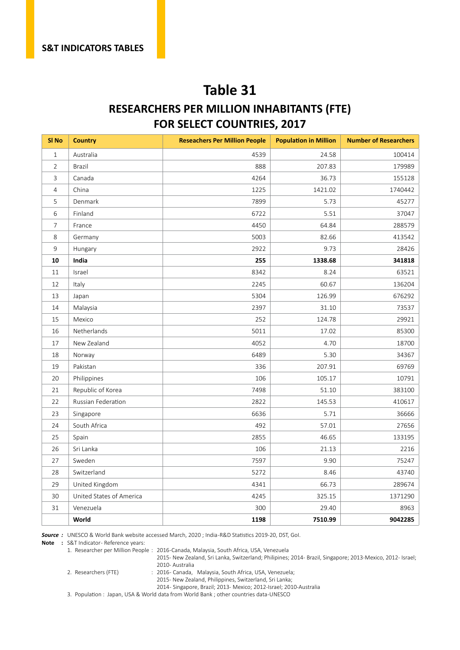#### **RESEARCHERS PER MILLION INHABITANTS (FTE) FOR SELECT COUNTRIES, 2017**

| SI <sub>No</sub> | <b>Country</b>           | <b>Reseachers Per Million People</b> | <b>Population in Million</b> | <b>Number of Researchers</b> |
|------------------|--------------------------|--------------------------------------|------------------------------|------------------------------|
| $\mathbf{1}$     | Australia                | 4539                                 | 24.58                        | 100414                       |
| $\overline{2}$   | <b>Brazil</b>            | 888                                  | 207.83                       | 179989                       |
| 3                | Canada                   | 4264                                 | 36.73                        | 155128                       |
| $\overline{4}$   | China                    | 1225                                 | 1421.02                      | 1740442                      |
| 5                | Denmark                  | 7899                                 | 5.73                         | 45277                        |
| 6                | Finland                  | 6722                                 | 5.51                         | 37047                        |
| 7                | France                   | 4450                                 | 64.84                        | 288579                       |
| 8                | Germany                  | 5003                                 | 82.66                        | 413542                       |
| 9                | Hungary                  | 2922                                 | 9.73                         | 28426                        |
| 10               | India                    | 255                                  | 1338.68                      | 341818                       |
| 11               | Israel                   | 8342                                 | 8.24                         | 63521                        |
| 12               | Italy                    | 2245                                 | 60.67                        | 136204                       |
| 13               | Japan                    | 5304                                 | 126.99                       | 676292                       |
| 14               | Malaysia                 | 2397                                 | 31.10                        | 73537                        |
| 15               | Mexico                   | 252                                  | 124.78                       | 29921                        |
| 16               | Netherlands              | 5011                                 | 17.02                        | 85300                        |
| 17               | New Zealand              | 4052                                 | 4.70                         | 18700                        |
| 18               | Norway                   | 6489                                 | 5.30                         | 34367                        |
| 19               | Pakistan                 | 336                                  | 207.91                       | 69769                        |
| 20               | Philippines              | 106                                  | 105.17                       | 10791                        |
| 21               | Republic of Korea        | 7498                                 | 51.10                        | 383100                       |
| 22               | Russian Federation       | 2822                                 | 145.53                       | 410617                       |
| 23               | Singapore                | 6636                                 | 5.71                         | 36666                        |
| 24               | South Africa             | 492                                  | 57.01                        | 27656                        |
| 25               | Spain                    | 2855                                 | 46.65                        | 133195                       |
| 26               | Sri Lanka                | 106                                  | 21.13                        | 2216                         |
| 27               | Sweden                   | 7597                                 | 9.90                         | 75247                        |
| 28               | Switzerland              | 5272                                 | 8.46                         | 43740                        |
| 29               | United Kingdom           | 4341                                 | 66.73                        | 289674                       |
| 30               | United States of America | 4245                                 | 325.15                       | 1371290                      |
| 31               | Venezuela                | 300                                  | 29.40                        | 8963                         |
|                  | World                    | 1198                                 | 7510.99                      | 9042285                      |

*Source :* UNESCO & World Bank website accessed March, 2020 ; India -R&D Statistics 2019-20, DST, GoI.

**Note** : S&T Indicator- Reference years:

1. Researcher per Million People : 2016 -Canada, Malaysia, South Africa, USA, Venezuela

2015- New Zealand, Sri Lanka, Switzerland; Philipines; 2014- Brazil, Singapore; 2013-Mexico, 2012- Israel;

2010- Australia<br>2. Researchers (FTE) (2016- Canada.

: 2016 - Canada, Malaysia, South Africa, USA, Venezuela;

2015- New Zealand, Philippines, Switzerland, Sri Lanka;

2014 - Singapore, Brazil; 2013- Mexico; 2012-Israel; 2010-Australia

3. Population : Japan, USA & World data from World Bank ; other countries data -UNESCO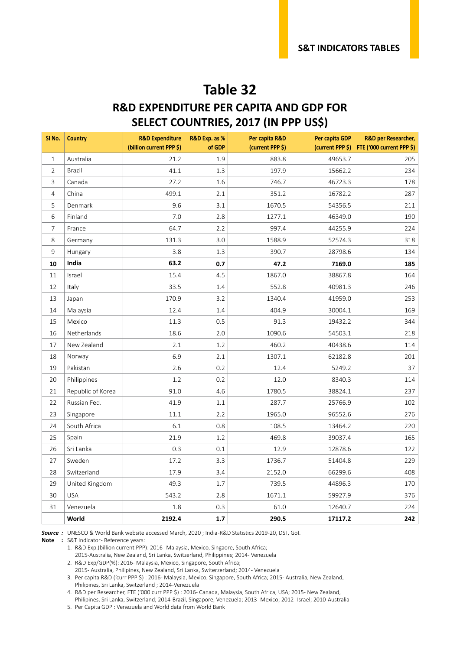#### **R&D EXPENDITURE PER CAPITA AND GDP FOR SELECT COUNTRIES, 2017 (IN PPP US\$)**

| SI No.         | <b>Country</b>    | <b>R&amp;D Expenditure</b><br>(billion current PPP \$) | R&D Exp. as %<br>of GDP | Per capita R&D<br>(current PPP \$) | Per capita GDP<br>(current PPP \$) | <b>R&amp;D per Researcher,</b><br>FTE ('000 current PPP \$) |
|----------------|-------------------|--------------------------------------------------------|-------------------------|------------------------------------|------------------------------------|-------------------------------------------------------------|
| $\mathbf{1}$   | Australia         | 21.2                                                   | 1.9                     | 883.8                              | 49653.7                            | 205                                                         |
| $\overline{2}$ | Brazil            | 41.1                                                   | 1.3                     | 197.9                              | 15662.2                            | 234                                                         |
| 3              | Canada            | 27.2                                                   | 1.6                     | 746.7                              | 46723.3                            | 178                                                         |
| 4              | China             | 499.1                                                  | 2.1                     | 351.2                              | 16782.2                            | 287                                                         |
| 5              | Denmark           | 9.6                                                    | 3.1                     | 1670.5                             | 54356.5                            | 211                                                         |
| 6              | Finland           | 7.0                                                    | 2.8                     | 1277.1                             | 46349.0                            | 190                                                         |
| 7              | France            | 64.7                                                   | 2.2                     | 997.4                              | 44255.9                            | 224                                                         |
| 8              | Germany           | 131.3                                                  | 3.0                     | 1588.9                             | 52574.3                            | 318                                                         |
| 9              | Hungary           | 3.8                                                    | 1.3                     | 390.7                              | 28798.6                            | 134                                                         |
| 10             | India             | 63.2                                                   | 0.7                     | 47.2                               | 7169.0                             | 185                                                         |
| 11             | Israel            | 15.4                                                   | 4.5                     | 1867.0                             | 38867.8                            | 164                                                         |
| 12             | Italy             | 33.5                                                   | 1.4                     | 552.8                              | 40981.3                            | 246                                                         |
| 13             | Japan             | 170.9                                                  | 3.2                     | 1340.4                             | 41959.0                            | 253                                                         |
| 14             | Malaysia          | 12.4                                                   | 1.4                     | 404.9                              | 30004.1                            | 169                                                         |
| 15             | Mexico            | 11.3                                                   | 0.5                     | 91.3                               | 19432.2                            | 344                                                         |
| 16             | Netherlands       | 18.6                                                   | 2.0                     | 1090.6                             | 54503.1                            | 218                                                         |
| 17             | New Zealand       | 2.1                                                    | 1.2                     | 460.2                              | 40438.6                            | 114                                                         |
| 18             | Norway            | 6.9                                                    | 2.1                     | 1307.1                             | 62182.8                            | 201                                                         |
| 19             | Pakistan          | 2.6                                                    | 0.2                     | 12.4                               | 5249.2                             | 37                                                          |
| 20             | Philippines       | 1.2                                                    | 0.2                     | 12.0                               | 8340.3                             | 114                                                         |
| 21             | Republic of Korea | 91.0                                                   | 4.6                     | 1780.5                             | 38824.1                            | 237                                                         |
| 22             | Russian Fed.      | 41.9                                                   | 1.1                     | 287.7                              | 25766.9                            | 102                                                         |
| 23             | Singapore         | 11.1                                                   | 2.2                     | 1965.0                             | 96552.6                            | 276                                                         |
| 24             | South Africa      | 6.1                                                    | 0.8                     | 108.5                              | 13464.2                            | 220                                                         |
| 25             | Spain             | 21.9                                                   | 1.2                     | 469.8                              | 39037.4                            | 165                                                         |
| 26             | Sri Lanka         | 0.3                                                    | 0.1                     | 12.9                               | 12878.6                            | 122                                                         |
| 27             | Sweden            | 17.2                                                   | 3.3                     | 1736.7                             | 51404.8                            | 229                                                         |
| 28             | Switzerland       | 17.9                                                   | 3.4                     | 2152.0                             | 66299.6                            | 408                                                         |
| 29             | United Kingdom    | 49.3                                                   | 1.7                     | 739.5                              | 44896.3                            | 170                                                         |
| 30             | <b>USA</b>        | 543.2                                                  | 2.8                     | 1671.1                             | 59927.9                            | 376                                                         |
| 31             | Venezuela         | 1.8                                                    | 0.3                     | 61.0                               | 12640.7                            | 224                                                         |
|                | World             | 2192.4                                                 | 1.7                     | 290.5                              | 17117.2                            | 242                                                         |

*Source :* UNESCO & World Bank website accessed March, 2020 ; India -R&D Statistics 2019-20, DST, GoI.

**Note** : S&T Indicator- Reference years:

2015-Australia, New Zealand, Sri Lanka, Switzerland, Philippines; 2014- Venezuela

2. R&D Exp/GDP(%): 2016- Malaysia, Mexico, Singapore, South Africa;

2015- Australia, Philipines, New Zealand, Sri Lanka, Switerzerland; 2014- Venezuela

3. Per capita R&D ('curr PPP \$) : 2016- Malaysia, Mexico, Singapore, South Africa; 2015- Australia, New Zealand, Philipines, Sri Lanka, Switzerland ; 2014-Venezuela

4. R&D per Researcher, FTE ('000 curr PPP \$) : 2016- Canada, Malaysia, South Africa, USA; 2015- New Zealand,

Philipines, Sri Lanka, Switzerland; 2014-Brazil, Singapore, Venezuela; 2013- Mexico; 2012- Israel; 2010-Australia 5. Per Capita GDP : Venezuela and World data from World Bank

<sup>1.</sup> R&D Exp.(billion current PPP): 2016 - Malaysia, Mexico, Singaore, South Africa;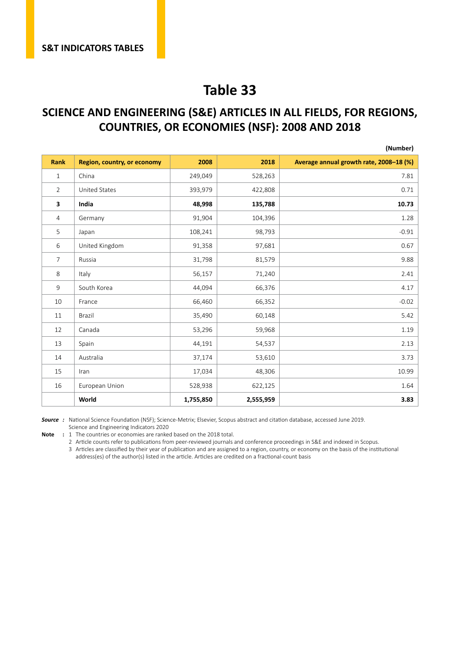#### **SCIENCE AND ENGINEERING (S&E) ARTICLES IN ALL FIELDS, FOR REGIONS, COUNTRIES, OR ECONOMIES (NSF): 2008 AND 2018**

|                |                             |           |           | (Number)                                |
|----------------|-----------------------------|-----------|-----------|-----------------------------------------|
| <b>Rank</b>    | Region, country, or economy | 2008      | 2018      | Average annual growth rate, 2008-18 (%) |
| 1              | China                       | 249,049   | 528,263   | 7.81                                    |
| $\overline{2}$ | <b>United States</b>        | 393,979   | 422,808   | 0.71                                    |
| 3              | India                       | 48,998    | 135,788   | 10.73                                   |
| $\overline{4}$ | Germany                     | 91,904    | 104,396   | 1.28                                    |
| 5              | Japan                       | 108,241   | 98,793    | $-0.91$                                 |
| 6              | United Kingdom              | 91,358    | 97,681    | 0.67                                    |
| $\overline{7}$ | Russia                      | 31,798    | 81,579    | 9.88                                    |
| 8              | Italy                       | 56,157    | 71,240    | 2.41                                    |
| 9              | South Korea                 | 44,094    | 66,376    | 4.17                                    |
| 10             | France                      | 66,460    | 66,352    | $-0.02$                                 |
| 11             | Brazil                      | 35,490    | 60,148    | 5.42                                    |
| 12             | Canada                      | 53,296    | 59,968    | 1.19                                    |
| 13             | Spain                       | 44,191    | 54,537    | 2.13                                    |
| 14             | Australia                   | 37,174    | 53,610    | 3.73                                    |
| 15             | Iran                        | 17,034    | 48,306    | 10.99                                   |
| 16             | European Union              | 528,938   | 622,125   | 1.64                                    |
|                | World                       | 1,755,850 | 2,555,959 | 3.83                                    |

*Source :* National Science Foundation (NSF); Science-Metrix; Elsevier, Scopus abstract and citation database, accessed June 2019. Science and Engineering Indicators 2020

**Note :** 1 The countries or economies are ranked based on the 2018 total.

Article counts refer to publications from peer-reviewed journals and conference proceedings in S&E and indexed in Scopus.

 Articles are classified by their year of publication and are assigned to a region, country, or economy on the basis of the institutional address(es) of the author(s) listed in the article. Articles are credited on a fractional-count basis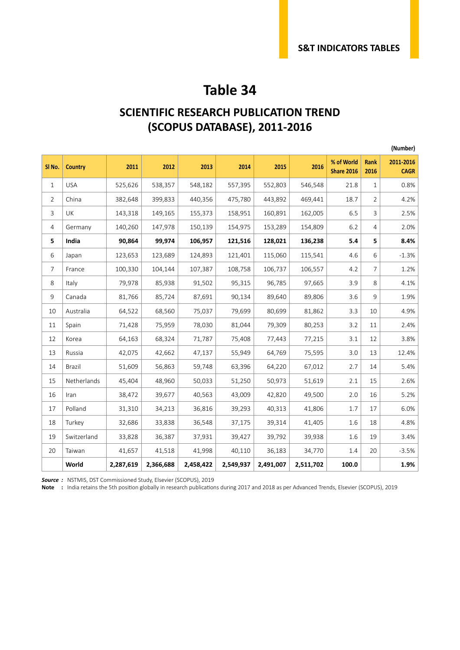#### **SCIENTIFIC RESEARCH PUBLICATION TREND (SCOPUS DATABASE), 2011-2016**

|                |                |           |           |           |           |           |           |                                 |                | (Number)                 |
|----------------|----------------|-----------|-----------|-----------|-----------|-----------|-----------|---------------------------------|----------------|--------------------------|
| SI No.         | <b>Country</b> | 2011      | 2012      | 2013      | 2014      | 2015      | 2016      | % of World<br><b>Share 2016</b> | Rank<br>2016   | 2011-2016<br><b>CAGR</b> |
| $\mathbf{1}$   | <b>USA</b>     | 525,626   | 538,357   | 548,182   | 557,395   | 552,803   | 546,548   | 21.8                            | 1              | 0.8%                     |
| 2              | China          | 382,648   | 399,833   | 440,356   | 475,780   | 443,892   | 469,441   | 18.7                            | 2              | 4.2%                     |
| $\overline{3}$ | UK             | 143,318   | 149,165   | 155,373   | 158,951   | 160,891   | 162,005   | 6.5                             | 3              | 2.5%                     |
| 4              | Germany        | 140,260   | 147,978   | 150,139   | 154,975   | 153,289   | 154,809   | 6.2                             | 4              | 2.0%                     |
| 5              | India          | 90,864    | 99,974    | 106,957   | 121,516   | 128,021   | 136,238   | 5.4                             | 5              | 8.4%                     |
| 6              | Japan          | 123,653   | 123,689   | 124,893   | 121,401   | 115,060   | 115,541   | 4.6                             | 6              | $-1.3%$                  |
| $\overline{7}$ | France         | 100,330   | 104,144   | 107,387   | 108,758   | 106,737   | 106,557   | 4.2                             | $\overline{7}$ | 1.2%                     |
| 8              | Italy          | 79,978    | 85,938    | 91,502    | 95,315    | 96,785    | 97,665    | 3.9                             | 8              | 4.1%                     |
| 9              | Canada         | 81,766    | 85,724    | 87,691    | 90,134    | 89,640    | 89,806    | 3.6                             | 9              | 1.9%                     |
| 10             | Australia      | 64,522    | 68,560    | 75,037    | 79,699    | 80,699    | 81,862    | 3.3                             | 10             | 4.9%                     |
| 11             | Spain          | 71,428    | 75,959    | 78,030    | 81,044    | 79,309    | 80,253    | 3.2                             | 11             | 2.4%                     |
| 12             | Korea          | 64,163    | 68,324    | 71,787    | 75,408    | 77,443    | 77,215    | 3.1                             | 12             | 3.8%                     |
| 13             | Russia         | 42,075    | 42,662    | 47,137    | 55,949    | 64,769    | 75,595    | 3.0                             | 13             | 12.4%                    |
| 14             | Brazil         | 51,609    | 56,863    | 59,748    | 63,396    | 64,220    | 67,012    | 2.7                             | 14             | 5.4%                     |
| 15             | Netherlands    | 45,404    | 48,960    | 50,033    | 51,250    | 50,973    | 51,619    | 2.1                             | 15             | 2.6%                     |
| 16             | Iran           | 38,472    | 39,677    | 40,563    | 43,009    | 42,820    | 49,500    | 2.0                             | 16             | 5.2%                     |
| 17             | Polland        | 31,310    | 34,213    | 36,816    | 39,293    | 40,313    | 41,806    | 1.7                             | 17             | 6.0%                     |
| 18             | Turkey         | 32,686    | 33,838    | 36,548    | 37,175    | 39,314    | 41,405    | $1.6\,$                         | 18             | 4.8%                     |
| 19             | Switzerland    | 33,828    | 36,387    | 37,931    | 39,427    | 39,792    | 39,938    | 1.6                             | 19             | 3.4%                     |
| 20             | Taiwan         | 41,657    | 41,518    | 41,998    | 40,110    | 36,183    | 34,770    | 1.4                             | 20             | $-3.5%$                  |
|                | World          | 2,287,619 | 2,366,688 | 2,458,422 | 2,549,937 | 2,491,007 | 2,511,702 | 100.0                           |                | 1.9%                     |

*Source :* NSTMIS, DST Commissioned Study, Elsevier (SCOPUS), 2019

**Note :** India retains the 5th position globally in research publications during 2017 and 2018 as per Advanced Trends, Elsevier (SCOPUS), 2019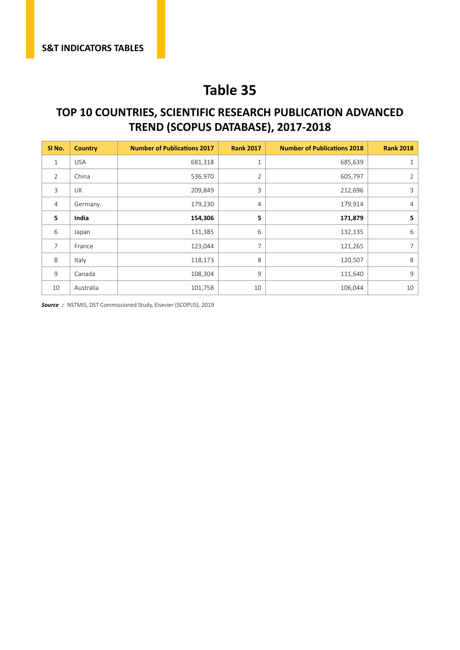#### **TOP 10 COUNTRIES, SCIENTIFIC RESEARCH PUBLICATION ADVANCED TREND (SCOPUS DATABASE), 2017-2018**

| SI No.         | <b>Country</b> | <b>Number of Publications 2017</b> | <b>Rank 2017</b> | <b>Number of Publications 2018</b> | <b>Rank 2018</b> |
|----------------|----------------|------------------------------------|------------------|------------------------------------|------------------|
| 1              | <b>USA</b>     | 681,318                            | 1                | 685,639                            | 1                |
| 2              | China          | 536,970                            | $\overline{2}$   | 605,797                            | 2                |
| 3              | UK             | 209,849                            | 3                | 212,696                            | 3                |
| $\overline{4}$ | Germany        | 179,230                            | $\overline{4}$   | 179,914                            | $\overline{4}$   |
| 5              | India          | 154,306                            | 5                | 171,879                            | 5                |
| 6              | Japan          | 131,385                            | 6                | 132,135                            | 6                |
| 7              | France         | 123,044                            | 7                | 121,265                            | 7                |
| 8              | Italy          | 118,173                            | 8                | 120,507                            | 8                |
| 9              | Canada         | 108,304                            | 9                | 111,640                            | 9                |
| 10             | Australia      | 101,758                            | 10               | 106,044                            | 10               |

*Source :* NSTMIS, DST Commissioned Study, Elsevier (SCOPUS), 2019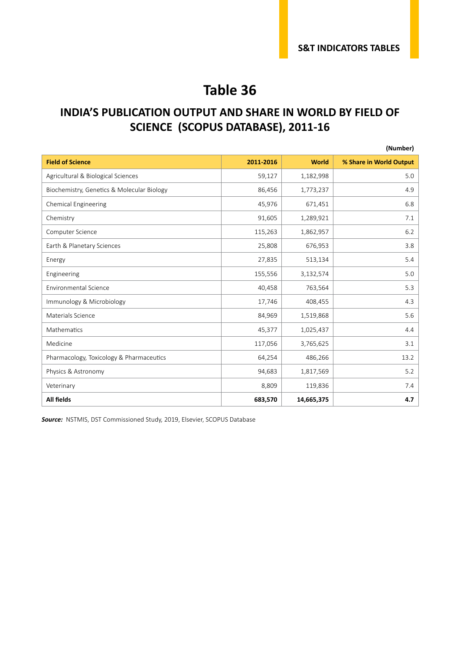#### **INDIA'S PUBLICATION OUTPUT AND SHARE IN WORLD BY FIELD OF SCIENCE (SCOPUS DATABASE), 2011-16**

|                                            |           |              | (Number)                |
|--------------------------------------------|-----------|--------------|-------------------------|
| <b>Field of Science</b>                    | 2011-2016 | <b>World</b> | % Share in World Output |
| Agricultural & Biological Sciences         | 59,127    | 1,182,998    | 5.0                     |
| Biochemistry, Genetics & Molecular Biology | 86,456    | 1,773,237    | 4.9                     |
| <b>Chemical Engineering</b>                | 45,976    | 671,451      | 6.8                     |
| Chemistry                                  | 91,605    | 1,289,921    | 7.1                     |
| Computer Science                           | 115,263   | 1,862,957    | 6.2                     |
| Earth & Planetary Sciences                 | 25,808    | 676,953      | 3.8                     |
| Energy                                     | 27,835    | 513,134      | 5.4                     |
| Engineering                                | 155,556   | 3,132,574    | 5.0                     |
| <b>Environmental Science</b>               | 40,458    | 763,564      | 5.3                     |
| Immunology & Microbiology                  | 17,746    | 408,455      | 4.3                     |
| Materials Science                          | 84,969    | 1,519,868    | 5.6                     |
| Mathematics                                | 45,377    | 1,025,437    | 4.4                     |
| Medicine                                   | 117,056   | 3,765,625    | 3.1                     |
| Pharmacology, Toxicology & Pharmaceutics   | 64,254    | 486,266      | 13.2                    |
| Physics & Astronomy                        | 94,683    | 1,817,569    | 5.2                     |
| Veterinary                                 | 8,809     | 119,836      | 7.4                     |
| <b>All fields</b>                          | 683,570   | 14,665,375   | 4.7                     |

*Source:* NSTMIS, DST Commissioned Study, 2019, Elsevier, SCOPUS Database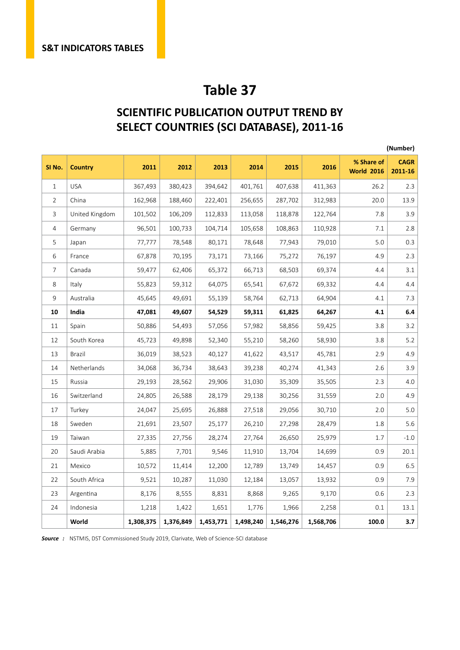#### **SCIENTIFIC PUBLICATION OUTPUT TREND BY SELECT COUNTRIES (SCI DATABASE), 2011-16**

|                |                |           |           |           |           |           |           |                                 | (Number)               |
|----------------|----------------|-----------|-----------|-----------|-----------|-----------|-----------|---------------------------------|------------------------|
| SI No.         | <b>Country</b> | 2011      | 2012      | 2013      | 2014      | 2015      | 2016      | % Share of<br><b>World 2016</b> | <b>CAGR</b><br>2011-16 |
| $\mathbf{1}$   | <b>USA</b>     | 367,493   | 380,423   | 394,642   | 401,761   | 407,638   | 411,363   | 26.2                            | 2.3                    |
| 2              | China          | 162,968   | 188,460   | 222,401   | 256,655   | 287,702   | 312,983   | 20.0                            | 13.9                   |
| 3              | United Kingdom | 101,502   | 106,209   | 112,833   | 113,058   | 118,878   | 122,764   | 7.8                             | 3.9                    |
| 4              | Germany        | 96,501    | 100,733   | 104,714   | 105,658   | 108,863   | 110,928   | 7.1                             | 2.8                    |
| 5              | Japan          | 77,777    | 78,548    | 80,171    | 78,648    | 77,943    | 79,010    | 5.0                             | 0.3                    |
| 6              | France         | 67,878    | 70,195    | 73,171    | 73,166    | 75,272    | 76,197    | 4.9                             | 2.3                    |
| $\overline{7}$ | Canada         | 59,477    | 62,406    | 65,372    | 66,713    | 68,503    | 69,374    | 4.4                             | 3.1                    |
| 8              | Italy          | 55,823    | 59,312    | 64,075    | 65,541    | 67,672    | 69,332    | 4.4                             | 4.4                    |
| 9              | Australia      | 45,645    | 49,691    | 55,139    | 58,764    | 62,713    | 64,904    | 4.1                             | 7.3                    |
| 10             | India          | 47,081    | 49,607    | 54,529    | 59,311    | 61,825    | 64,267    | 4.1                             | 6.4                    |
| 11             | Spain          | 50,886    | 54,493    | 57,056    | 57,982    | 58,856    | 59,425    | 3.8                             | 3.2                    |
| 12             | South Korea    | 45,723    | 49,898    | 52,340    | 55,210    | 58,260    | 58,930    | 3.8                             | 5.2                    |
| 13             | Brazil         | 36,019    | 38,523    | 40,127    | 41,622    | 43,517    | 45,781    | 2.9                             | 4.9                    |
| 14             | Netherlands    | 34,068    | 36,734    | 38,643    | 39,238    | 40,274    | 41,343    | 2.6                             | 3.9                    |
| 15             | Russia         | 29,193    | 28,562    | 29,906    | 31,030    | 35,309    | 35,505    | 2.3                             | 4.0                    |
| 16             | Switzerland    | 24,805    | 26,588    | 28,179    | 29,138    | 30,256    | 31,559    | 2.0                             | 4.9                    |
| 17             | Turkey         | 24,047    | 25,695    | 26,888    | 27,518    | 29,056    | 30,710    | 2.0                             | 5.0                    |
| 18             | Sweden         | 21,691    | 23,507    | 25,177    | 26,210    | 27,298    | 28,479    | 1.8                             | 5.6                    |
| 19             | Taiwan         | 27,335    | 27,756    | 28,274    | 27,764    | 26,650    | 25,979    | 1.7                             | $-1.0$                 |
| 20             | Saudi Arabia   | 5,885     | 7,701     | 9,546     | 11,910    | 13,704    | 14,699    | 0.9                             | 20.1                   |
| 21             | Mexico         | 10,572    | 11,414    | 12,200    | 12,789    | 13,749    | 14,457    | 0.9                             | 6.5                    |
| 22             | South Africa   | 9,521     | 10,287    | 11,030    | 12,184    | 13,057    | 13,932    | 0.9                             | 7.9                    |
| 23             | Argentina      | 8,176     | 8,555     | 8,831     | 8,868     | 9,265     | 9,170     | 0.6                             | 2.3                    |
| 24             | Indonesia      | 1,218     | 1,422     | 1,651     | 1,776     | 1,966     | 2,258     | 0.1                             | 13.1                   |
|                | World          | 1,308,375 | 1,376,849 | 1,453,771 | 1,498,240 | 1,546,276 | 1,568,706 | 100.0                           | 3.7                    |

*Source :* NSTMIS, DST Commissioned Study 2019, Clarivate, Web of Science -SCI database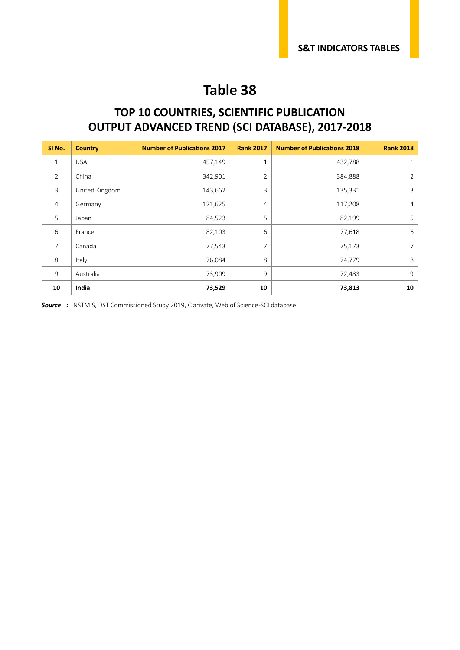#### **TOP 10 COUNTRIES, SCIENTIFIC PUBLICATION OUTPUT ADVANCED TREND (SCI DATABASE), 2017-2018**

| SI No.         | <b>Country</b> | <b>Number of Publications 2017</b> | <b>Rank 2017</b> | <b>Number of Publications 2018</b> | <b>Rank 2018</b> |
|----------------|----------------|------------------------------------|------------------|------------------------------------|------------------|
| $\mathbf{1}$   | <b>USA</b>     | 457,149                            | $1\,$            | 432,788                            | 1                |
| $\overline{2}$ | China          | 342,901                            | $\overline{2}$   | 384,888                            | 2                |
| 3              | United Kingdom | 143,662                            | 3                | 135,331                            | 3                |
| $\overline{4}$ | Germany        | 121,625                            | 4                | 117,208                            | $\overline{4}$   |
| 5              | Japan          | 84,523                             | 5                | 82,199                             | 5                |
| 6              | France         | 82,103                             | 6                | 77,618                             | 6                |
| $\overline{7}$ | Canada         | 77,543                             | $\overline{7}$   | 75,173                             | 7                |
| 8              | Italy          | 76,084                             | 8                | 74,779                             | 8                |
| 9              | Australia      | 73,909                             | 9                | 72,483                             | 9                |
| 10             | India          | 73,529                             | 10               | 73,813                             | 10               |

**Source** : NSTMIS, DST Commissioned Study 2019, Clarivate, Web of Science-SCI database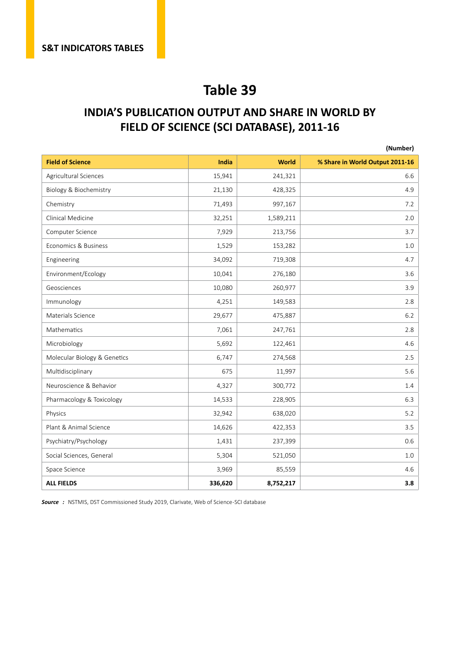#### **INDIA'S PUBLICATION OUTPUT AND SHARE IN WORLD BY FIELD OF SCIENCE (SCI DATABASE), 2011-16**

|                              |         |              | (Number)                        |
|------------------------------|---------|--------------|---------------------------------|
| <b>Field of Science</b>      | India   | <b>World</b> | % Share in World Output 2011-16 |
| Agricultural Sciences        | 15,941  | 241,321      | 6.6                             |
| Biology & Biochemistry       | 21,130  | 428,325      | 4.9                             |
| Chemistry                    | 71,493  | 997,167      | 7.2                             |
| Clinical Medicine            | 32,251  | 1,589,211    | 2.0                             |
| Computer Science             | 7,929   | 213,756      | 3.7                             |
| Economics & Business         | 1,529   | 153,282      | 1.0                             |
| Engineering                  | 34,092  | 719,308      | 4.7                             |
| Environment/Ecology          | 10,041  | 276,180      | 3.6                             |
| Geosciences                  | 10,080  | 260,977      | 3.9                             |
| Immunology                   | 4,251   | 149,583      | 2.8                             |
| Materials Science            | 29,677  | 475,887      | 6.2                             |
| Mathematics                  | 7,061   | 247,761      | 2.8                             |
| Microbiology                 | 5,692   | 122,461      | 4.6                             |
| Molecular Biology & Genetics | 6,747   | 274,568      | 2.5                             |
| Multidisciplinary            | 675     | 11,997       | 5.6                             |
| Neuroscience & Behavior      | 4,327   | 300,772      | 1.4                             |
| Pharmacology & Toxicology    | 14,533  | 228,905      | 6.3                             |
| Physics                      | 32,942  | 638,020      | 5.2                             |
| Plant & Animal Science       | 14,626  | 422,353      | 3.5                             |
| Psychiatry/Psychology        | 1,431   | 237,399      | 0.6                             |
| Social Sciences, General     | 5,304   | 521,050      | $1.0\,$                         |
| Space Science                | 3,969   | 85,559       | 4.6                             |
| <b>ALL FIELDS</b>            | 336,620 | 8,752,217    | 3.8                             |

*Source :* NSTMIS, DST Commissioned Study 2019, Clarivate, Web of Science -SCI database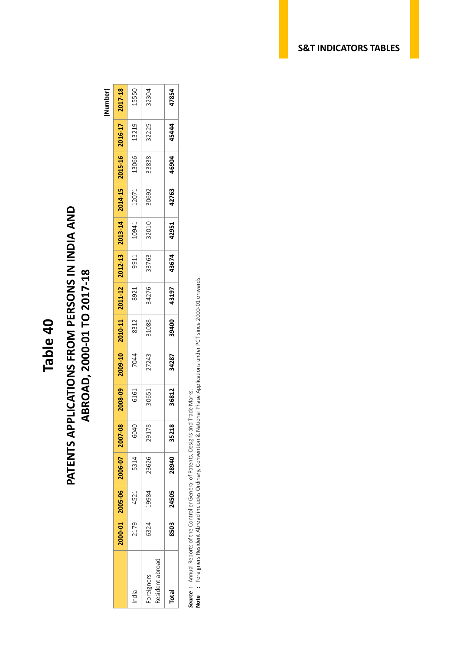## **PATENTS APPLICATIONS FROM PERSONS IN INDIA AND<br>ABROAD, 2000-01 TO 2017-18 PATENTS APPLICATIONS FROM PERSONS IN INDIA AND ABROAD, 2000-01 TO 2017-18**

**(Number)**

|                              | 10-000 | 2005-06 | 2006-07 | 2007-08 | 008-09 | 17-600; | 1010-11 | 2011-12 | 2012-13 | 1013-14 | 2014-1! | 2015-16 | 2016-17 | 2017-18 |
|------------------------------|--------|---------|---------|---------|--------|---------|---------|---------|---------|---------|---------|---------|---------|---------|
| India                        | 2179   | 4521    | 5314    | 6040    | 6161   | 7044    | 8312    | 8921    | 9911    | 10941   | 12071   | 13066   | 13219   | 15550   |
| Resident abroad<br>oreigners | 5324   | 19984   | 23626   | 29178   | 80651  | 27243   | 81088   | 34276   | 33763   | 32010   | 30692   | 33838   | 32225   | 32304   |
| <b>Total</b>                 | 8503   | 24505   | 28940   | 35218   | 36812  | 34287   | 39400   | 43197   | 43674   | 42951   | 42763   | 46904   | 45444   | 47854   |

*Source :* Annual Reports of the Controller General of Patents, Designs and Trade Marks.

Source : Annual Reports of the Controller General of Patents, Designs and Trade Marks.<br>Note : Foreigners Resident Abroad includes Ordinary, Convention & National Phase Applications under PCT since 2000-01 onwards. **Note :** Foreigners Resident Abroad includes Ordinary, Convention & National Phase Applications under PCT since 2000-01 onwards.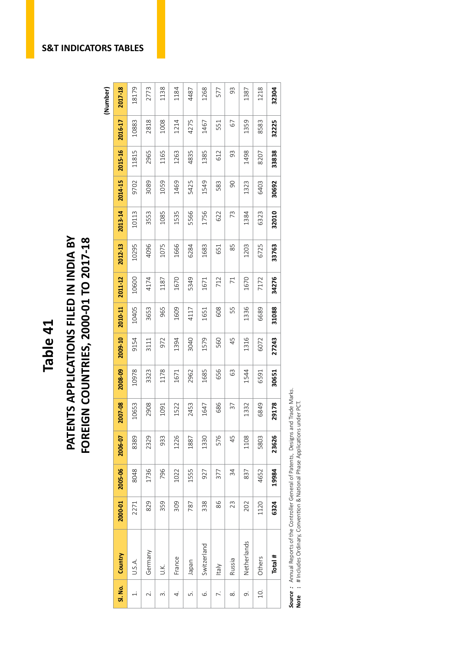## Table 41<br>PATENTS APPLICATIONS FILED IN INDIA BY<br>FOREIGN COUNTRIES, 2000-01 TO 2017-18 **PATENTS APPLICATIONS FILED IN INDIA BY<br>FOREIGN COUNTRIES, 2000-01 TO 2017-18**

(Number)

| SI. No.                  | Country      | 2000-01 | 2005-06 | 2006-07 | 2007-08 | 2008-09 | 2009-10 | 2010-11 | 2011-12        | 2012-13 | 2013-14 | 2014-15        | 2015-16 | 2016-17 | 2017-18 |
|--------------------------|--------------|---------|---------|---------|---------|---------|---------|---------|----------------|---------|---------|----------------|---------|---------|---------|
|                          | U.S.A.       | 2271    | 8048    | 8389    | 10653   | 10978   | 9154    | 10405   | 10600          | 10295   | 10113   | 9702           | 11815   | 10883   | 18179   |
| $\overline{\mathcal{N}}$ | Germany      | 829     | 1736    | 2329    | 2908    | 3323    | 3111    | 3653    | 4174           | 4096    | 3553    | 3089           | 2965    | 2818    | 2773    |
| ന്                       | У.           | 359     | 796     | 933     | 1091    | 1178    | 972     | 965     | 1187           | 1075    | 1085    | 1059           | 1165    | 1008    | 1138    |
| 4.                       | France       | 309     | 1022    | 1226    | 1522    | 1671    | 1394    | 1609    | 1670           | 1666    | 1535    | 1469           | 1263    | 1214    | 1184    |
| ட்                       | Inpapel      | 787     | 1555    | 1887    | 2453    | 2962    | 3040    | 4117    | 5349           | 6284    | 5566    | 5425           | 4835    | 4275    | 4487    |
| 6                        | Switzerland  | 338     | 927     | 1330    | 1647    | 1685    | 1579    | 1651    | 1671           | 1683    | 1756    | 1549           | 1385    | 1467    | 1268    |
|                          | <b>Italy</b> | 86      | 377     | 576     | 686     | 656     | 560     | 608     | 712            | 651     | 622     | 583            | 612     | 551     | 577     |
| ∞                        | Russia       | 23      | 34      | 45      | 37      | 63      | 45      | 55      | $\overline{7}$ | 85      | 73      | $\overline{0}$ | 93      | 67      | 93      |
| െ                        | Netherlands  | 202     | 837     | 1108    | 1332    | 1544    | 1316    | 1336    | 1670           | 1203    | 1384    | 1323           | 1498    | 1359    | 1387    |
| $\overline{10}$ .        | Others       | 1120    | 4652    | 5803    | 6849    | 6591    | 6072    | 6689    | 7172           | 6725    | 6323    | 6403           | 8207    | 8583    | 1218    |
|                          | Total #      | 6324    | 19984   | 23626   | 29178   | 30651   | 27243   | 31088   | 34276          | 33763   | 32010   | 30692          | 33838   | 32225   | 32304   |

**Source**: Annual Reports of the Controller General of Patents, Designs and Trade Marks.<br>Note : # Includes Ordinary, Convention & National Phase Applications under PCT. *Source :* Annual Reports of the Controller General of Patents, Designs and Trade Marks. **Note :** # Includes Ordinary, Convention & National Phase Applications under PCT.

**S&T INDICATORS TABLES**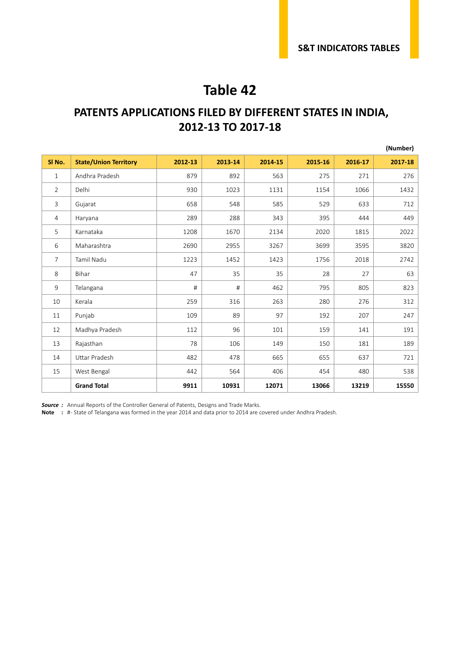#### **PATENTS APPLICATIONS FILED BY DIFFERENT STATES IN INDIA, 2012-13 TO 2017-18**

|                   |                              |         |         |         |         |         | (Number) |
|-------------------|------------------------------|---------|---------|---------|---------|---------|----------|
| SI <sub>No.</sub> | <b>State/Union Territory</b> | 2012-13 | 2013-14 | 2014-15 | 2015-16 | 2016-17 | 2017-18  |
| $\mathbf{1}$      | Andhra Pradesh               | 879     | 892     | 563     | 275     | 271     | 276      |
| $\overline{2}$    | Delhi                        | 930     | 1023    | 1131    | 1154    | 1066    | 1432     |
| 3                 | Gujarat                      | 658     | 548     | 585     | 529     | 633     | 712      |
| 4                 | Haryana                      | 289     | 288     | 343     | 395     | 444     | 449      |
| 5                 | Karnataka                    | 1208    | 1670    | 2134    | 2020    | 1815    | 2022     |
| 6                 | Maharashtra                  | 2690    | 2955    | 3267    | 3699    | 3595    | 3820     |
| $\overline{7}$    | <b>Tamil Nadu</b>            | 1223    | 1452    | 1423    | 1756    | 2018    | 2742     |
| 8                 | Bihar                        | 47      | 35      | 35      | 28      | 27      | 63       |
| 9                 | Telangana                    | #       | #       | 462     | 795     | 805     | 823      |
| 10                | Kerala                       | 259     | 316     | 263     | 280     | 276     | 312      |
| 11                | Punjab                       | 109     | 89      | 97      | 192     | 207     | 247      |
| 12                | Madhya Pradesh               | 112     | 96      | 101     | 159     | 141     | 191      |
| 13                | Rajasthan                    | 78      | 106     | 149     | 150     | 181     | 189      |
| 14                | <b>Uttar Pradesh</b>         | 482     | 478     | 665     | 655     | 637     | 721      |
| 15                | West Bengal                  | 442     | 564     | 406     | 454     | 480     | 538      |
|                   | <b>Grand Total</b>           | 9911    | 10931   | 12071   | 13066   | 13219   | 15550    |

*Source :* Annual Reports of the Controller General of Patents, Designs and Trade Marks.

**Note :** # - State of Telangana was formed in the year 2014 and data prior to 2014 are covered under Andhra Pradesh.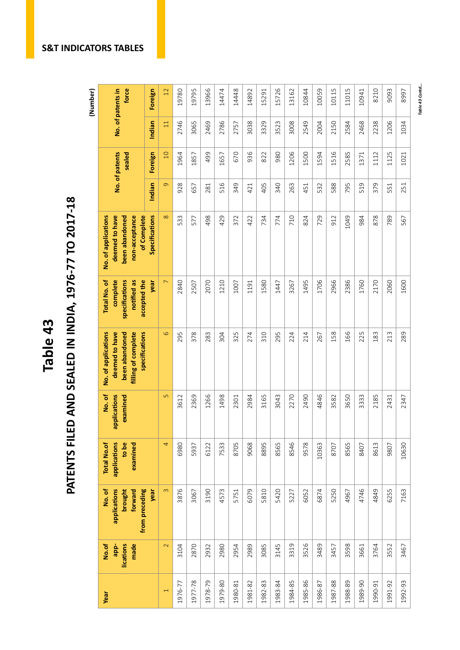# **Table 43 PATENTS FILED AND SEALED IN INDIA, 1976-77 TO 2017-18 (Number)** PATENTS FILED AND SEALED IN INDIA, 1976-77 TO 2017-18

(Number)

| No. of patents in<br>force                                                                       | Foreign        | 12                       | 19780   | 19795   | 13966   | 14474   | 14448   | 14892   | 15291   | 15726   | 13162   | 10844   | 10059   | 10115   | 11015   | 10941   | 8210    | 9093    | 8997    |
|--------------------------------------------------------------------------------------------------|----------------|--------------------------|---------|---------|---------|---------|---------|---------|---------|---------|---------|---------|---------|---------|---------|---------|---------|---------|---------|
|                                                                                                  | Indian         | $\Xi$                    | 2746    | 3065    | 2469    | 2786    | 2757    | 3038    | 3329    | 3523    | 3008    | 2549    | 2004    | 2150    | 2584    | 2468    | 2238    | 1206    | 1034    |
| No. of patents<br>sealed                                                                         | Foreign        | $\Box$                   | 1964    | 1857    | 499     | 1657    | 670     | 936     | 822     | 980     | 1206    | 1500    | 1594    | 1516    | 2585    | 1371    | 1112    | 1125    | 1021    |
|                                                                                                  | Indian         | $\sigma$                 | 928     | 657     | 281     | 516     | 349     | 421     | 405     | 340     | 263     | 451     | 532     | 588     | 795     | 519     | 379     | 551     | 251     |
| No. of applications<br>deemed to have<br>of Complete<br>been abandoned<br>non-acceptance         | Specifications | $\infty$                 | 533     | 577     | 498     | 429     | 372     | 422     | 734     | 774     | 710     | 824     | 729     | 912     | 1049    | 984     | 878     | 789     | 567     |
| Total No. of<br>complete<br>specifications<br>accepted the<br>notified as                        | year           | $\overline{ }$           | 2840    | 2507    | 2070    | 1210    | 1007    | 1191    | 1580    | 1447    | 3267    | 1495    | 1706    | 2966    | 2386    | 1760    | 2170    | 2060    | 1600    |
| No. of applications<br>deemed to have<br>specifications<br>filling of complete<br>been abandoned |                | $\circ$                  | 295     | 378     | 283     | 304     | 325     | 274     | 310     | 295     | 224     | 214     | 267     | 158     | 166     | 225     | 183     | 213     | 289     |
| No.of<br>applications<br>examined                                                                |                | 5                        | 3612    | 2369    | 1266    | 1498    | 2301    | 2984    | 3165    | 3043    | 2270    | 2490    | 4846    | 3582    | 3650    | 3333    | 2185    | 2431    | 2347    |
| <b>Total No.of</b><br>applications<br>to be<br>examined                                          |                | 4                        | 6980    | 5937    | 6122    | 7533    | 8705    | 9068    | 8895    | 8565    | 8546    | 9578    | 10363   | 8707    | 8565    | 8407    | 8613    | 9807    | 10630   |
| from preceding<br>No. of<br>applications<br>brought<br>forward                                   | year           | $\infty$                 | 3876    | 3067    | 3190    | 4573    | 5751    | 6079    | 5810    | 5420    | 5227    | 6052    | 6874    | 5250    | 4967    | 4746    | 4849    | 6255    | 7163    |
| No.of<br>lications<br>made<br>app-                                                               |                | $\sim$                   | 3104    | 2870    | 2932    | 2980    | 2954    | 2989    | 3085    | 3145    | 3319    | 3526    | 3489    | 3457    | 3598    | 3661    | 3764    | 3552    | 3467    |
| Year                                                                                             |                | $\overline{\phantom{0}}$ | 1976-77 | 1977-78 | 1978-79 | 1979-80 | 1980-81 | 1981-82 | 1982-83 | 1983-84 | 1984-85 | 1985-86 | 1986-87 | 1987-88 | 1988-89 | 1989-90 | 1990-91 | 1991-92 | 1992-93 |

Table 43 Contd... *Table 43 Contd...*

#### **S&T INDICATORS TABLES**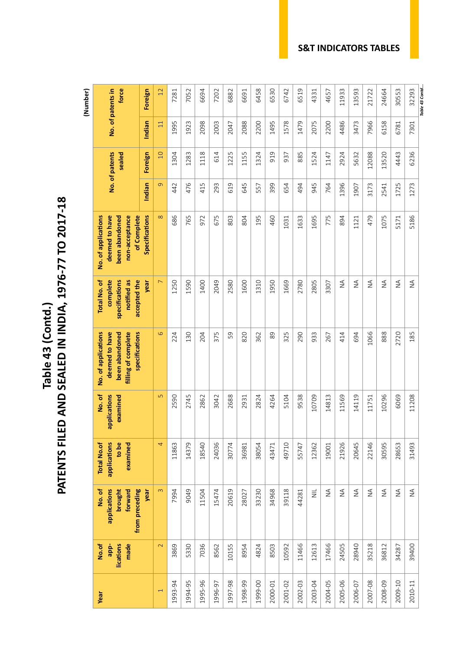Table 43 (Contd.)<br>PATENTS FILED AND SEALED IN INDIA, 1976-77 TO 2017-18 **PATENTS FILED AND SEALED IN INDIA, 1976-77 TO 2017-18 Table 43 (Contd.)**

**(Number)** 

| 32293<br>No. of patents in<br>force<br>6458<br>6530<br>6742<br>6519<br>Foreign<br>$\overline{12}$<br>7202<br>6882<br>6691<br>11933<br>13593<br>21722<br>24664<br>30553<br>7052<br>6694<br>4331<br>4657<br>7281<br>2075<br>7966<br>1995<br>2088<br>2200<br>1495<br>1578<br>1479<br>2200<br>4486<br>6158<br>Indian<br>1923<br>2098<br>2003<br>3473<br>6781<br>$\Xi$<br>2047<br>7301<br>6236<br>1225<br>1155<br>No. of patents<br>sealed<br>Foreign<br>1283<br>1118<br>614<br>1324<br>919<br>885<br>1524<br>2924<br>12088<br>13520<br>4443<br>$\overline{0}$<br>1304<br>937<br>1147<br>5632<br>$\sigma$<br>476<br>415<br>619<br>645<br>945<br>1396<br>1725<br>1273<br>Indian<br>442<br>293<br>399<br>654<br>494<br>764<br>3173<br>2541<br>1907<br>557<br>Specifications<br>$\infty$<br>1695<br>5186<br>No. of applications<br>deemed to have<br>been abandoned<br>non-acceptance<br>of Complete<br>686<br>765<br>675<br>195<br>775<br>479<br>1075<br>803<br>804<br>460<br>1633<br>894<br>5171<br>972<br>1031<br>1121<br>$\stackrel{\triangle}{\geq}$<br>$\frac{4}{2}$<br>complete<br>$\overline{ }$<br>2049<br>1310<br>1669<br>2805<br>$\frac{4}{2}$<br>$\stackrel{\triangle}{\geq}$<br>$\stackrel{\triangle}{\geq}$<br>$\stackrel{\triangle}{\geq}$<br><b>Total No. of</b><br>specifications<br>notified as<br>accepted the<br>year<br>1250<br>1590<br>2580<br>1600<br>1950<br>2780<br>1400<br>3307<br>$\overline{Q}$<br>specifications<br>820<br>1066<br>No. of applications<br>deemed to have<br>filling of complete<br>130<br>375<br>59<br>362<br>89<br>325<br>290<br>933<br>888<br>2720<br>185<br>been abandoned<br>224<br>204<br>414<br>694<br>267<br>applications<br>5<br>2590<br>9538<br>10296<br>No.of<br>2745<br>2688<br>2824<br>4264<br>5104<br>10709<br>14813<br>11569<br>14119<br>6069<br>11208<br>examined<br>3042<br>2862<br>2931<br>11751<br>4<br>21926<br>22146<br>applications<br>to be<br>examined<br>14379<br>18540<br>24036<br>49710<br>20645<br>30595<br>28653<br><b>Total No.of</b><br>11863<br>30774<br>43471<br>31493<br>38054<br>55747<br>12362<br>36981<br>19001<br>applications<br>from preceding<br>$\omega$<br>39118<br>$\equiv$<br>$\stackrel{\triangle}{\geq}$<br>$\stackrel{\triangle}{\geq}$<br>$\lessgtr$<br>$\lessgtr$<br>forward<br>9049<br>20619<br>33230<br>34968<br>$\stackrel{\triangle}{\geq}$<br>$\lessgtr$<br>$\lessgtr$<br>brought<br>11504<br>15474<br>No.of<br>year<br>7994<br>28027<br>44281<br>$\mathbf{\Omega}$<br>7036<br>12613<br>35218<br>No.of<br>lications<br>made<br>3869<br>5330<br>8562<br>10155<br>8954<br>4824<br>8503<br>10592<br>11466<br>17466<br>24505<br>28940<br>36812<br>39400<br>34287<br>app- |  |  |  |  |  | (Number) |
|-----------------------------------------------------------------------------------------------------------------------------------------------------------------------------------------------------------------------------------------------------------------------------------------------------------------------------------------------------------------------------------------------------------------------------------------------------------------------------------------------------------------------------------------------------------------------------------------------------------------------------------------------------------------------------------------------------------------------------------------------------------------------------------------------------------------------------------------------------------------------------------------------------------------------------------------------------------------------------------------------------------------------------------------------------------------------------------------------------------------------------------------------------------------------------------------------------------------------------------------------------------------------------------------------------------------------------------------------------------------------------------------------------------------------------------------------------------------------------------------------------------------------------------------------------------------------------------------------------------------------------------------------------------------------------------------------------------------------------------------------------------------------------------------------------------------------------------------------------------------------------------------------------------------------------------------------------------------------------------------------------------------------------------------------------------------------------------------------------------------------------------------------------------------------------------------------------------------------------------------------------------------------------------------------------------------------------------------------------------------------------------------------------------------------------------------------------------------------------------------------------------------------------------------------------------------------------------------------------------------------------------------------------------------|--|--|--|--|--|----------|
|                                                                                                                                                                                                                                                                                                                                                                                                                                                                                                                                                                                                                                                                                                                                                                                                                                                                                                                                                                                                                                                                                                                                                                                                                                                                                                                                                                                                                                                                                                                                                                                                                                                                                                                                                                                                                                                                                                                                                                                                                                                                                                                                                                                                                                                                                                                                                                                                                                                                                                                                                                                                                                                                 |  |  |  |  |  |          |
|                                                                                                                                                                                                                                                                                                                                                                                                                                                                                                                                                                                                                                                                                                                                                                                                                                                                                                                                                                                                                                                                                                                                                                                                                                                                                                                                                                                                                                                                                                                                                                                                                                                                                                                                                                                                                                                                                                                                                                                                                                                                                                                                                                                                                                                                                                                                                                                                                                                                                                                                                                                                                                                                 |  |  |  |  |  |          |
|                                                                                                                                                                                                                                                                                                                                                                                                                                                                                                                                                                                                                                                                                                                                                                                                                                                                                                                                                                                                                                                                                                                                                                                                                                                                                                                                                                                                                                                                                                                                                                                                                                                                                                                                                                                                                                                                                                                                                                                                                                                                                                                                                                                                                                                                                                                                                                                                                                                                                                                                                                                                                                                                 |  |  |  |  |  |          |
|                                                                                                                                                                                                                                                                                                                                                                                                                                                                                                                                                                                                                                                                                                                                                                                                                                                                                                                                                                                                                                                                                                                                                                                                                                                                                                                                                                                                                                                                                                                                                                                                                                                                                                                                                                                                                                                                                                                                                                                                                                                                                                                                                                                                                                                                                                                                                                                                                                                                                                                                                                                                                                                                 |  |  |  |  |  |          |
|                                                                                                                                                                                                                                                                                                                                                                                                                                                                                                                                                                                                                                                                                                                                                                                                                                                                                                                                                                                                                                                                                                                                                                                                                                                                                                                                                                                                                                                                                                                                                                                                                                                                                                                                                                                                                                                                                                                                                                                                                                                                                                                                                                                                                                                                                                                                                                                                                                                                                                                                                                                                                                                                 |  |  |  |  |  |          |
|                                                                                                                                                                                                                                                                                                                                                                                                                                                                                                                                                                                                                                                                                                                                                                                                                                                                                                                                                                                                                                                                                                                                                                                                                                                                                                                                                                                                                                                                                                                                                                                                                                                                                                                                                                                                                                                                                                                                                                                                                                                                                                                                                                                                                                                                                                                                                                                                                                                                                                                                                                                                                                                                 |  |  |  |  |  |          |
|                                                                                                                                                                                                                                                                                                                                                                                                                                                                                                                                                                                                                                                                                                                                                                                                                                                                                                                                                                                                                                                                                                                                                                                                                                                                                                                                                                                                                                                                                                                                                                                                                                                                                                                                                                                                                                                                                                                                                                                                                                                                                                                                                                                                                                                                                                                                                                                                                                                                                                                                                                                                                                                                 |  |  |  |  |  |          |
|                                                                                                                                                                                                                                                                                                                                                                                                                                                                                                                                                                                                                                                                                                                                                                                                                                                                                                                                                                                                                                                                                                                                                                                                                                                                                                                                                                                                                                                                                                                                                                                                                                                                                                                                                                                                                                                                                                                                                                                                                                                                                                                                                                                                                                                                                                                                                                                                                                                                                                                                                                                                                                                                 |  |  |  |  |  |          |
|                                                                                                                                                                                                                                                                                                                                                                                                                                                                                                                                                                                                                                                                                                                                                                                                                                                                                                                                                                                                                                                                                                                                                                                                                                                                                                                                                                                                                                                                                                                                                                                                                                                                                                                                                                                                                                                                                                                                                                                                                                                                                                                                                                                                                                                                                                                                                                                                                                                                                                                                                                                                                                                                 |  |  |  |  |  |          |
|                                                                                                                                                                                                                                                                                                                                                                                                                                                                                                                                                                                                                                                                                                                                                                                                                                                                                                                                                                                                                                                                                                                                                                                                                                                                                                                                                                                                                                                                                                                                                                                                                                                                                                                                                                                                                                                                                                                                                                                                                                                                                                                                                                                                                                                                                                                                                                                                                                                                                                                                                                                                                                                                 |  |  |  |  |  |          |
|                                                                                                                                                                                                                                                                                                                                                                                                                                                                                                                                                                                                                                                                                                                                                                                                                                                                                                                                                                                                                                                                                                                                                                                                                                                                                                                                                                                                                                                                                                                                                                                                                                                                                                                                                                                                                                                                                                                                                                                                                                                                                                                                                                                                                                                                                                                                                                                                                                                                                                                                                                                                                                                                 |  |  |  |  |  |          |
|                                                                                                                                                                                                                                                                                                                                                                                                                                                                                                                                                                                                                                                                                                                                                                                                                                                                                                                                                                                                                                                                                                                                                                                                                                                                                                                                                                                                                                                                                                                                                                                                                                                                                                                                                                                                                                                                                                                                                                                                                                                                                                                                                                                                                                                                                                                                                                                                                                                                                                                                                                                                                                                                 |  |  |  |  |  |          |
|                                                                                                                                                                                                                                                                                                                                                                                                                                                                                                                                                                                                                                                                                                                                                                                                                                                                                                                                                                                                                                                                                                                                                                                                                                                                                                                                                                                                                                                                                                                                                                                                                                                                                                                                                                                                                                                                                                                                                                                                                                                                                                                                                                                                                                                                                                                                                                                                                                                                                                                                                                                                                                                                 |  |  |  |  |  |          |
|                                                                                                                                                                                                                                                                                                                                                                                                                                                                                                                                                                                                                                                                                                                                                                                                                                                                                                                                                                                                                                                                                                                                                                                                                                                                                                                                                                                                                                                                                                                                                                                                                                                                                                                                                                                                                                                                                                                                                                                                                                                                                                                                                                                                                                                                                                                                                                                                                                                                                                                                                                                                                                                                 |  |  |  |  |  |          |
|                                                                                                                                                                                                                                                                                                                                                                                                                                                                                                                                                                                                                                                                                                                                                                                                                                                                                                                                                                                                                                                                                                                                                                                                                                                                                                                                                                                                                                                                                                                                                                                                                                                                                                                                                                                                                                                                                                                                                                                                                                                                                                                                                                                                                                                                                                                                                                                                                                                                                                                                                                                                                                                                 |  |  |  |  |  |          |
|                                                                                                                                                                                                                                                                                                                                                                                                                                                                                                                                                                                                                                                                                                                                                                                                                                                                                                                                                                                                                                                                                                                                                                                                                                                                                                                                                                                                                                                                                                                                                                                                                                                                                                                                                                                                                                                                                                                                                                                                                                                                                                                                                                                                                                                                                                                                                                                                                                                                                                                                                                                                                                                                 |  |  |  |  |  |          |
|                                                                                                                                                                                                                                                                                                                                                                                                                                                                                                                                                                                                                                                                                                                                                                                                                                                                                                                                                                                                                                                                                                                                                                                                                                                                                                                                                                                                                                                                                                                                                                                                                                                                                                                                                                                                                                                                                                                                                                                                                                                                                                                                                                                                                                                                                                                                                                                                                                                                                                                                                                                                                                                                 |  |  |  |  |  |          |
|                                                                                                                                                                                                                                                                                                                                                                                                                                                                                                                                                                                                                                                                                                                                                                                                                                                                                                                                                                                                                                                                                                                                                                                                                                                                                                                                                                                                                                                                                                                                                                                                                                                                                                                                                                                                                                                                                                                                                                                                                                                                                                                                                                                                                                                                                                                                                                                                                                                                                                                                                                                                                                                                 |  |  |  |  |  |          |
|                                                                                                                                                                                                                                                                                                                                                                                                                                                                                                                                                                                                                                                                                                                                                                                                                                                                                                                                                                                                                                                                                                                                                                                                                                                                                                                                                                                                                                                                                                                                                                                                                                                                                                                                                                                                                                                                                                                                                                                                                                                                                                                                                                                                                                                                                                                                                                                                                                                                                                                                                                                                                                                                 |  |  |  |  |  |          |
|                                                                                                                                                                                                                                                                                                                                                                                                                                                                                                                                                                                                                                                                                                                                                                                                                                                                                                                                                                                                                                                                                                                                                                                                                                                                                                                                                                                                                                                                                                                                                                                                                                                                                                                                                                                                                                                                                                                                                                                                                                                                                                                                                                                                                                                                                                                                                                                                                                                                                                                                                                                                                                                                 |  |  |  |  |  |          |
|                                                                                                                                                                                                                                                                                                                                                                                                                                                                                                                                                                                                                                                                                                                                                                                                                                                                                                                                                                                                                                                                                                                                                                                                                                                                                                                                                                                                                                                                                                                                                                                                                                                                                                                                                                                                                                                                                                                                                                                                                                                                                                                                                                                                                                                                                                                                                                                                                                                                                                                                                                                                                                                                 |  |  |  |  |  |          |

#### **S&T INDICATORS TABLES**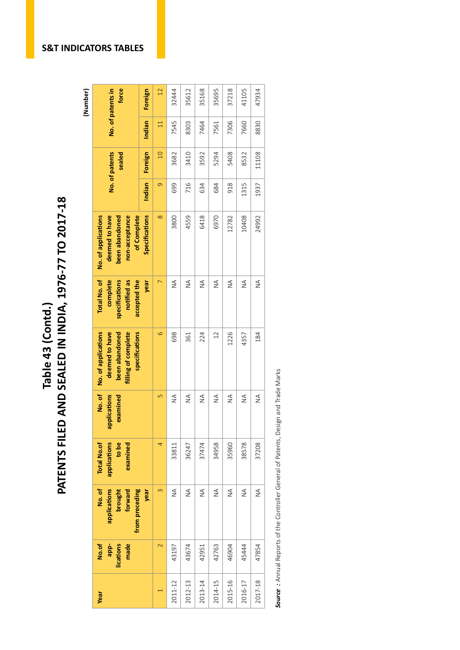PATENTS FILED AND SEALED IN INDIA, 1976-77 TO 2017-18 **PATENTS FILED AND SEALED IN INDIA, 1976-77 TO 2017-18**Table 43 (Contd.) **Table 43 (Contd.)**

**force**  32444 35612 35168 37218 41105 47934 **No. of patents in**  Foreign 35695 No. of patents in  $\overline{12}$ **Indian Foreign Indian Foreign** 2011-12 43197 NA 33811 NA 698 NA 3800 699 3682 7545 32444 2013-14 42951 NA 37474 NA 224 NA 6418 634 3592 7464 35168 2015-16 | 2021-16 | 2021 | 2020 | 2030 | 204 | 2030 | 204 | 2040 | 2040 | 2050 | 207218 | 37218 | 37218 | 3721 2017-18 18 47854 NA 184 NA 184 NA 184 NA 184 NA 184 NA 184 NA 184 NA 184 NA 184 NA 184 NA 184 NA 184 NA 184 NA 2 3 3 5 6 6 6 6 9 2 3 3 3 3 3 3 4 5 7 5 6 6 7 3 4 4 5 4 5 7 9 8 9 2 3 4 5 6 7 8 9 8 9 2 2 3 9 8 9 8 9 8 9 2 2 2012-13 43674 | 2012-13 | 20247 | 20247 | 20247 | 20247 | 20247 | 20247 | 20247 | 20347 | 36247 | 36247 | 3624 2014-15 42763 NA 34958 NA 12 NA 6970 684 5294 7561 35695 2016-17 45444 NA NA NA 131578 1357 NA NA 1357 13578 13578 13578 13578 13578 13578 1357 1357 13585 147105 Indian 8830 7545 7306  $\Box$ 8303 7464 7561 7660 No. of patents 11108 **No. of patents sealed**  3682 3410 3592 5294 5408 8532 Foreign  $\overline{10}$ Indian  $\sigma$ 918 1315 1937 699 716 684 634 6418 deemed to have non-acceptance of Complete **Specifications**  $\infty$ 3800 4559 6970 12782 10408 24992 No. of applications **No. of applications deemed to have**  been abandoned **non-acceptance of Complete been abandoned Specifications year**  $\overline{\triangleright}$ Total No. of **Total No. of complete**  specifications notified as **notified as**  accepted the **accepted the**   $\leq$  $\leq$  $\leq$  $\leq$  $\leq$  $\leq$  $\leq$ **specifications**  $\circ$ No. of applications deemed to have **deemed to have**  been abandoned filling of complete specifications 1226 698 224  $12$ 4357 184 **No. of applications been abandoned filling of complete specifications** 361 **No. of**  applications examined  $\overline{a}$  $\stackrel{\triangle}{\geq}$  $\stackrel{\triangle}{\geq}$  $\stackrel{\triangle}{\geq}$  $\stackrel{\triangle}{\geq}$  $\stackrel{\triangle}{\geq}$  $\mathop{\mathsf{S}}\limits_\mathsf{Z}$  $\stackrel{\triangle}{\geq}$ **applications examined** applications **to be**   $\overline{4}$ 34958 38578 37208 Total No.of 36247 37474 35960 examined 33811 **Total No.of applications examined Year No.of app- lications made No. of applications brought forward from preceding year**  $\infty$  $\leq$  $\stackrel{\triangle}{\geq}$  $\mathbb{1}_{\mathbb{Z}}$  $\stackrel{\triangle}{\geq}$  $\stackrel{\triangle}{\geq}$  $\leq$  $\stackrel{\triangle}{\geq}$  $\overline{\mathbf{c}}$ 43674 47854 43197 42951 42763 46904 45444 2012-13 2016-17 2011-12 2013-14 2014-15 2015-16 2017-18  $\overline{a}$ 

Source: Annual Reports of the Controller General of Patents, Design and Trade Marks *Source :* Annual Reports of the Controller General of Patents, Design and Trade Marks

#### **S&T INDICATORS TABLES**

**(Number)**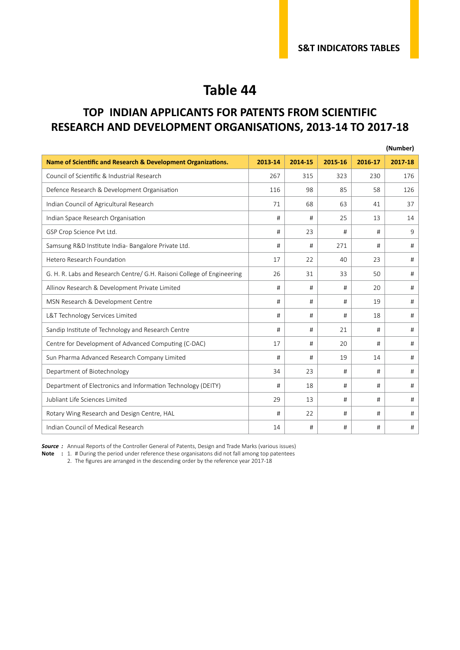#### **TOP INDIAN APPLICANTS FOR PATENTS FROM SCIENTIFIC RESEARCH AND DEVELOPMENT ORGANISATIONS, 2013-14 TO 2017-18**

|                                                                        |         |         |         |         | (Number) |
|------------------------------------------------------------------------|---------|---------|---------|---------|----------|
| Name of Scientific and Research & Development Organizations.           | 2013-14 | 2014-15 | 2015-16 | 2016-17 | 2017-18  |
| Council of Scientific & Industrial Research                            | 267     | 315     | 323     | 230     | 176      |
| Defence Research & Development Organisation                            | 116     | 98      | 85      | 58      | 126      |
| Indian Council of Agricultural Research                                | 71      | 68      | 63      | 41      | 37       |
| Indian Space Research Organisation                                     | #       | #       | 25      | 13      | 14       |
| GSP Crop Science Pvt Ltd.                                              | #       | 23      | #       | #       | 9        |
| Samsung R&D Institute India- Bangalore Private Ltd.                    | #       | #       | 271     | #       | #        |
| Hetero Research Foundation                                             | 17      | 22      | 40      | 23      | #        |
| G. H. R. Labs and Research Centre/ G.H. Raisoni College of Engineering | 26      | 31      | 33      | 50      | #        |
| Allinov Research & Development Private Limited                         | #       | #       | #       | 20      | #        |
| MSN Research & Development Centre                                      | #       | #       | #       | 19      | #        |
| L&T Technology Services Limited                                        | #       | #       | #       | 18      | #        |
| Sandip Institute of Technology and Research Centre                     | #       | #       | 21      | #       | #        |
| Centre for Development of Advanced Computing (C-DAC)                   | 17      | #       | 20      | #       | #        |
| Sun Pharma Advanced Research Company Limited                           | #       | #       | 19      | 14      | #        |
| Department of Biotechnology                                            | 34      | 23      | #       | #       | #        |
| Department of Electronics and Information Technology (DEITY)           | #       | 18      | #       | #       | #        |
| Jubliant Life Sciences Limited                                         | 29      | 13      | #       | #       | #        |
| Rotary Wing Research and Design Centre, HAL                            | #       | 22      | #       | #       | #        |
| Indian Council of Medical Research                                     | 14      | #       | #       | #       | #        |

**Source** : Annual Reports of the Controller General of Patents, Design and Trade Marks (various issues)

**Note :** 1. # During the period under reference these organisatons did not fall among top patentees

2. The figures are arranged in the descending order by the reference year 2017-18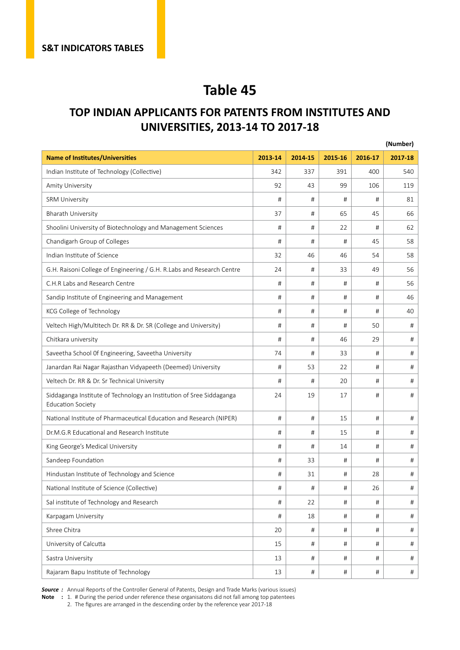#### **TOP INDIAN APPLICANTS FOR PATENTS FROM INSTITUTES AND UNIVERSITIES, 2013-14 TO 2017-18**

|                                                                                                  |         |         |         |         | (Number) |
|--------------------------------------------------------------------------------------------------|---------|---------|---------|---------|----------|
| <b>Name of Institutes/Universities</b>                                                           | 2013-14 | 2014-15 | 2015-16 | 2016-17 | 2017-18  |
| Indian Institute of Technology (Collective)                                                      | 342     | 337     | 391     | 400     | 540      |
| Amity University                                                                                 | 92      | 43      | 99      | 106     | 119      |
| <b>SRM University</b>                                                                            | #       | #       | #       | #       | 81       |
| <b>Bharath University</b>                                                                        | 37      | #       | 65      | 45      | 66       |
| Shoolini University of Biotechnology and Management Sciences                                     | #       | #       | 22      | #       | 62       |
| Chandigarh Group of Colleges                                                                     | #       | #       | #       | 45      | 58       |
| Indian Institute of Science                                                                      | 32      | 46      | 46      | 54      | 58       |
| G.H. Raisoni College of Engineering / G.H. R.Labs and Research Centre                            | 24      | #       | 33      | 49      | 56       |
| C.H.R Labs and Research Centre                                                                   | #       | #       | #       | #       | 56       |
| Sandip Institute of Engineering and Management                                                   | #       | #       | #       | #       | 46       |
| KCG College of Technology                                                                        | #       | #       | #       | #       | 40       |
| Veltech High/Multitech Dr. RR & Dr. SR (College and University)                                  | #       | #       | #       | 50      | #        |
| Chitkara university                                                                              | #       | #       | 46      | 29      | #        |
| Saveetha School Of Engineering, Saveetha University                                              | 74      | #       | 33      | #       | #        |
| Janardan Rai Nagar Rajasthan Vidyapeeth (Deemed) University                                      | #       | 53      | 22      | #       | #        |
| Veltech Dr. RR & Dr. Sr Technical University                                                     | #       | #       | 20      | #       | #        |
| Siddaganga Institute of Technology an Institution of Sree Siddaganga<br><b>Education Society</b> | 24      | 19      | 17      | #       | #        |
| National Institute of Pharmaceutical Education and Research (NIPER)                              | #       | #       | 15      | #       | #        |
| Dr.M.G.R Educational and Research Institute                                                      | #       | #       | 15      | #       | #        |
| King George's Medical University                                                                 | #       | #       | 14      | #       | #        |
| Sandeep Foundation                                                                               | #       | 33      | #       | #       | #        |
| Hindustan Institute of Technology and Science                                                    | #       | 31      | #       | 28      | #        |
| National Institute of Science (Collective)                                                       | #       | #       | $\#$    | 26      | #        |
| Sal institute of Technology and Research                                                         | #       | 22      | #       | #       | #        |
| Karpagam University                                                                              | #       | 18      | #       | #       | #        |
| Shree Chitra                                                                                     | 20      | #       | #       | #       | #        |
| University of Calcutta                                                                           | 15      | #       | #       | #       | #        |
| Sastra University                                                                                | 13      | $\#$    | #       | #       | #        |
| Rajaram Bapu Institute of Technology                                                             | 13      | $\#$    | $\#$    | $\#$    | #        |

**Source** : Annual Reports of the Controller General of Patents, Design and Trade Marks (various issues)

**Note** : 1. # During the period under reference these organisatons did not fall among top patentees

2. The figures are arranged in the descending order by the reference year 2017-18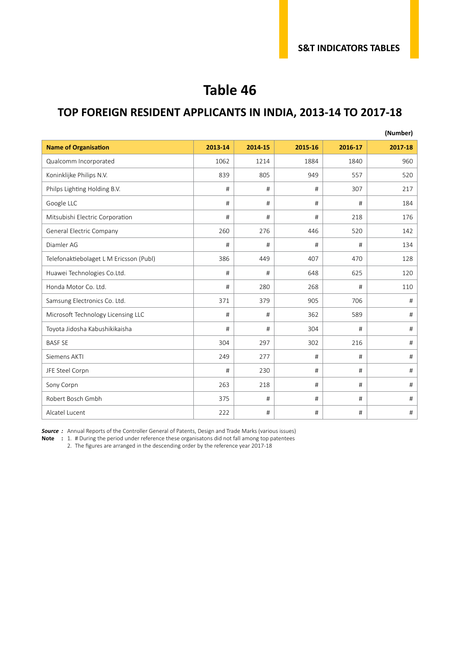#### **TOP FOREIGN RESIDENT APPLICANTS IN INDIA, 2013-14 TO 2017-18**

|                                         |         |         |         |         | (Number) |
|-----------------------------------------|---------|---------|---------|---------|----------|
| <b>Name of Organisation</b>             | 2013-14 | 2014-15 | 2015-16 | 2016-17 | 2017-18  |
| Qualcomm Incorporated                   | 1062    | 1214    | 1884    | 1840    | 960      |
| Koninklijke Philips N.V.                | 839     | 805     | 949     | 557     | 520      |
| Philps Lighting Holding B.V.            | #       | #       | #       | 307     | 217      |
| Google LLC                              | #       | #       | #       | #       | 184      |
| Mitsubishi Electric Corporation         | #       | #       | #       | 218     | 176      |
| General Electric Company                | 260     | 276     | 446     | 520     | 142      |
| Diamler AG                              | #       | #       | #       | #       | 134      |
| Telefonaktiebolaget L M Ericsson (Publ) | 386     | 449     | 407     | 470     | 128      |
| Huawei Technologies Co.Ltd.             | #       | #       | 648     | 625     | 120      |
| Honda Motor Co. Ltd.                    | #       | 280     | 268     | #       | 110      |
| Samsung Electronics Co. Ltd.            | 371     | 379     | 905     | 706     | #        |
| Microsoft Technology Licensing LLC      | #       | #       | 362     | 589     | #        |
| Toyota Jidosha Kabushikikaisha          | #       | #       | 304     | #       | #        |
| <b>BASF SE</b>                          | 304     | 297     | 302     | 216     | #        |
| Siemens AKTI                            | 249     | 277     | #       | #       | #        |
| JFE Steel Corpn                         | #       | 230     | #       | #       | #        |
| Sony Corpn                              | 263     | 218     | #       | #       | $\#$     |
| Robert Bosch Gmbh                       | 375     | #       | #       | #       | #        |
| Alcatel Lucent                          | 222     | #       | #       | #       | $\#$     |

**Source** : Annual Reports of the Controller General of Patents, Design and Trade Marks (various issues)

**Note :** 1. # During the period under reference these organisatons did not fall among top patentees

2. The figures are arranged in the descending order by the reference year 2017-18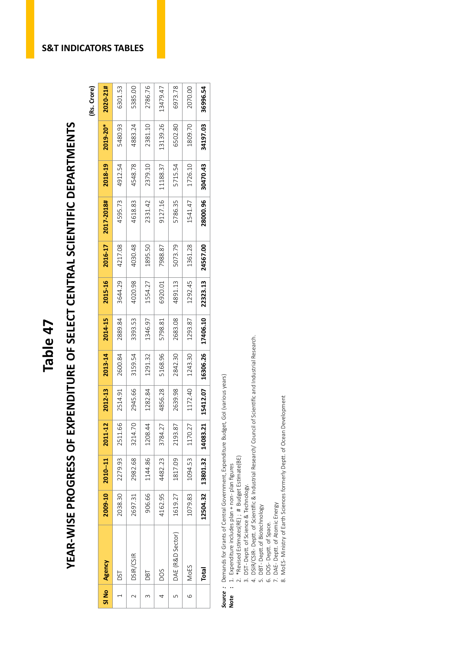# Table 47<br>YEAR-WISE PROGRESS OF EXPENDITURE OF SELECT CENTRAL SCIENTIFIC DEPARTMENTS<br><sup>(Rs. Crore)</sup> YEAR-WISE PROGRESS OF EXPENDITURE OF SELECT CENTRAL SCIENTIFIC DEPARTMENTS

(Rs. Crore)

| SI No | Agency           | 2009-10 | $2010 - 11$                | 2011-12 | 2012-13  | 2013-14  | 2014-15  | 2015-16  | 2016-17  | 2017-2018# | 2018-19  | 2019-20* | 2020-21# |
|-------|------------------|---------|----------------------------|---------|----------|----------|----------|----------|----------|------------|----------|----------|----------|
|       | <b>DST</b>       | 2038.30 | 2279.93                    | 2511.66 | 2514.91  | 2600.84  | 2889.84  | 3644.29  | 4217.08  | 4595.73    | 4912.54  | 5480.93  | 6301.53  |
|       | DSIR/CSIR        | 2697.31 | 2982.68                    | 3214.70 | 2945.66  | 3159.54  | 3393.53  | 4020.98  | 4030.48  | 4618.83    | 4548.78  | 4883.24  | 5385.00  |
|       | <b>DBT</b>       | 906.66  | 1144.86                    | 1208.44 | 1282.84  | 1291.32  | 1346.97  | 1554.27  | 1895.50  | 2331.42    | 2379.10  | 2381.10  | 2786.76  |
|       | <b>DOS</b>       | 4162.95 | 4482.23                    | 3784.27 | 4856.28  | 5168.96  | 5798.81  | 6920.01  | 7988.87  | 9127.16    | 11188.37 | 13139.26 | 13479.47 |
|       | DAE (R&D Sector) | 1619.27 | 1817.09                    | 2193.87 | 2639.98  | 2842.30  | 2683.08  | 4891.13  | 5073.79  | 5786.35    | 5715.54  | 6502.80  | 6973.78  |
| 0     | <b>MoES</b>      | 1079.83 | 1094.53                    | 1170.27 | 1172.40  | 1243.30  | 1293.87  | 1292.45  | 1361.28  | 1541.47    | 1726.10  | 1809.70  | 2070.00  |
|       | <b>Total</b>     |         | 12504.32 13801.32 14083.21 |         | 15412.07 | 16306.26 | 17406.10 | 22323.13 | 24567.00 | 28000.96   | 30470.43 | 34197.03 | 36996.54 |

**Source**: Demands for Grants of Central Government, Expenditure Budget, Gol (various years)<br>Note : 1. Expenditure includes plan + non-plan figures *Source :* Demands for Grants of Central Government, Expenditure Budget, GoI (various years)

- **Note :** 1. Expenditure includes plan + non- plan figures
	- 2. \*Revised Estimates(RE) ; # Budget Estimate(BE)<br>3. DST-Deptt. of Science & Technology. 2. \*Revised Estimates(RE) ; # Budget Estimate(BE)
- 3. DST Deptt. of Science & Technology.
- 4. DSIR/CSIR- Deptt. of Scientific & Industrial Research/ Council of Scientific and Industrial Research. 4. DSIR/CSIR - Deptt. of Scientific & Industrial Research/ Council of Scientific and Industrial Research.
	- 5. DBT-Deptt.of Biotechnology 5. DBT - Deptt.of Biotechnology
- 6. DOS Deptt. of Space. 7. DAE - Deptt. of Atomic Energy
- 6. DOS- Deptt. of Space.<br>7. DAE- Deptt. of Space.<br>8. MoES- Ministry of Earth Sciences formerly Deptt. of Ocean Development 8. MoES - Ministry of Earth Sciences formerly Deptt. of Ocean Development

**S&T INDICATORS TABLES**